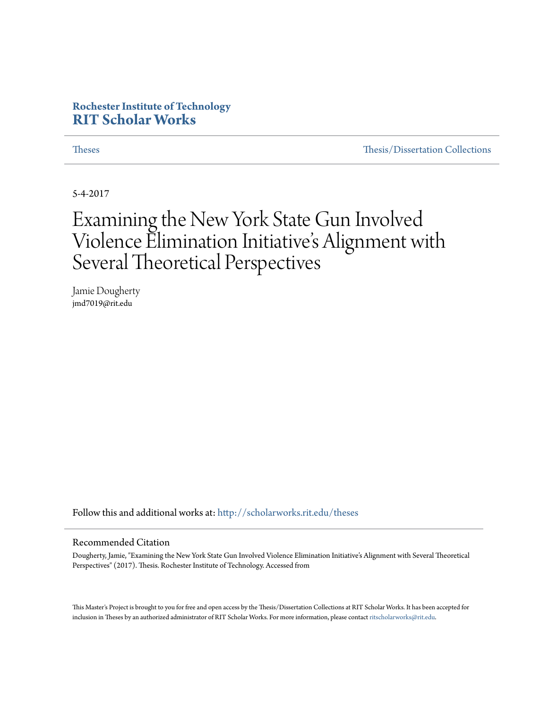### **Rochester Institute of Technology [RIT Scholar Works](http://scholarworks.rit.edu?utm_source=scholarworks.rit.edu%2Ftheses%2F9469&utm_medium=PDF&utm_campaign=PDFCoverPages)**

[Theses](http://scholarworks.rit.edu/theses?utm_source=scholarworks.rit.edu%2Ftheses%2F9469&utm_medium=PDF&utm_campaign=PDFCoverPages) [Thesis/Dissertation Collections](http://scholarworks.rit.edu/etd_collections?utm_source=scholarworks.rit.edu%2Ftheses%2F9469&utm_medium=PDF&utm_campaign=PDFCoverPages)

5-4-2017

## Examining the New York State Gun Involved Violence Elimination Initiative 's Alignment with Several Theoretical Perspectives

Jamie Dougherty jmd7019@rit.edu

Follow this and additional works at: [http://scholarworks.rit.edu/theses](http://scholarworks.rit.edu/theses?utm_source=scholarworks.rit.edu%2Ftheses%2F9469&utm_medium=PDF&utm_campaign=PDFCoverPages)

#### Recommended Citation

Dougherty, Jamie, "Examining the New York State Gun Involved Violence Elimination Initiative's Alignment with Several Theoretical Perspectives" (2017). Thesis. Rochester Institute of Technology. Accessed from

This Master's Project is brought to you for free and open access by the Thesis/Dissertation Collections at RIT Scholar Works. It has been accepted for inclusion in Theses by an authorized administrator of RIT Scholar Works. For more information, please contact [ritscholarworks@rit.edu](mailto:ritscholarworks@rit.edu).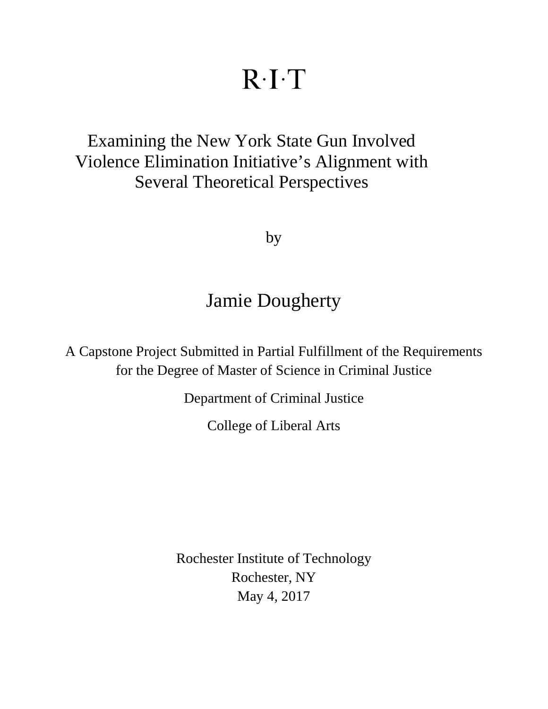# $R \cdot I \cdot T$

## Examining the New York State Gun Involved Violence Elimination Initiative's Alignment with Several Theoretical Perspectives

by

## Jamie Dougherty

A Capstone Project Submitted in Partial Fulfillment of the Requirements for the Degree of Master of Science in Criminal Justice

Department of Criminal Justice

College of Liberal Arts

Rochester Institute of Technology Rochester, NY May 4, 2017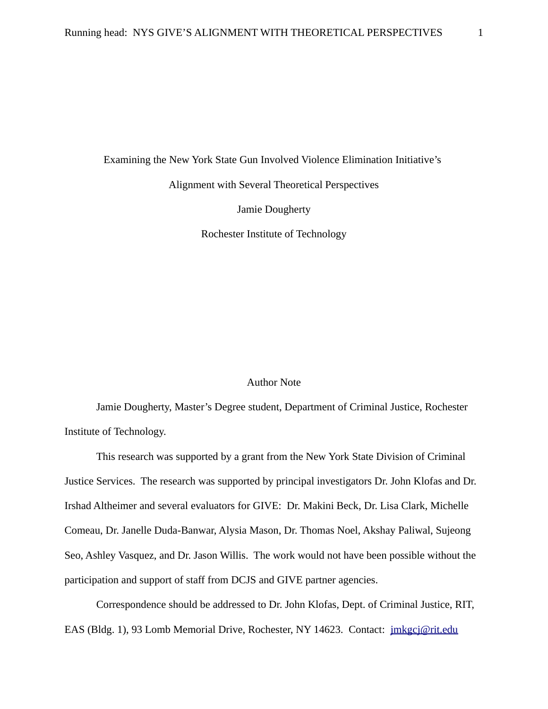Examining the New York State Gun Involved Violence Elimination Initiative's

Alignment with Several Theoretical Perspectives

Jamie Dougherty

Rochester Institute of Technology

#### Author Note

Jamie Dougherty, Master's Degree student, Department of Criminal Justice, Rochester Institute of Technology.

This research was supported by a grant from the New York State Division of Criminal Justice Services. The research was supported by principal investigators Dr. John Klofas and Dr. Irshad Altheimer and several evaluators for GIVE: Dr. Makini Beck, Dr. Lisa Clark, Michelle Comeau, Dr. Janelle Duda-Banwar, Alysia Mason, Dr. Thomas Noel, Akshay Paliwal, Sujeong Seo, Ashley Vasquez, and Dr. Jason Willis. The work would not have been possible without the participation and support of staff from DCJS and GIVE partner agencies.

Correspondence should be addressed to Dr. John Klofas, Dept. of Criminal Justice, RIT, EAS (Bldg. 1), 93 Lomb Memorial Drive, Rochester, NY 14623. Contact: [jmkgcj@rit.edu](mailto:jmkgcj@rit.edu)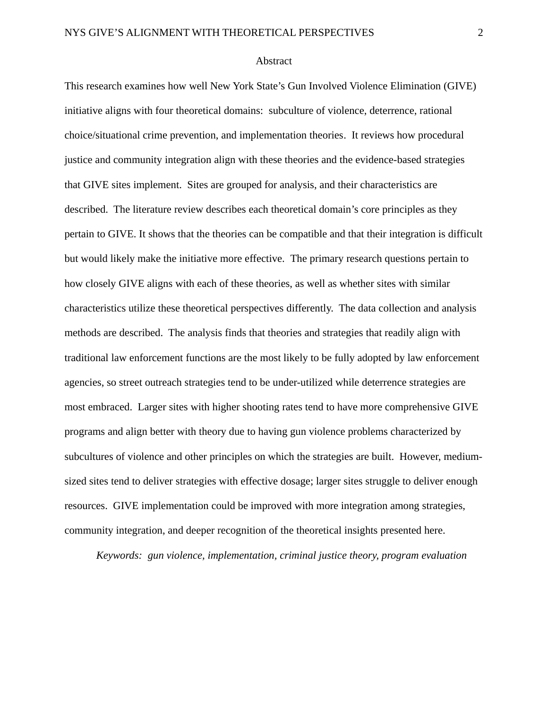#### <span id="page-3-0"></span>**Abstract**

This research examines how well New York State's Gun Involved Violence Elimination (GIVE) initiative aligns with four theoretical domains: subculture of violence, deterrence, rational choice/situational crime prevention, and implementation theories. It reviews how procedural justice and community integration align with these theories and the evidence-based strategies that GIVE sites implement. Sites are grouped for analysis, and their characteristics are described. The literature review describes each theoretical domain's core principles as they pertain to GIVE. It shows that the theories can be compatible and that their integration is difficult but would likely make the initiative more effective. The primary research questions pertain to how closely GIVE aligns with each of these theories, as well as whether sites with similar characteristics utilize these theoretical perspectives differently. The data collection and analysis methods are described. The analysis finds that theories and strategies that readily align with traditional law enforcement functions are the most likely to be fully adopted by law enforcement agencies, so street outreach strategies tend to be under-utilized while deterrence strategies are most embraced. Larger sites with higher shooting rates tend to have more comprehensive GIVE programs and align better with theory due to having gun violence problems characterized by subcultures of violence and other principles on which the strategies are built. However, mediumsized sites tend to deliver strategies with effective dosage; larger sites struggle to deliver enough resources. GIVE implementation could be improved with more integration among strategies, community integration, and deeper recognition of the theoretical insights presented here.

*Keywords: gun violence, implementation, criminal justice theory, program evaluation*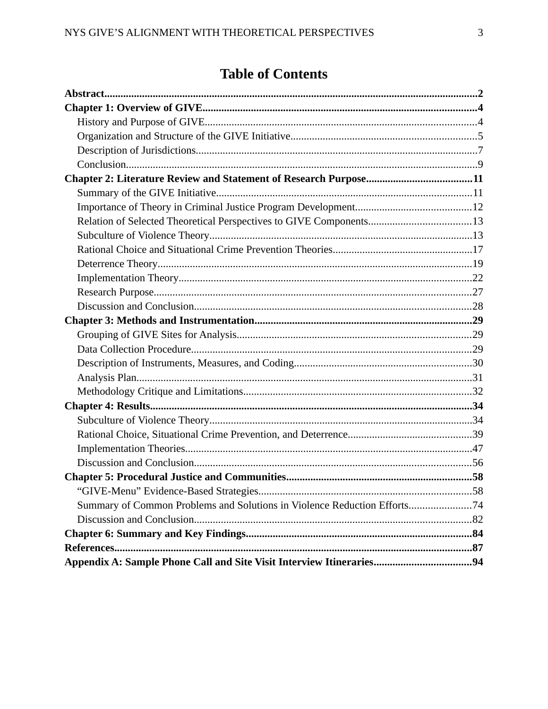## **Table of Contents**

| Summary of Common Problems and Solutions in Violence Reduction Efforts74 |  |
|--------------------------------------------------------------------------|--|
|                                                                          |  |
|                                                                          |  |
|                                                                          |  |
|                                                                          |  |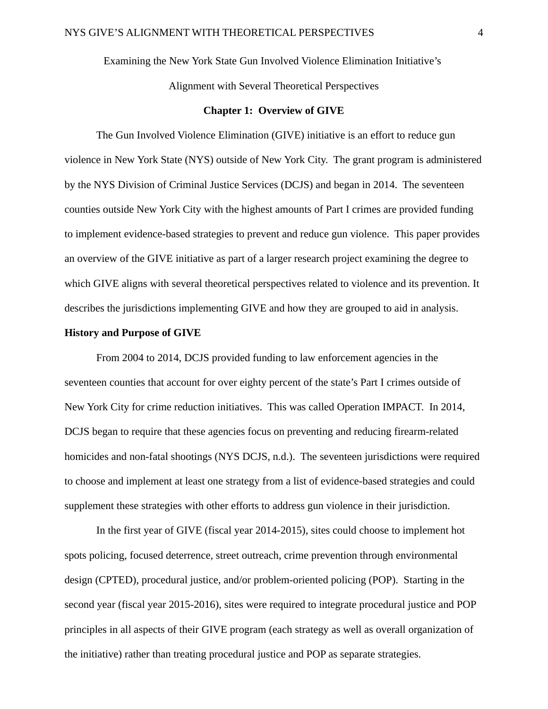Examining the New York State Gun Involved Violence Elimination Initiative's

Alignment with Several Theoretical Perspectives

#### <span id="page-5-1"></span>**Chapter 1: Overview of GIVE**

The Gun Involved Violence Elimination (GIVE) initiative is an effort to reduce gun violence in New York State (NYS) outside of New York City. The grant program is administered by the NYS Division of Criminal Justice Services (DCJS) and began in 2014. The seventeen counties outside New York City with the highest amounts of Part I crimes are provided funding to implement evidence-based strategies to prevent and reduce gun violence. This paper provides an overview of the GIVE initiative as part of a larger research project examining the degree to which GIVE aligns with several theoretical perspectives related to violence and its prevention. It describes the jurisdictions implementing GIVE and how they are grouped to aid in analysis.

#### <span id="page-5-0"></span>**History and Purpose of GIVE**

From 2004 to 2014, DCJS provided funding to law enforcement agencies in the seventeen counties that account for over eighty percent of the state's Part I crimes outside of New York City for crime reduction initiatives. This was called Operation IMPACT. In 2014, DCJS began to require that these agencies focus on preventing and reducing firearm-related homicides and non-fatal shootings (NYS DCJS, n.d.). The seventeen jurisdictions were required to choose and implement at least one strategy from a list of evidence-based strategies and could supplement these strategies with other efforts to address gun violence in their jurisdiction.

In the first year of GIVE (fiscal year 2014-2015), sites could choose to implement hot spots policing, focused deterrence, street outreach, crime prevention through environmental design (CPTED), procedural justice, and/or problem-oriented policing (POP). Starting in the second year (fiscal year 2015-2016), sites were required to integrate procedural justice and POP principles in all aspects of their GIVE program (each strategy as well as overall organization of the initiative) rather than treating procedural justice and POP as separate strategies.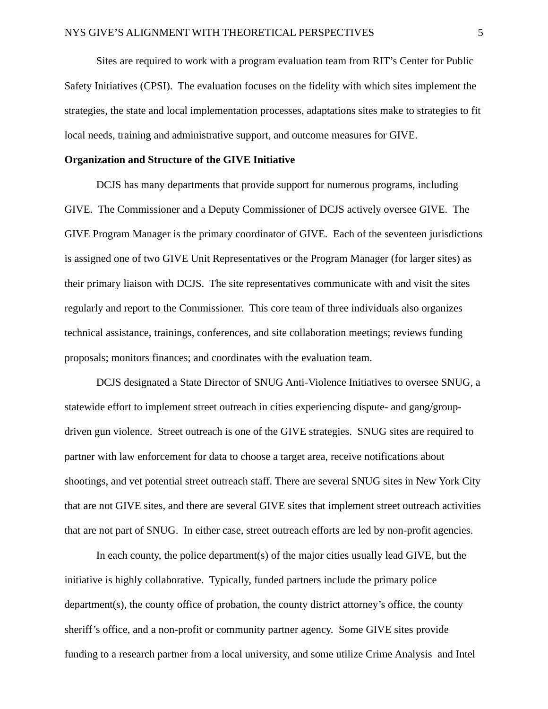Sites are required to work with a program evaluation team from RIT's Center for Public Safety Initiatives (CPSI). The evaluation focuses on the fidelity with which sites implement the strategies, the state and local implementation processes, adaptations sites make to strategies to fit local needs, training and administrative support, and outcome measures for GIVE.

#### <span id="page-6-0"></span>**Organization and Structure of the GIVE Initiative**

DCJS has many departments that provide support for numerous programs, including GIVE. The Commissioner and a Deputy Commissioner of DCJS actively oversee GIVE. The GIVE Program Manager is the primary coordinator of GIVE. Each of the seventeen jurisdictions is assigned one of two GIVE Unit Representatives or the Program Manager (for larger sites) as their primary liaison with DCJS. The site representatives communicate with and visit the sites regularly and report to the Commissioner. This core team of three individuals also organizes technical assistance, trainings, conferences, and site collaboration meetings; reviews funding proposals; monitors finances; and coordinates with the evaluation team.

DCJS designated a State Director of SNUG Anti-Violence Initiatives to oversee SNUG, a statewide effort to implement street outreach in cities experiencing dispute- and gang/groupdriven gun violence. Street outreach is one of the GIVE strategies. SNUG sites are required to partner with law enforcement for data to choose a target area, receive notifications about shootings, and vet potential street outreach staff. There are several SNUG sites in New York City that are not GIVE sites, and there are several GIVE sites that implement street outreach activities that are not part of SNUG. In either case, street outreach efforts are led by non-profit agencies.

In each county, the police department(s) of the major cities usually lead GIVE, but the initiative is highly collaborative. Typically, funded partners include the primary police department(s), the county office of probation, the county district attorney's office, the county sheriff's office, and a non-profit or community partner agency. Some GIVE sites provide funding to a research partner from a local university, and some utilize Crime Analysis and Intel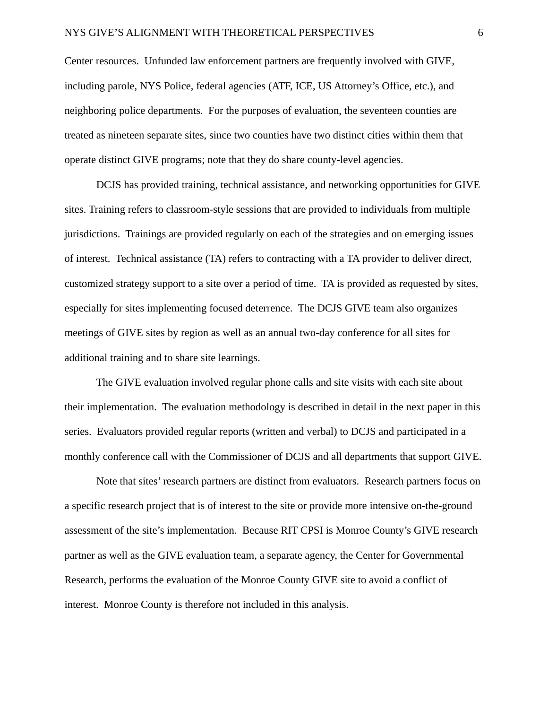Center resources. Unfunded law enforcement partners are frequently involved with GIVE, including parole, NYS Police, federal agencies (ATF, ICE, US Attorney's Office, etc.), and neighboring police departments. For the purposes of evaluation, the seventeen counties are treated as nineteen separate sites, since two counties have two distinct cities within them that operate distinct GIVE programs; note that they do share county-level agencies.

DCJS has provided training, technical assistance, and networking opportunities for GIVE sites. Training refers to classroom-style sessions that are provided to individuals from multiple jurisdictions. Trainings are provided regularly on each of the strategies and on emerging issues of interest. Technical assistance (TA) refers to contracting with a TA provider to deliver direct, customized strategy support to a site over a period of time. TA is provided as requested by sites, especially for sites implementing focused deterrence. The DCJS GIVE team also organizes meetings of GIVE sites by region as well as an annual two-day conference for all sites for additional training and to share site learnings.

The GIVE evaluation involved regular phone calls and site visits with each site about their implementation. The evaluation methodology is described in detail in the next paper in this series. Evaluators provided regular reports (written and verbal) to DCJS and participated in a monthly conference call with the Commissioner of DCJS and all departments that support GIVE.

Note that sites' research partners are distinct from evaluators. Research partners focus on a specific research project that is of interest to the site or provide more intensive on-the-ground assessment of the site's implementation. Because RIT CPSI is Monroe County's GIVE research partner as well as the GIVE evaluation team, a separate agency, the Center for Governmental Research, performs the evaluation of the Monroe County GIVE site to avoid a conflict of interest. Monroe County is therefore not included in this analysis.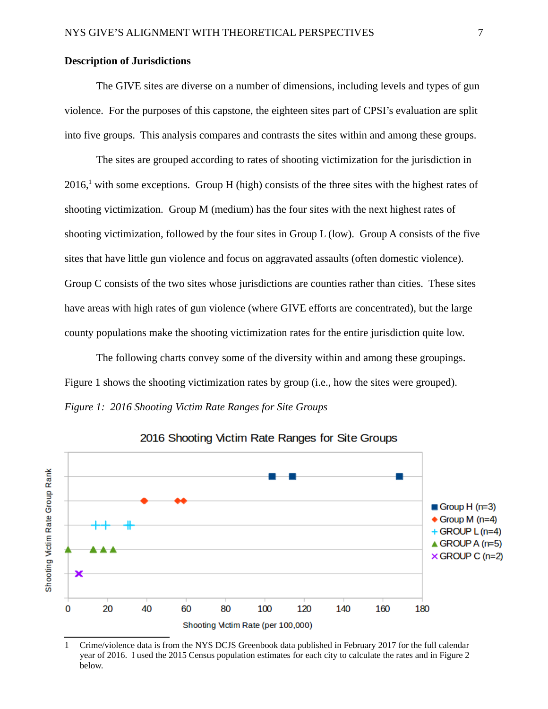#### <span id="page-8-0"></span>**Description of Jurisdictions**

The GIVE sites are diverse on a number of dimensions, including levels and types of gun violence. For the purposes of this capstone, the eighteen sites part of CPSI's evaluation are split into five groups. This analysis compares and contrasts the sites within and among these groups.

The sites are grouped according to rates of shooting victimization for the jurisdiction in  $2016<sup>1</sup>$  $2016<sup>1</sup>$  $2016<sup>1</sup>$  with some exceptions. Group H (high) consists of the three sites with the highest rates of shooting victimization. Group M (medium) has the four sites with the next highest rates of shooting victimization, followed by the four sites in Group L (low). Group A consists of the five sites that have little gun violence and focus on aggravated assaults (often domestic violence). Group C consists of the two sites whose jurisdictions are counties rather than cities. These sites have areas with high rates of gun violence (where GIVE efforts are concentrated), but the large county populations make the shooting victimization rates for the entire jurisdiction quite low.

The following charts convey some of the diversity within and among these groupings. Figure 1 shows the shooting victimization rates by group (i.e., how the sites were grouped). *Figure 1: 2016 Shooting Victim Rate Ranges for Site Groups*



2016 Shooting Victim Rate Ranges for Site Groups

<span id="page-8-1"></span><sup>1</sup> Crime/violence data is from the NYS DCJS Greenbook data published in February 2017 for the full calendar year of 2016. I used the 2015 Census population estimates for each city to calculate the rates and in Figure 2 below.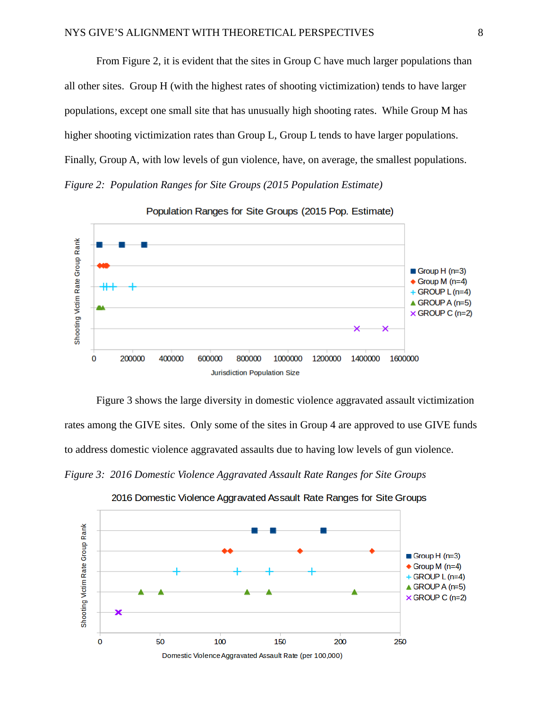From Figure 2, it is evident that the sites in Group C have much larger populations than all other sites. Group H (with the highest rates of shooting victimization) tends to have larger populations, except one small site that has unusually high shooting rates. While Group M has higher shooting victimization rates than Group L, Group L tends to have larger populations. Finally, Group A, with low levels of gun violence, have, on average, the smallest populations. *Figure 2: Population Ranges for Site Groups (2015 Population Estimate)*



Population Ranges for Site Groups (2015 Pop. Estimate)

Figure 3 shows the large diversity in domestic violence aggravated assault victimization rates among the GIVE sites. Only some of the sites in Group 4 are approved to use GIVE funds to address domestic violence aggravated assaults due to having low levels of gun violence. *Figure 3: 2016 Domestic Violence Aggravated Assault Rate Ranges for Site Groups*

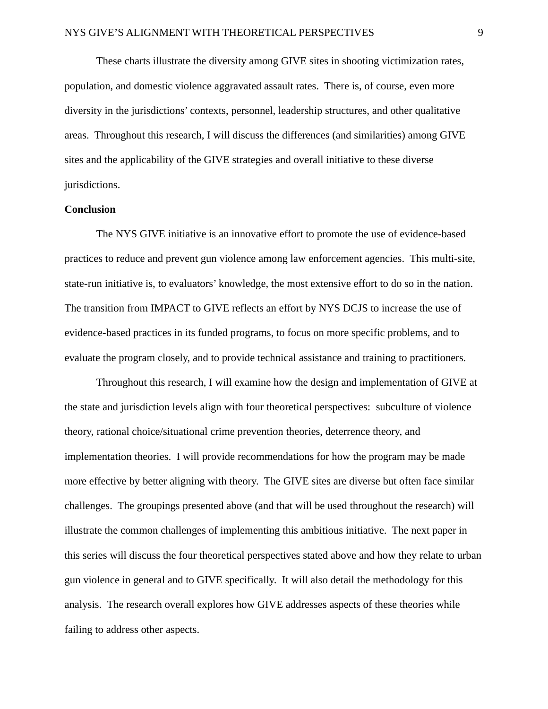These charts illustrate the diversity among GIVE sites in shooting victimization rates, population, and domestic violence aggravated assault rates. There is, of course, even more diversity in the jurisdictions' contexts, personnel, leadership structures, and other qualitative areas. Throughout this research, I will discuss the differences (and similarities) among GIVE sites and the applicability of the GIVE strategies and overall initiative to these diverse jurisdictions.

#### <span id="page-10-0"></span>**Conclusion**

The NYS GIVE initiative is an innovative effort to promote the use of evidence-based practices to reduce and prevent gun violence among law enforcement agencies. This multi-site, state-run initiative is, to evaluators' knowledge, the most extensive effort to do so in the nation. The transition from IMPACT to GIVE reflects an effort by NYS DCJS to increase the use of evidence-based practices in its funded programs, to focus on more specific problems, and to evaluate the program closely, and to provide technical assistance and training to practitioners.

Throughout this research, I will examine how the design and implementation of GIVE at the state and jurisdiction levels align with four theoretical perspectives: subculture of violence theory, rational choice/situational crime prevention theories, deterrence theory, and implementation theories. I will provide recommendations for how the program may be made more effective by better aligning with theory. The GIVE sites are diverse but often face similar challenges. The groupings presented above (and that will be used throughout the research) will illustrate the common challenges of implementing this ambitious initiative. The next paper in this series will discuss the four theoretical perspectives stated above and how they relate to urban gun violence in general and to GIVE specifically. It will also detail the methodology for this analysis. The research overall explores how GIVE addresses aspects of these theories while failing to address other aspects.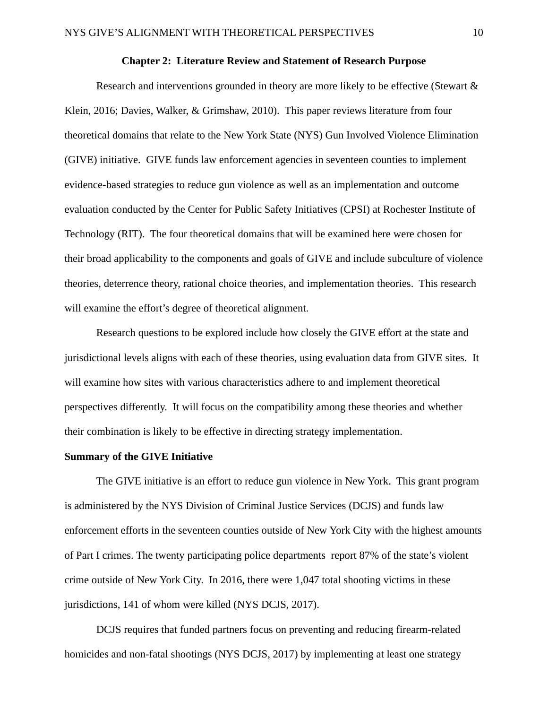#### <span id="page-11-1"></span>**Chapter 2: Literature Review and Statement of Research Purpose**

Research and interventions grounded in theory are more likely to be effective (Stewart & Klein, 2016; Davies, Walker, & Grimshaw, 2010). This paper reviews literature from four theoretical domains that relate to the New York State (NYS) Gun Involved Violence Elimination (GIVE) initiative. GIVE funds law enforcement agencies in seventeen counties to implement evidence-based strategies to reduce gun violence as well as an implementation and outcome evaluation conducted by the Center for Public Safety Initiatives (CPSI) at Rochester Institute of Technology (RIT). The four theoretical domains that will be examined here were chosen for their broad applicability to the components and goals of GIVE and include subculture of violence theories, deterrence theory, rational choice theories, and implementation theories. This research will examine the effort's degree of theoretical alignment.

Research questions to be explored include how closely the GIVE effort at the state and jurisdictional levels aligns with each of these theories, using evaluation data from GIVE sites. It will examine how sites with various characteristics adhere to and implement theoretical perspectives differently. It will focus on the compatibility among these theories and whether their combination is likely to be effective in directing strategy implementation.

#### <span id="page-11-0"></span>**Summary of the GIVE Initiative**

The GIVE initiative is an effort to reduce gun violence in New York. This grant program is administered by the NYS Division of Criminal Justice Services (DCJS) and funds law enforcement efforts in the seventeen counties outside of New York City with the highest amounts of Part I crimes. The twenty participating police departments report 87% of the state's violent crime outside of New York City. In 2016, there were 1,047 total shooting victims in these jurisdictions, 141 of whom were killed (NYS DCJS, 2017).

DCJS requires that funded partners focus on preventing and reducing firearm-related homicides and non-fatal shootings (NYS DCJS, 2017) by implementing at least one strategy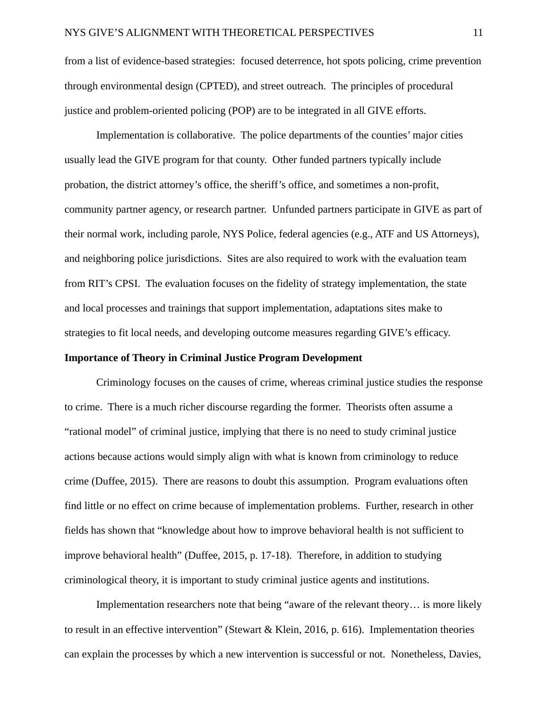from a list of evidence-based strategies: focused deterrence, hot spots policing, crime prevention through environmental design (CPTED), and street outreach. The principles of procedural justice and problem-oriented policing (POP) are to be integrated in all GIVE efforts.

Implementation is collaborative. The police departments of the counties' major cities usually lead the GIVE program for that county. Other funded partners typically include probation, the district attorney's office, the sheriff's office, and sometimes a non-profit, community partner agency, or research partner. Unfunded partners participate in GIVE as part of their normal work, including parole, NYS Police, federal agencies (e.g., ATF and US Attorneys), and neighboring police jurisdictions. Sites are also required to work with the evaluation team from RIT's CPSI. The evaluation focuses on the fidelity of strategy implementation, the state and local processes and trainings that support implementation, adaptations sites make to strategies to fit local needs, and developing outcome measures regarding GIVE's efficacy.

#### <span id="page-12-0"></span>**Importance of Theory in Criminal Justice Program Development**

Criminology focuses on the causes of crime, whereas criminal justice studies the response to crime. There is a much richer discourse regarding the former. Theorists often assume a "rational model" of criminal justice, implying that there is no need to study criminal justice actions because actions would simply align with what is known from criminology to reduce crime (Duffee, 2015). There are reasons to doubt this assumption. Program evaluations often find little or no effect on crime because of implementation problems. Further, research in other fields has shown that "knowledge about how to improve behavioral health is not sufficient to improve behavioral health" (Duffee, 2015, p. 17-18). Therefore, in addition to studying criminological theory, it is important to study criminal justice agents and institutions.

Implementation researchers note that being "aware of the relevant theory… is more likely to result in an effective intervention" (Stewart & Klein, 2016, p. 616). Implementation theories can explain the processes by which a new intervention is successful or not. Nonetheless, Davies,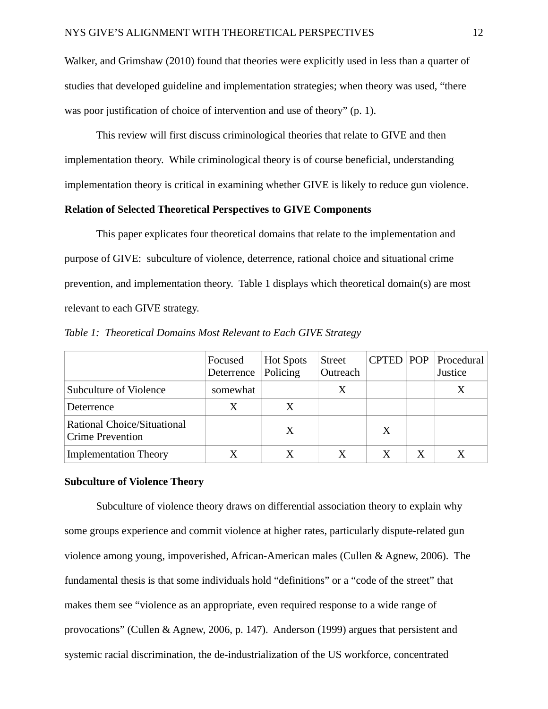Walker, and Grimshaw (2010) found that theories were explicitly used in less than a quarter of studies that developed guideline and implementation strategies; when theory was used, "there was poor justification of choice of intervention and use of theory" (p. 1).

This review will first discuss criminological theories that relate to GIVE and then implementation theory. While criminological theory is of course beneficial, understanding implementation theory is critical in examining whether GIVE is likely to reduce gun violence.

#### <span id="page-13-1"></span>**Relation of Selected Theoretical Perspectives to GIVE Components**

This paper explicates four theoretical domains that relate to the implementation and purpose of GIVE: subculture of violence, deterrence, rational choice and situational crime prevention, and implementation theory. Table 1 displays which theoretical domain(s) are most relevant to each GIVE strategy.

|                                                        | Focused<br>Deterrence | <b>Hot Spots</b><br>Policing | <b>Street</b><br>Outreach | <b>CPTED POP</b> | Procedural<br>Justice |
|--------------------------------------------------------|-----------------------|------------------------------|---------------------------|------------------|-----------------------|
| <b>Subculture of Violence</b>                          | somewhat              |                              |                           |                  | X                     |
| Deterrence                                             |                       |                              |                           |                  |                       |
| Rational Choice/Situational<br><b>Crime Prevention</b> |                       | X                            |                           |                  |                       |
| <b>Implementation Theory</b>                           |                       |                              |                           |                  |                       |

*Table 1: Theoretical Domains Most Relevant to Each GIVE Strategy*

#### <span id="page-13-0"></span>**Subculture of Violence Theory**

Subculture of violence theory draws on differential association theory to explain why some groups experience and commit violence at higher rates, particularly dispute-related gun violence among young, impoverished, African-American males (Cullen & Agnew, 2006). The fundamental thesis is that some individuals hold "definitions" or a "code of the street" that makes them see "violence as an appropriate, even required response to a wide range of provocations" (Cullen & Agnew, 2006, p. 147). Anderson (1999) argues that persistent and systemic racial discrimination, the de-industrialization of the US workforce, concentrated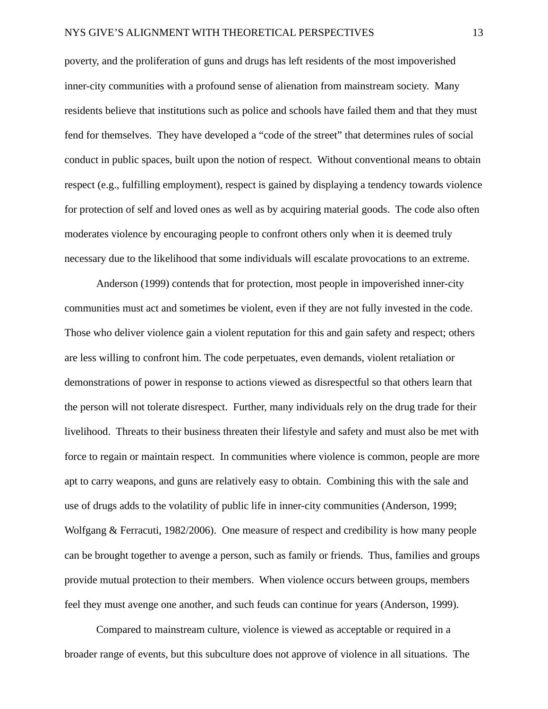poverty, and the proliferation of guns and drugs has left residents of the most impoverished inner-city communities with a profound sense of alienation from mainstream society. Many residents believe that institutions such as police and schools have failed them and that they must fend for themselves. They have developed a "code of the street" that determines rules of social conduct in public spaces, built upon the notion of respect. Without conventional means to obtain respect (e.g., fulfilling employment), respect is gained by displaying a tendency towards violence for protection of self and loved ones as well as by acquiring material goods. The code also often moderates violence by encouraging people to confront others only when it is deemed truly necessary due to the likelihood that some individuals will escalate provocations to an extreme.

Anderson (1999) contends that for protection, most people in impoverished inner-city communities must act and sometimes be violent, even if they are not fully invested in the code. Those who deliver violence gain a violent reputation for this and gain safety and respect; others are less willing to confront him. The code perpetuates, even demands, violent retaliation or demonstrations of power in response to actions viewed as disrespectful so that others learn that the person will not tolerate disrespect. Further, many individuals rely on the drug trade for their livelihood. Threats to their business threaten their lifestyle and safety and must also be met with force to regain or maintain respect. In communities where violence is common, people are more apt to carry weapons, and guns are relatively easy to obtain. Combining this with the sale and use of drugs adds to the volatility of public life in inner-city communities (Anderson, 1999; Wolfgang & Ferracuti, 1982/2006). One measure of respect and credibility is how many people can be brought together to avenge a person, such as family or friends. Thus, families and groups provide mutual protection to their members. When violence occurs between groups, members feel they must avenge one another, and such feuds can continue for years (Anderson, 1999).

Compared to mainstream culture, violence is viewed as acceptable or required in a broader range of events, but this subculture does not approve of violence in all situations. The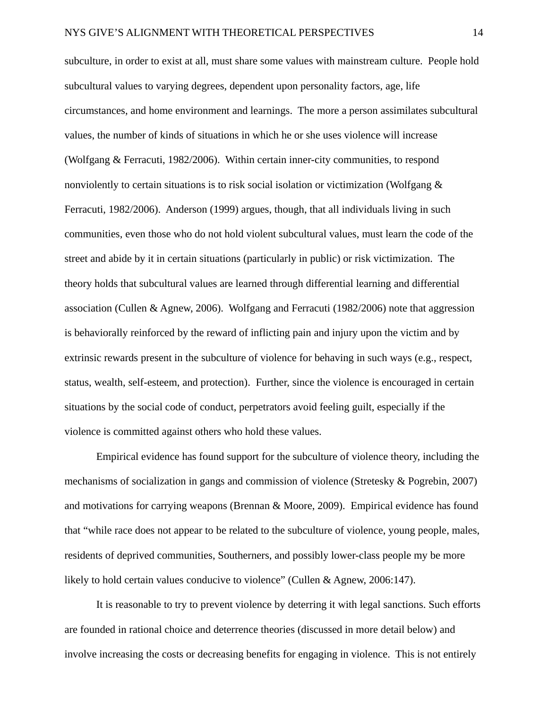subculture, in order to exist at all, must share some values with mainstream culture. People hold subcultural values to varying degrees, dependent upon personality factors, age, life circumstances, and home environment and learnings. The more a person assimilates subcultural values, the number of kinds of situations in which he or she uses violence will increase (Wolfgang & Ferracuti, 1982/2006). Within certain inner-city communities, to respond nonviolently to certain situations is to risk social isolation or victimization (Wolfgang & Ferracuti, 1982/2006). Anderson (1999) argues, though, that all individuals living in such communities, even those who do not hold violent subcultural values, must learn the code of the street and abide by it in certain situations (particularly in public) or risk victimization. The theory holds that subcultural values are learned through differential learning and differential association (Cullen & Agnew, 2006). Wolfgang and Ferracuti (1982/2006) note that aggression is behaviorally reinforced by the reward of inflicting pain and injury upon the victim and by extrinsic rewards present in the subculture of violence for behaving in such ways (e.g., respect, status, wealth, self-esteem, and protection). Further, since the violence is encouraged in certain situations by the social code of conduct, perpetrators avoid feeling guilt, especially if the violence is committed against others who hold these values.

Empirical evidence has found support for the subculture of violence theory, including the mechanisms of socialization in gangs and commission of violence (Stretesky & Pogrebin, 2007) and motivations for carrying weapons (Brennan & Moore, 2009). Empirical evidence has found that "while race does not appear to be related to the subculture of violence, young people, males, residents of deprived communities, Southerners, and possibly lower-class people my be more likely to hold certain values conducive to violence" (Cullen & Agnew, 2006:147).

It is reasonable to try to prevent violence by deterring it with legal sanctions. Such efforts are founded in rational choice and deterrence theories (discussed in more detail below) and involve increasing the costs or decreasing benefits for engaging in violence. This is not entirely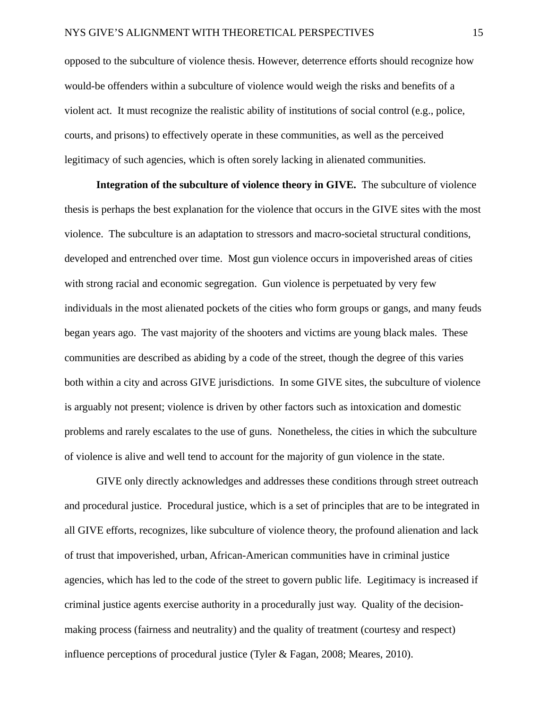opposed to the subculture of violence thesis. However, deterrence efforts should recognize how would-be offenders within a subculture of violence would weigh the risks and benefits of a violent act. It must recognize the realistic ability of institutions of social control (e.g., police, courts, and prisons) to effectively operate in these communities, as well as the perceived legitimacy of such agencies, which is often sorely lacking in alienated communities.

**Integration of the subculture of violence theory in GIVE.** The subculture of violence thesis is perhaps the best explanation for the violence that occurs in the GIVE sites with the most violence. The subculture is an adaptation to stressors and macro-societal structural conditions, developed and entrenched over time. Most gun violence occurs in impoverished areas of cities with strong racial and economic segregation. Gun violence is perpetuated by very few individuals in the most alienated pockets of the cities who form groups or gangs, and many feuds began years ago. The vast majority of the shooters and victims are young black males. These communities are described as abiding by a code of the street, though the degree of this varies both within a city and across GIVE jurisdictions. In some GIVE sites, the subculture of violence is arguably not present; violence is driven by other factors such as intoxication and domestic problems and rarely escalates to the use of guns. Nonetheless, the cities in which the subculture of violence is alive and well tend to account for the majority of gun violence in the state.

GIVE only directly acknowledges and addresses these conditions through street outreach and procedural justice. Procedural justice, which is a set of principles that are to be integrated in all GIVE efforts, recognizes, like subculture of violence theory, the profound alienation and lack of trust that impoverished, urban, African-American communities have in criminal justice agencies, which has led to the code of the street to govern public life. Legitimacy is increased if criminal justice agents exercise authority in a procedurally just way. Quality of the decisionmaking process (fairness and neutrality) and the quality of treatment (courtesy and respect) influence perceptions of procedural justice (Tyler & Fagan, 2008; Meares, 2010).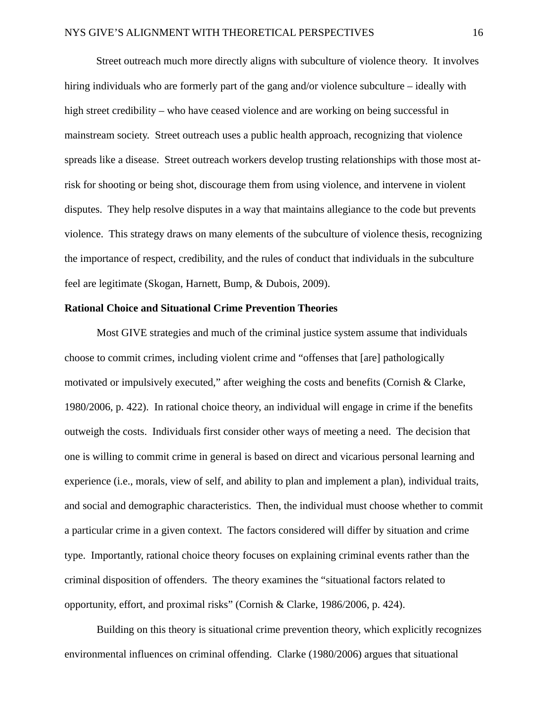Street outreach much more directly aligns with subculture of violence theory. It involves hiring individuals who are formerly part of the gang and/or violence subculture – ideally with high street credibility – who have ceased violence and are working on being successful in mainstream society. Street outreach uses a public health approach, recognizing that violence spreads like a disease. Street outreach workers develop trusting relationships with those most atrisk for shooting or being shot, discourage them from using violence, and intervene in violent disputes. They help resolve disputes in a way that maintains allegiance to the code but prevents violence. This strategy draws on many elements of the subculture of violence thesis, recognizing the importance of respect, credibility, and the rules of conduct that individuals in the subculture feel are legitimate (Skogan, Harnett, Bump, & Dubois, 2009).

#### <span id="page-17-0"></span>**Rational Choice and Situational Crime Prevention Theories**

Most GIVE strategies and much of the criminal justice system assume that individuals choose to commit crimes, including violent crime and "offenses that [are] pathologically motivated or impulsively executed," after weighing the costs and benefits (Cornish & Clarke, 1980/2006, p. 422). In rational choice theory, an individual will engage in crime if the benefits outweigh the costs. Individuals first consider other ways of meeting a need. The decision that one is willing to commit crime in general is based on direct and vicarious personal learning and experience (i.e., morals, view of self, and ability to plan and implement a plan), individual traits, and social and demographic characteristics. Then, the individual must choose whether to commit a particular crime in a given context. The factors considered will differ by situation and crime type. Importantly, rational choice theory focuses on explaining criminal events rather than the criminal disposition of offenders. The theory examines the "situational factors related to opportunity, effort, and proximal risks" (Cornish & Clarke, 1986/2006, p. 424).

Building on this theory is situational crime prevention theory, which explicitly recognizes environmental influences on criminal offending. Clarke (1980/2006) argues that situational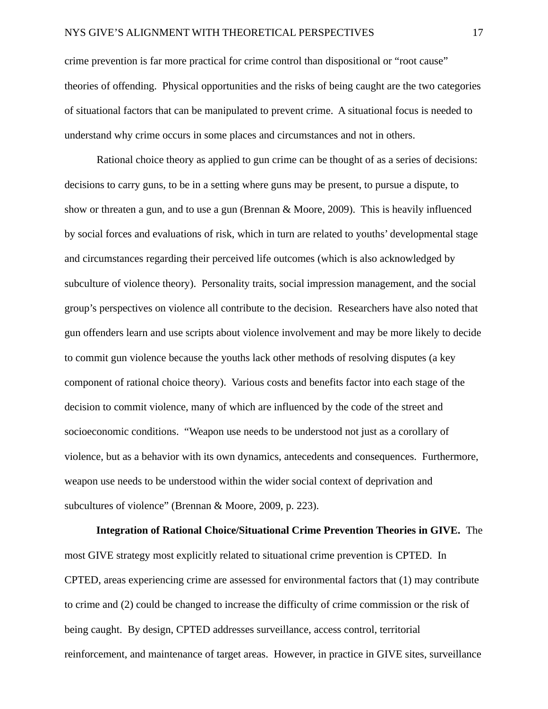crime prevention is far more practical for crime control than dispositional or "root cause" theories of offending. Physical opportunities and the risks of being caught are the two categories of situational factors that can be manipulated to prevent crime. A situational focus is needed to understand why crime occurs in some places and circumstances and not in others.

Rational choice theory as applied to gun crime can be thought of as a series of decisions: decisions to carry guns, to be in a setting where guns may be present, to pursue a dispute, to show or threaten a gun, and to use a gun (Brennan & Moore, 2009). This is heavily influenced by social forces and evaluations of risk, which in turn are related to youths' developmental stage and circumstances regarding their perceived life outcomes (which is also acknowledged by subculture of violence theory). Personality traits, social impression management, and the social group's perspectives on violence all contribute to the decision. Researchers have also noted that gun offenders learn and use scripts about violence involvement and may be more likely to decide to commit gun violence because the youths lack other methods of resolving disputes (a key component of rational choice theory). Various costs and benefits factor into each stage of the decision to commit violence, many of which are influenced by the code of the street and socioeconomic conditions. "Weapon use needs to be understood not just as a corollary of violence, but as a behavior with its own dynamics, antecedents and consequences. Furthermore, weapon use needs to be understood within the wider social context of deprivation and subcultures of violence" (Brennan & Moore, 2009, p. 223).

**Integration of Rational Choice/Situational Crime Prevention Theories in GIVE.** The most GIVE strategy most explicitly related to situational crime prevention is CPTED. In CPTED, areas experiencing crime are assessed for environmental factors that (1) may contribute to crime and (2) could be changed to increase the difficulty of crime commission or the risk of being caught. By design, CPTED addresses surveillance, access control, territorial reinforcement, and maintenance of target areas. However, in practice in GIVE sites, surveillance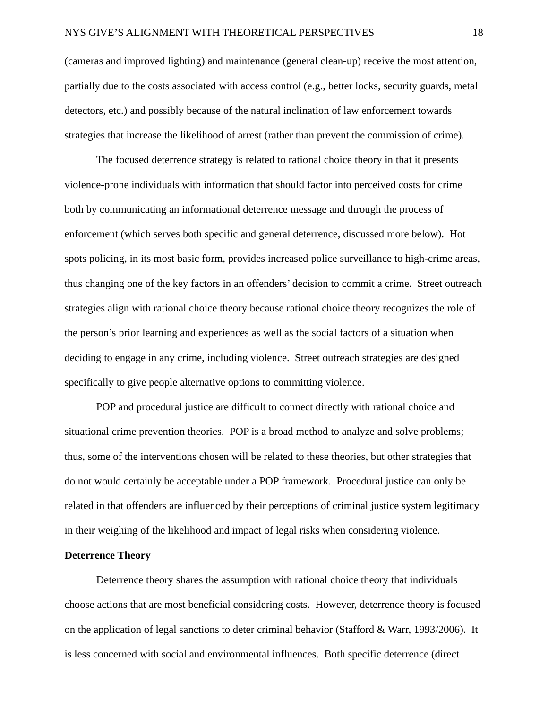(cameras and improved lighting) and maintenance (general clean-up) receive the most attention, partially due to the costs associated with access control (e.g., better locks, security guards, metal detectors, etc.) and possibly because of the natural inclination of law enforcement towards strategies that increase the likelihood of arrest (rather than prevent the commission of crime).

The focused deterrence strategy is related to rational choice theory in that it presents violence-prone individuals with information that should factor into perceived costs for crime both by communicating an informational deterrence message and through the process of enforcement (which serves both specific and general deterrence, discussed more below). Hot spots policing, in its most basic form, provides increased police surveillance to high-crime areas, thus changing one of the key factors in an offenders' decision to commit a crime. Street outreach strategies align with rational choice theory because rational choice theory recognizes the role of the person's prior learning and experiences as well as the social factors of a situation when deciding to engage in any crime, including violence. Street outreach strategies are designed specifically to give people alternative options to committing violence.

POP and procedural justice are difficult to connect directly with rational choice and situational crime prevention theories. POP is a broad method to analyze and solve problems; thus, some of the interventions chosen will be related to these theories, but other strategies that do not would certainly be acceptable under a POP framework. Procedural justice can only be related in that offenders are influenced by their perceptions of criminal justice system legitimacy in their weighing of the likelihood and impact of legal risks when considering violence.

#### <span id="page-19-0"></span>**Deterrence Theory**

Deterrence theory shares the assumption with rational choice theory that individuals choose actions that are most beneficial considering costs. However, deterrence theory is focused on the application of legal sanctions to deter criminal behavior (Stafford & Warr, 1993/2006). It is less concerned with social and environmental influences. Both specific deterrence (direct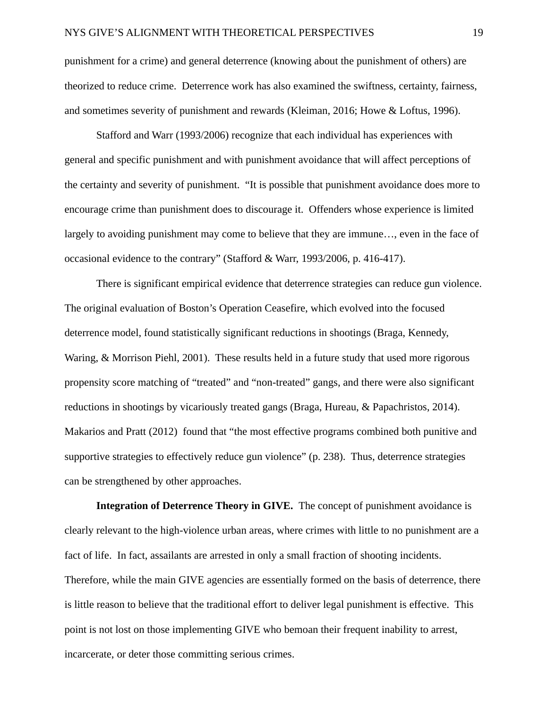punishment for a crime) and general deterrence (knowing about the punishment of others) are theorized to reduce crime. Deterrence work has also examined the swiftness, certainty, fairness, and sometimes severity of punishment and rewards (Kleiman, 2016; Howe & Loftus, 1996).

Stafford and Warr (1993/2006) recognize that each individual has experiences with general and specific punishment and with punishment avoidance that will affect perceptions of the certainty and severity of punishment. "It is possible that punishment avoidance does more to encourage crime than punishment does to discourage it. Offenders whose experience is limited largely to avoiding punishment may come to believe that they are immune…, even in the face of occasional evidence to the contrary" (Stafford & Warr, 1993/2006, p. 416-417).

There is significant empirical evidence that deterrence strategies can reduce gun violence. The original evaluation of Boston's Operation Ceasefire, which evolved into the focused deterrence model, found statistically significant reductions in shootings (Braga, Kennedy, Waring, & Morrison Piehl, 2001). These results held in a future study that used more rigorous propensity score matching of "treated" and "non-treated" gangs, and there were also significant reductions in shootings by vicariously treated gangs (Braga, Hureau, & Papachristos, 2014). Makarios and Pratt (2012) found that "the most effective programs combined both punitive and supportive strategies to effectively reduce gun violence" (p. 238). Thus, deterrence strategies can be strengthened by other approaches.

**Integration of Deterrence Theory in GIVE.** The concept of punishment avoidance is clearly relevant to the high-violence urban areas, where crimes with little to no punishment are a fact of life. In fact, assailants are arrested in only a small fraction of shooting incidents. Therefore, while the main GIVE agencies are essentially formed on the basis of deterrence, there is little reason to believe that the traditional effort to deliver legal punishment is effective. This point is not lost on those implementing GIVE who bemoan their frequent inability to arrest, incarcerate, or deter those committing serious crimes.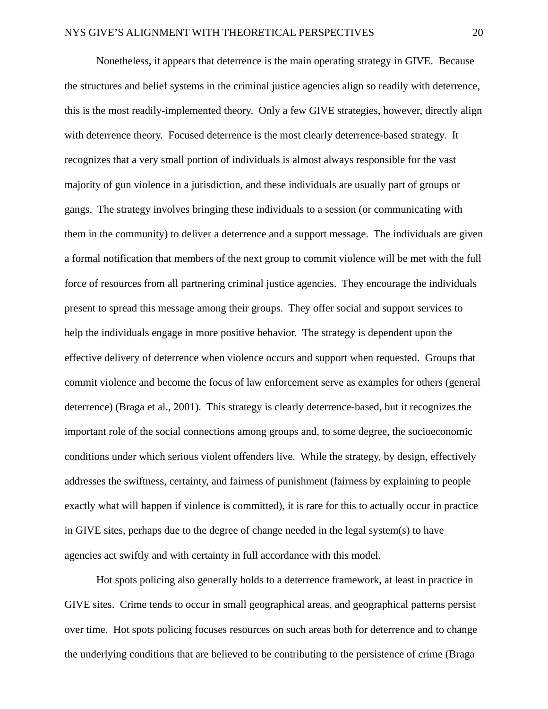Nonetheless, it appears that deterrence is the main operating strategy in GIVE. Because the structures and belief systems in the criminal justice agencies align so readily with deterrence, this is the most readily-implemented theory. Only a few GIVE strategies, however, directly align with deterrence theory. Focused deterrence is the most clearly deterrence-based strategy. It recognizes that a very small portion of individuals is almost always responsible for the vast majority of gun violence in a jurisdiction, and these individuals are usually part of groups or gangs. The strategy involves bringing these individuals to a session (or communicating with them in the community) to deliver a deterrence and a support message. The individuals are given a formal notification that members of the next group to commit violence will be met with the full force of resources from all partnering criminal justice agencies. They encourage the individuals present to spread this message among their groups. They offer social and support services to help the individuals engage in more positive behavior. The strategy is dependent upon the effective delivery of deterrence when violence occurs and support when requested. Groups that commit violence and become the focus of law enforcement serve as examples for others (general deterrence) (Braga et al., 2001). This strategy is clearly deterrence-based, but it recognizes the important role of the social connections among groups and, to some degree, the socioeconomic conditions under which serious violent offenders live. While the strategy, by design, effectively addresses the swiftness, certainty, and fairness of punishment (fairness by explaining to people exactly what will happen if violence is committed), it is rare for this to actually occur in practice in GIVE sites, perhaps due to the degree of change needed in the legal system(s) to have agencies act swiftly and with certainty in full accordance with this model.

Hot spots policing also generally holds to a deterrence framework, at least in practice in GIVE sites. Crime tends to occur in small geographical areas, and geographical patterns persist over time. Hot spots policing focuses resources on such areas both for deterrence and to change the underlying conditions that are believed to be contributing to the persistence of crime (Braga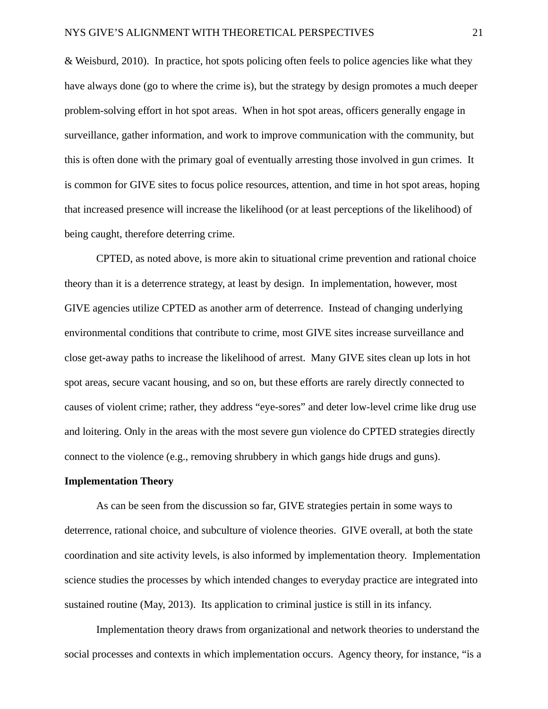& Weisburd, 2010). In practice, hot spots policing often feels to police agencies like what they have always done (go to where the crime is), but the strategy by design promotes a much deeper problem-solving effort in hot spot areas. When in hot spot areas, officers generally engage in surveillance, gather information, and work to improve communication with the community, but this is often done with the primary goal of eventually arresting those involved in gun crimes. It is common for GIVE sites to focus police resources, attention, and time in hot spot areas, hoping that increased presence will increase the likelihood (or at least perceptions of the likelihood) of being caught, therefore deterring crime.

CPTED, as noted above, is more akin to situational crime prevention and rational choice theory than it is a deterrence strategy, at least by design. In implementation, however, most GIVE agencies utilize CPTED as another arm of deterrence. Instead of changing underlying environmental conditions that contribute to crime, most GIVE sites increase surveillance and close get-away paths to increase the likelihood of arrest. Many GIVE sites clean up lots in hot spot areas, secure vacant housing, and so on, but these efforts are rarely directly connected to causes of violent crime; rather, they address "eye-sores" and deter low-level crime like drug use and loitering. Only in the areas with the most severe gun violence do CPTED strategies directly connect to the violence (e.g., removing shrubbery in which gangs hide drugs and guns).

#### <span id="page-22-0"></span>**Implementation Theory**

As can be seen from the discussion so far, GIVE strategies pertain in some ways to deterrence, rational choice, and subculture of violence theories. GIVE overall, at both the state coordination and site activity levels, is also informed by implementation theory. Implementation science studies the processes by which intended changes to everyday practice are integrated into sustained routine (May, 2013). Its application to criminal justice is still in its infancy.

Implementation theory draws from organizational and network theories to understand the social processes and contexts in which implementation occurs. Agency theory, for instance, "is a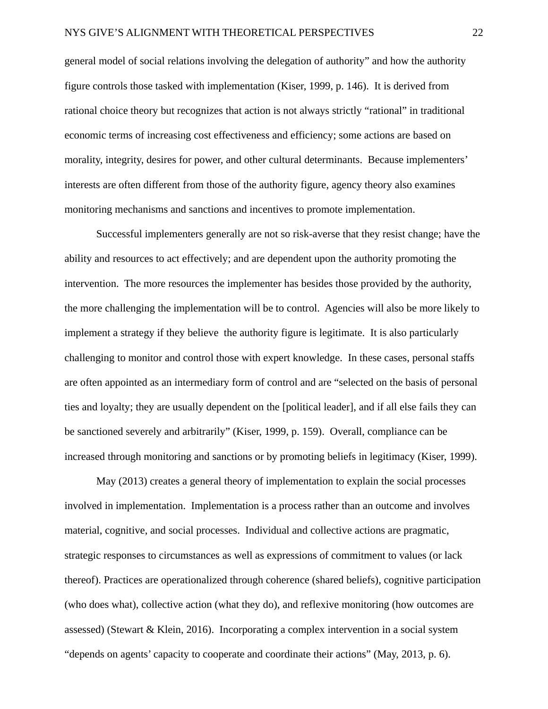general model of social relations involving the delegation of authority" and how the authority figure controls those tasked with implementation (Kiser, 1999, p. 146). It is derived from rational choice theory but recognizes that action is not always strictly "rational" in traditional economic terms of increasing cost effectiveness and efficiency; some actions are based on morality, integrity, desires for power, and other cultural determinants. Because implementers' interests are often different from those of the authority figure, agency theory also examines monitoring mechanisms and sanctions and incentives to promote implementation.

Successful implementers generally are not so risk-averse that they resist change; have the ability and resources to act effectively; and are dependent upon the authority promoting the intervention. The more resources the implementer has besides those provided by the authority, the more challenging the implementation will be to control. Agencies will also be more likely to implement a strategy if they believe the authority figure is legitimate. It is also particularly challenging to monitor and control those with expert knowledge. In these cases, personal staffs are often appointed as an intermediary form of control and are "selected on the basis of personal ties and loyalty; they are usually dependent on the [political leader], and if all else fails they can be sanctioned severely and arbitrarily" (Kiser, 1999, p. 159). Overall, compliance can be increased through monitoring and sanctions or by promoting beliefs in legitimacy (Kiser, 1999).

May (2013) creates a general theory of implementation to explain the social processes involved in implementation. Implementation is a process rather than an outcome and involves material, cognitive, and social processes. Individual and collective actions are pragmatic, strategic responses to circumstances as well as expressions of commitment to values (or lack thereof). Practices are operationalized through coherence (shared beliefs), cognitive participation (who does what), collective action (what they do), and reflexive monitoring (how outcomes are assessed) (Stewart & Klein, 2016). Incorporating a complex intervention in a social system "depends on agents' capacity to cooperate and coordinate their actions" (May, 2013, p. 6).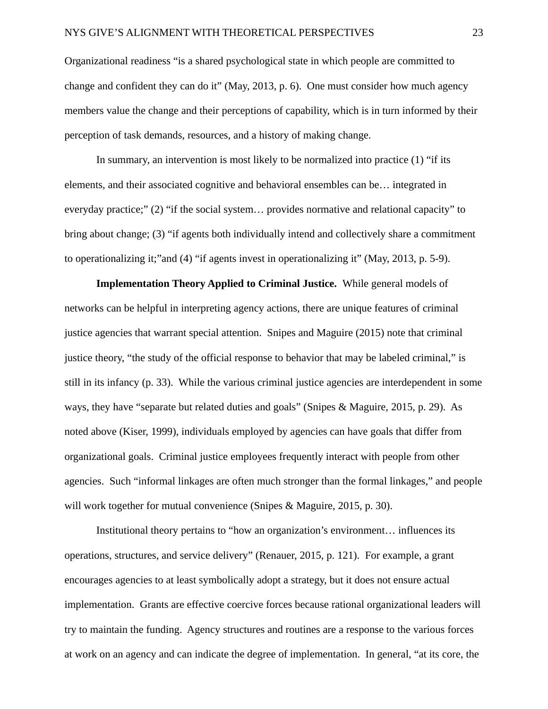Organizational readiness "is a shared psychological state in which people are committed to change and confident they can do it" (May, 2013, p. 6). One must consider how much agency members value the change and their perceptions of capability, which is in turn informed by their perception of task demands, resources, and a history of making change.

In summary, an intervention is most likely to be normalized into practice (1) "if its elements, and their associated cognitive and behavioral ensembles can be… integrated in everyday practice;" (2) "if the social system… provides normative and relational capacity" to bring about change; (3) "if agents both individually intend and collectively share a commitment to operationalizing it;"and (4) "if agents invest in operationalizing it" (May, 2013, p. 5-9).

**Implementation Theory Applied to Criminal Justice.** While general models of networks can be helpful in interpreting agency actions, there are unique features of criminal justice agencies that warrant special attention. Snipes and Maguire (2015) note that criminal justice theory, "the study of the official response to behavior that may be labeled criminal," is still in its infancy (p. 33). While the various criminal justice agencies are interdependent in some ways, they have "separate but related duties and goals" (Snipes & Maguire, 2015, p. 29). As noted above (Kiser, 1999), individuals employed by agencies can have goals that differ from organizational goals. Criminal justice employees frequently interact with people from other agencies. Such "informal linkages are often much stronger than the formal linkages," and people will work together for mutual convenience (Snipes & Maguire, 2015, p. 30).

Institutional theory pertains to "how an organization's environment… influences its operations, structures, and service delivery" (Renauer, 2015, p. 121). For example, a grant encourages agencies to at least symbolically adopt a strategy, but it does not ensure actual implementation. Grants are effective coercive forces because rational organizational leaders will try to maintain the funding. Agency structures and routines are a response to the various forces at work on an agency and can indicate the degree of implementation. In general, "at its core, the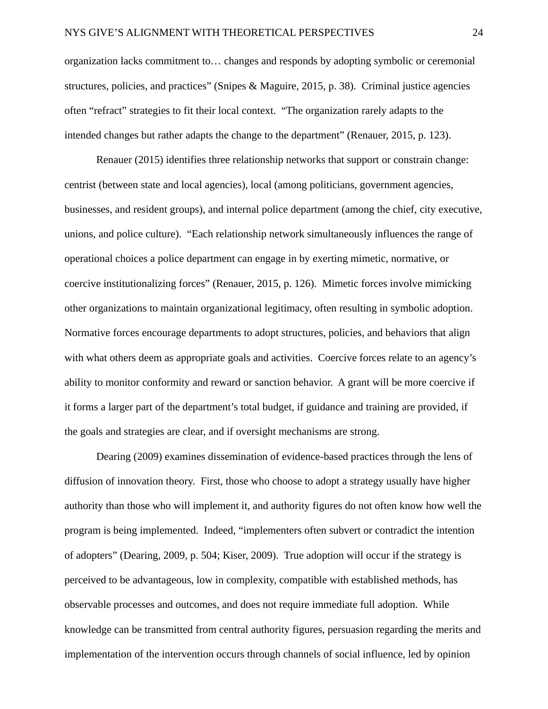organization lacks commitment to… changes and responds by adopting symbolic or ceremonial structures, policies, and practices" (Snipes & Maguire, 2015, p. 38). Criminal justice agencies often "refract" strategies to fit their local context. "The organization rarely adapts to the intended changes but rather adapts the change to the department" (Renauer, 2015, p. 123).

Renauer (2015) identifies three relationship networks that support or constrain change: centrist (between state and local agencies), local (among politicians, government agencies, businesses, and resident groups), and internal police department (among the chief, city executive, unions, and police culture). "Each relationship network simultaneously influences the range of operational choices a police department can engage in by exerting mimetic, normative, or coercive institutionalizing forces" (Renauer, 2015, p. 126). Mimetic forces involve mimicking other organizations to maintain organizational legitimacy, often resulting in symbolic adoption. Normative forces encourage departments to adopt structures, policies, and behaviors that align with what others deem as appropriate goals and activities. Coercive forces relate to an agency's ability to monitor conformity and reward or sanction behavior. A grant will be more coercive if it forms a larger part of the department's total budget, if guidance and training are provided, if the goals and strategies are clear, and if oversight mechanisms are strong.

Dearing (2009) examines dissemination of evidence-based practices through the lens of diffusion of innovation theory. First, those who choose to adopt a strategy usually have higher authority than those who will implement it, and authority figures do not often know how well the program is being implemented. Indeed, "implementers often subvert or contradict the intention of adopters" (Dearing, 2009, p. 504; Kiser, 2009). True adoption will occur if the strategy is perceived to be advantageous, low in complexity, compatible with established methods, has observable processes and outcomes, and does not require immediate full adoption. While knowledge can be transmitted from central authority figures, persuasion regarding the merits and implementation of the intervention occurs through channels of social influence, led by opinion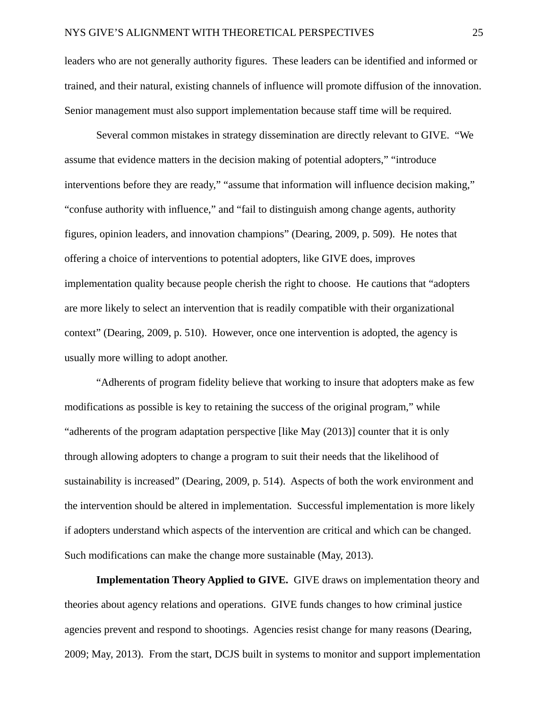leaders who are not generally authority figures. These leaders can be identified and informed or trained, and their natural, existing channels of influence will promote diffusion of the innovation. Senior management must also support implementation because staff time will be required.

Several common mistakes in strategy dissemination are directly relevant to GIVE. "We assume that evidence matters in the decision making of potential adopters," "introduce interventions before they are ready," "assume that information will influence decision making," "confuse authority with influence," and "fail to distinguish among change agents, authority figures, opinion leaders, and innovation champions" (Dearing, 2009, p. 509). He notes that offering a choice of interventions to potential adopters, like GIVE does, improves implementation quality because people cherish the right to choose. He cautions that "adopters are more likely to select an intervention that is readily compatible with their organizational context" (Dearing, 2009, p. 510). However, once one intervention is adopted, the agency is usually more willing to adopt another.

"Adherents of program fidelity believe that working to insure that adopters make as few modifications as possible is key to retaining the success of the original program," while "adherents of the program adaptation perspective [like May (2013)] counter that it is only through allowing adopters to change a program to suit their needs that the likelihood of sustainability is increased" (Dearing, 2009, p. 514). Aspects of both the work environment and the intervention should be altered in implementation. Successful implementation is more likely if adopters understand which aspects of the intervention are critical and which can be changed. Such modifications can make the change more sustainable (May, 2013).

**Implementation Theory Applied to GIVE.** GIVE draws on implementation theory and theories about agency relations and operations. GIVE funds changes to how criminal justice agencies prevent and respond to shootings. Agencies resist change for many reasons (Dearing, 2009; May, 2013). From the start, DCJS built in systems to monitor and support implementation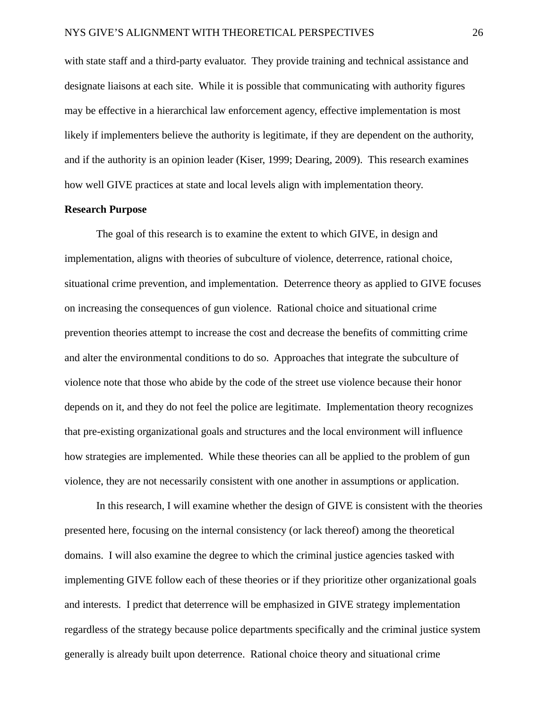with state staff and a third-party evaluator. They provide training and technical assistance and designate liaisons at each site. While it is possible that communicating with authority figures may be effective in a hierarchical law enforcement agency, effective implementation is most likely if implementers believe the authority is legitimate, if they are dependent on the authority, and if the authority is an opinion leader (Kiser, 1999; Dearing, 2009). This research examines how well GIVE practices at state and local levels align with implementation theory.

#### <span id="page-27-0"></span>**Research Purpose**

The goal of this research is to examine the extent to which GIVE, in design and implementation, aligns with theories of subculture of violence, deterrence, rational choice, situational crime prevention, and implementation. Deterrence theory as applied to GIVE focuses on increasing the consequences of gun violence. Rational choice and situational crime prevention theories attempt to increase the cost and decrease the benefits of committing crime and alter the environmental conditions to do so. Approaches that integrate the subculture of violence note that those who abide by the code of the street use violence because their honor depends on it, and they do not feel the police are legitimate. Implementation theory recognizes that pre-existing organizational goals and structures and the local environment will influence how strategies are implemented. While these theories can all be applied to the problem of gun violence, they are not necessarily consistent with one another in assumptions or application.

In this research, I will examine whether the design of GIVE is consistent with the theories presented here, focusing on the internal consistency (or lack thereof) among the theoretical domains. I will also examine the degree to which the criminal justice agencies tasked with implementing GIVE follow each of these theories or if they prioritize other organizational goals and interests. I predict that deterrence will be emphasized in GIVE strategy implementation regardless of the strategy because police departments specifically and the criminal justice system generally is already built upon deterrence. Rational choice theory and situational crime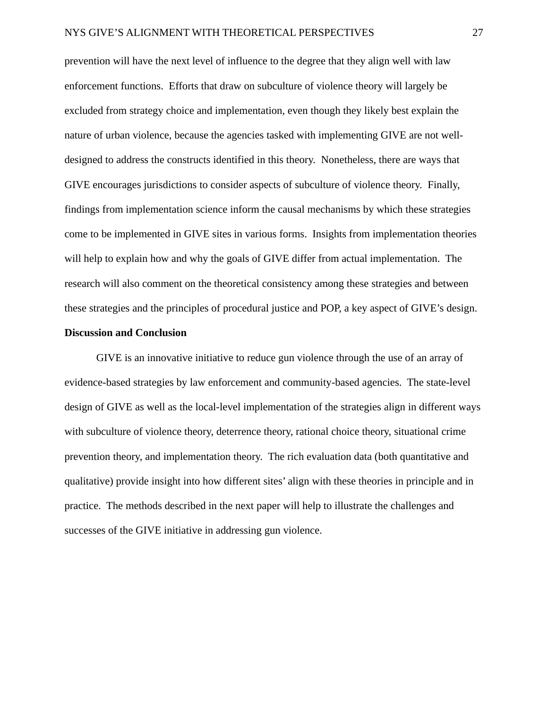prevention will have the next level of influence to the degree that they align well with law enforcement functions. Efforts that draw on subculture of violence theory will largely be excluded from strategy choice and implementation, even though they likely best explain the nature of urban violence, because the agencies tasked with implementing GIVE are not welldesigned to address the constructs identified in this theory. Nonetheless, there are ways that GIVE encourages jurisdictions to consider aspects of subculture of violence theory. Finally, findings from implementation science inform the causal mechanisms by which these strategies come to be implemented in GIVE sites in various forms. Insights from implementation theories will help to explain how and why the goals of GIVE differ from actual implementation. The research will also comment on the theoretical consistency among these strategies and between these strategies and the principles of procedural justice and POP, a key aspect of GIVE's design.

#### <span id="page-28-0"></span>**Discussion and Conclusion**

GIVE is an innovative initiative to reduce gun violence through the use of an array of evidence-based strategies by law enforcement and community-based agencies. The state-level design of GIVE as well as the local-level implementation of the strategies align in different ways with subculture of violence theory, deterrence theory, rational choice theory, situational crime prevention theory, and implementation theory. The rich evaluation data (both quantitative and qualitative) provide insight into how different sites' align with these theories in principle and in practice. The methods described in the next paper will help to illustrate the challenges and successes of the GIVE initiative in addressing gun violence.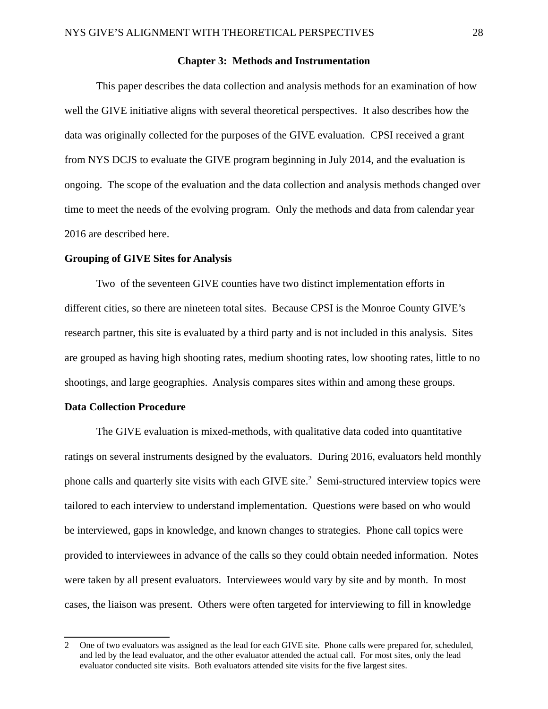#### <span id="page-29-2"></span>**Chapter 3: Methods and Instrumentation**

This paper describes the data collection and analysis methods for an examination of how well the GIVE initiative aligns with several theoretical perspectives. It also describes how the data was originally collected for the purposes of the GIVE evaluation. CPSI received a grant from NYS DCJS to evaluate the GIVE program beginning in July 2014, and the evaluation is ongoing. The scope of the evaluation and the data collection and analysis methods changed over time to meet the needs of the evolving program. Only the methods and data from calendar year 2016 are described here.

#### <span id="page-29-1"></span>**Grouping of GIVE Sites for Analysis**

Two of the seventeen GIVE counties have two distinct implementation efforts in different cities, so there are nineteen total sites. Because CPSI is the Monroe County GIVE's research partner, this site is evaluated by a third party and is not included in this analysis. Sites are grouped as having high shooting rates, medium shooting rates, low shooting rates, little to no shootings, and large geographies. Analysis compares sites within and among these groups.

#### <span id="page-29-0"></span>**Data Collection Procedure**

The GIVE evaluation is mixed-methods, with qualitative data coded into quantitative ratings on several instruments designed by the evaluators. During 2016, evaluators held monthly phone calls and quarterly site visits with each GIVE site.<sup>[2](#page-29-3)</sup> Semi-structured interview topics were tailored to each interview to understand implementation. Questions were based on who would be interviewed, gaps in knowledge, and known changes to strategies. Phone call topics were provided to interviewees in advance of the calls so they could obtain needed information. Notes were taken by all present evaluators. Interviewees would vary by site and by month. In most cases, the liaison was present. Others were often targeted for interviewing to fill in knowledge

<span id="page-29-3"></span><sup>2</sup> One of two evaluators was assigned as the lead for each GIVE site. Phone calls were prepared for, scheduled, and led by the lead evaluator, and the other evaluator attended the actual call. For most sites, only the lead evaluator conducted site visits. Both evaluators attended site visits for the five largest sites.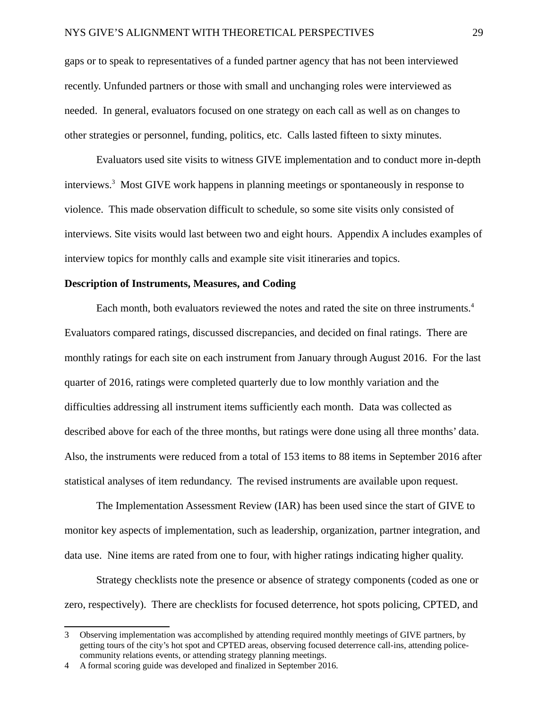gaps or to speak to representatives of a funded partner agency that has not been interviewed recently. Unfunded partners or those with small and unchanging roles were interviewed as needed. In general, evaluators focused on one strategy on each call as well as on changes to other strategies or personnel, funding, politics, etc. Calls lasted fifteen to sixty minutes.

Evaluators used site visits to witness GIVE implementation and to conduct more in-depth interviews.<sup>[3](#page-30-1)</sup> Most GIVE work happens in planning meetings or spontaneously in response to violence. This made observation difficult to schedule, so some site visits only consisted of interviews. Site visits would last between two and eight hours. Appendix A includes examples of interview topics for monthly calls and example site visit itineraries and topics.

#### <span id="page-30-0"></span>**Description of Instruments, Measures, and Coding**

Each month, both evaluators reviewed the notes and rated the site on three instruments.<sup>[4](#page-30-2)</sup> Evaluators compared ratings, discussed discrepancies, and decided on final ratings. There are monthly ratings for each site on each instrument from January through August 2016. For the last quarter of 2016, ratings were completed quarterly due to low monthly variation and the difficulties addressing all instrument items sufficiently each month. Data was collected as described above for each of the three months, but ratings were done using all three months' data. Also, the instruments were reduced from a total of 153 items to 88 items in September 2016 after statistical analyses of item redundancy. The revised instruments are available upon request.

The Implementation Assessment Review (IAR) has been used since the start of GIVE to monitor key aspects of implementation, such as leadership, organization, partner integration, and data use. Nine items are rated from one to four, with higher ratings indicating higher quality.

Strategy checklists note the presence or absence of strategy components (coded as one or zero, respectively). There are checklists for focused deterrence, hot spots policing, CPTED, and

<span id="page-30-1"></span><sup>3</sup> Observing implementation was accomplished by attending required monthly meetings of GIVE partners, by getting tours of the city's hot spot and CPTED areas, observing focused deterrence call-ins, attending policecommunity relations events, or attending strategy planning meetings.

<span id="page-30-2"></span><sup>4</sup> A formal scoring guide was developed and finalized in September 2016.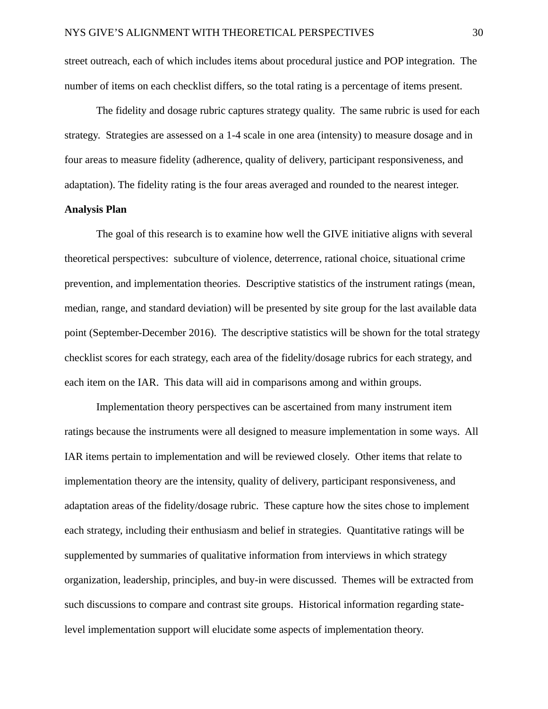street outreach, each of which includes items about procedural justice and POP integration. The number of items on each checklist differs, so the total rating is a percentage of items present.

The fidelity and dosage rubric captures strategy quality. The same rubric is used for each strategy. Strategies are assessed on a 1-4 scale in one area (intensity) to measure dosage and in four areas to measure fidelity (adherence, quality of delivery, participant responsiveness, and adaptation). The fidelity rating is the four areas averaged and rounded to the nearest integer.

#### <span id="page-31-0"></span>**Analysis Plan**

The goal of this research is to examine how well the GIVE initiative aligns with several theoretical perspectives: subculture of violence, deterrence, rational choice, situational crime prevention, and implementation theories. Descriptive statistics of the instrument ratings (mean, median, range, and standard deviation) will be presented by site group for the last available data point (September-December 2016). The descriptive statistics will be shown for the total strategy checklist scores for each strategy, each area of the fidelity/dosage rubrics for each strategy, and each item on the IAR. This data will aid in comparisons among and within groups.

Implementation theory perspectives can be ascertained from many instrument item ratings because the instruments were all designed to measure implementation in some ways. All IAR items pertain to implementation and will be reviewed closely. Other items that relate to implementation theory are the intensity, quality of delivery, participant responsiveness, and adaptation areas of the fidelity/dosage rubric. These capture how the sites chose to implement each strategy, including their enthusiasm and belief in strategies. Quantitative ratings will be supplemented by summaries of qualitative information from interviews in which strategy organization, leadership, principles, and buy-in were discussed. Themes will be extracted from such discussions to compare and contrast site groups. Historical information regarding statelevel implementation support will elucidate some aspects of implementation theory.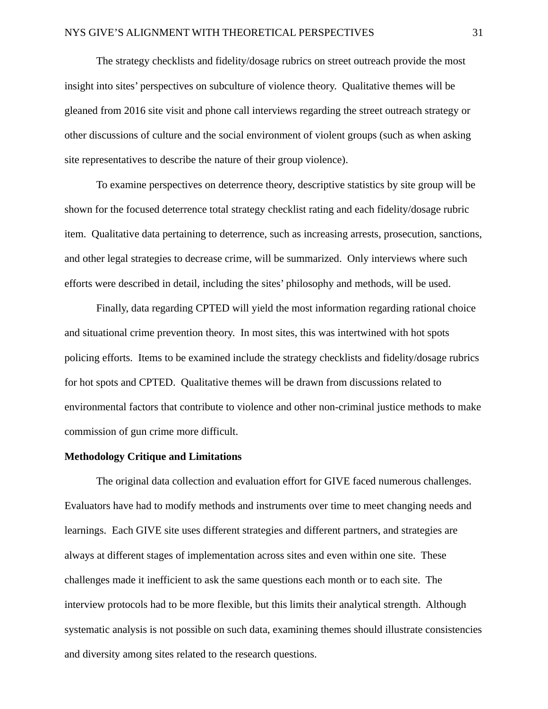The strategy checklists and fidelity/dosage rubrics on street outreach provide the most insight into sites' perspectives on subculture of violence theory. Qualitative themes will be gleaned from 2016 site visit and phone call interviews regarding the street outreach strategy or other discussions of culture and the social environment of violent groups (such as when asking site representatives to describe the nature of their group violence).

To examine perspectives on deterrence theory, descriptive statistics by site group will be shown for the focused deterrence total strategy checklist rating and each fidelity/dosage rubric item. Qualitative data pertaining to deterrence, such as increasing arrests, prosecution, sanctions, and other legal strategies to decrease crime, will be summarized. Only interviews where such efforts were described in detail, including the sites' philosophy and methods, will be used.

Finally, data regarding CPTED will yield the most information regarding rational choice and situational crime prevention theory. In most sites, this was intertwined with hot spots policing efforts. Items to be examined include the strategy checklists and fidelity/dosage rubrics for hot spots and CPTED. Qualitative themes will be drawn from discussions related to environmental factors that contribute to violence and other non-criminal justice methods to make commission of gun crime more difficult.

#### <span id="page-32-0"></span>**Methodology Critique and Limitations**

The original data collection and evaluation effort for GIVE faced numerous challenges. Evaluators have had to modify methods and instruments over time to meet changing needs and learnings. Each GIVE site uses different strategies and different partners, and strategies are always at different stages of implementation across sites and even within one site. These challenges made it inefficient to ask the same questions each month or to each site. The interview protocols had to be more flexible, but this limits their analytical strength. Although systematic analysis is not possible on such data, examining themes should illustrate consistencies and diversity among sites related to the research questions.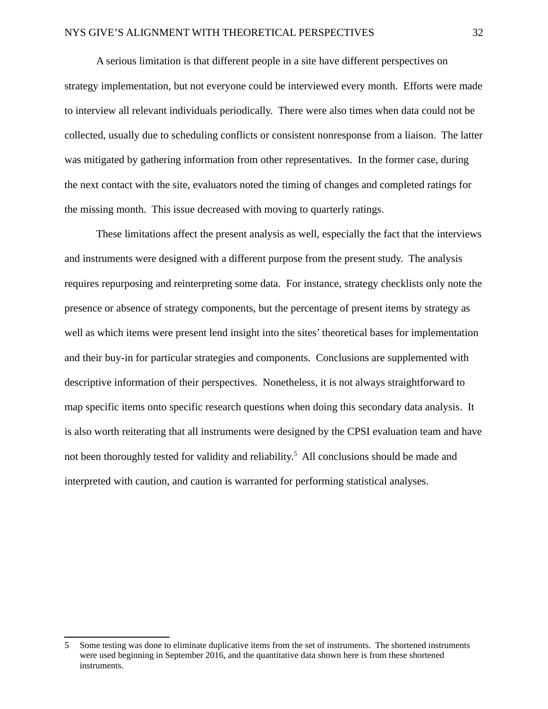A serious limitation is that different people in a site have different perspectives on strategy implementation, but not everyone could be interviewed every month. Efforts were made to interview all relevant individuals periodically. There were also times when data could not be collected, usually due to scheduling conflicts or consistent nonresponse from a liaison. The latter was mitigated by gathering information from other representatives. In the former case, during the next contact with the site, evaluators noted the timing of changes and completed ratings for the missing month. This issue decreased with moving to quarterly ratings.

These limitations affect the present analysis as well, especially the fact that the interviews and instruments were designed with a different purpose from the present study. The analysis requires repurposing and reinterpreting some data. For instance, strategy checklists only note the presence or absence of strategy components, but the percentage of present items by strategy as well as which items were present lend insight into the sites' theoretical bases for implementation and their buy-in for particular strategies and components. Conclusions are supplemented with descriptive information of their perspectives. Nonetheless, it is not always straightforward to map specific items onto specific research questions when doing this secondary data analysis. It is also worth reiterating that all instruments were designed by the CPSI evaluation team and have not been thoroughly tested for validity and reliability.<sup>[5](#page-33-0)</sup> All conclusions should be made and interpreted with caution, and caution is warranted for performing statistical analyses.

<span id="page-33-0"></span><sup>5</sup> Some testing was done to eliminate duplicative items from the set of instruments. The shortened instruments were used beginning in September 2016, and the quantitative data shown here is from these shortened instruments.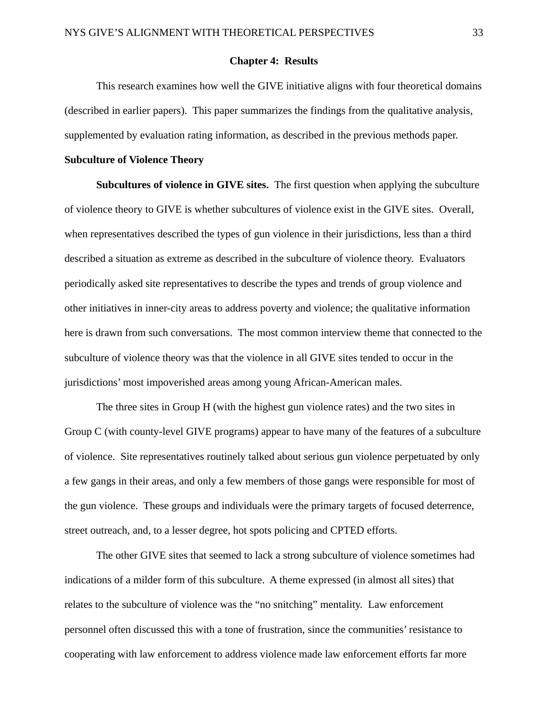#### <span id="page-34-1"></span>**Chapter 4: Results**

This research examines how well the GIVE initiative aligns with four theoretical domains (described in earlier papers). This paper summarizes the findings from the qualitative analysis, supplemented by evaluation rating information, as described in the previous methods paper.

#### <span id="page-34-0"></span>**Subculture of Violence Theory**

**Subcultures of violence in GIVE sites.** The first question when applying the subculture of violence theory to GIVE is whether subcultures of violence exist in the GIVE sites. Overall, when representatives described the types of gun violence in their jurisdictions, less than a third described a situation as extreme as described in the subculture of violence theory. Evaluators periodically asked site representatives to describe the types and trends of group violence and other initiatives in inner-city areas to address poverty and violence; the qualitative information here is drawn from such conversations. The most common interview theme that connected to the subculture of violence theory was that the violence in all GIVE sites tended to occur in the jurisdictions' most impoverished areas among young African-American males.

The three sites in Group H (with the highest gun violence rates) and the two sites in Group C (with county-level GIVE programs) appear to have many of the features of a subculture of violence. Site representatives routinely talked about serious gun violence perpetuated by only a few gangs in their areas, and only a few members of those gangs were responsible for most of the gun violence. These groups and individuals were the primary targets of focused deterrence, street outreach, and, to a lesser degree, hot spots policing and CPTED efforts.

The other GIVE sites that seemed to lack a strong subculture of violence sometimes had indications of a milder form of this subculture. A theme expressed (in almost all sites) that relates to the subculture of violence was the "no snitching" mentality. Law enforcement personnel often discussed this with a tone of frustration, since the communities' resistance to cooperating with law enforcement to address violence made law enforcement efforts far more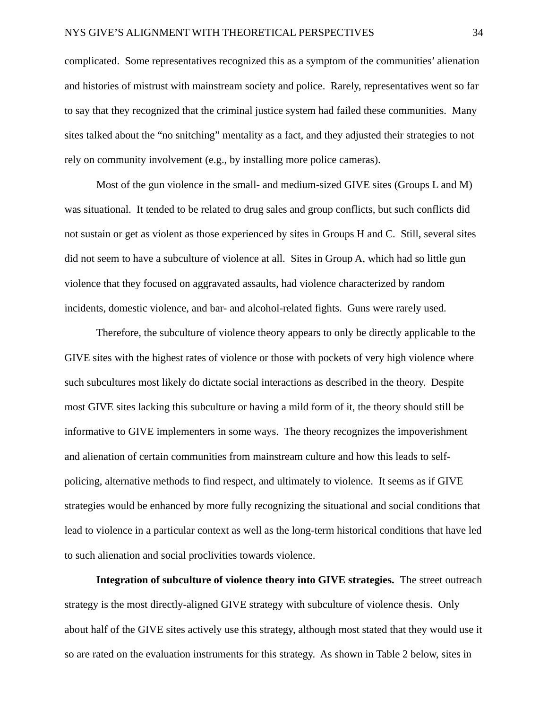complicated. Some representatives recognized this as a symptom of the communities' alienation and histories of mistrust with mainstream society and police. Rarely, representatives went so far to say that they recognized that the criminal justice system had failed these communities. Many sites talked about the "no snitching" mentality as a fact, and they adjusted their strategies to not rely on community involvement (e.g., by installing more police cameras).

Most of the gun violence in the small- and medium-sized GIVE sites (Groups L and M) was situational. It tended to be related to drug sales and group conflicts, but such conflicts did not sustain or get as violent as those experienced by sites in Groups H and C. Still, several sites did not seem to have a subculture of violence at all. Sites in Group A, which had so little gun violence that they focused on aggravated assaults, had violence characterized by random incidents, domestic violence, and bar- and alcohol-related fights. Guns were rarely used.

Therefore, the subculture of violence theory appears to only be directly applicable to the GIVE sites with the highest rates of violence or those with pockets of very high violence where such subcultures most likely do dictate social interactions as described in the theory. Despite most GIVE sites lacking this subculture or having a mild form of it, the theory should still be informative to GIVE implementers in some ways. The theory recognizes the impoverishment and alienation of certain communities from mainstream culture and how this leads to selfpolicing, alternative methods to find respect, and ultimately to violence. It seems as if GIVE strategies would be enhanced by more fully recognizing the situational and social conditions that lead to violence in a particular context as well as the long-term historical conditions that have led to such alienation and social proclivities towards violence.

**Integration of subculture of violence theory into GIVE strategies.** The street outreach strategy is the most directly-aligned GIVE strategy with subculture of violence thesis. Only about half of the GIVE sites actively use this strategy, although most stated that they would use it so are rated on the evaluation instruments for this strategy. As shown in Table 2 below, sites in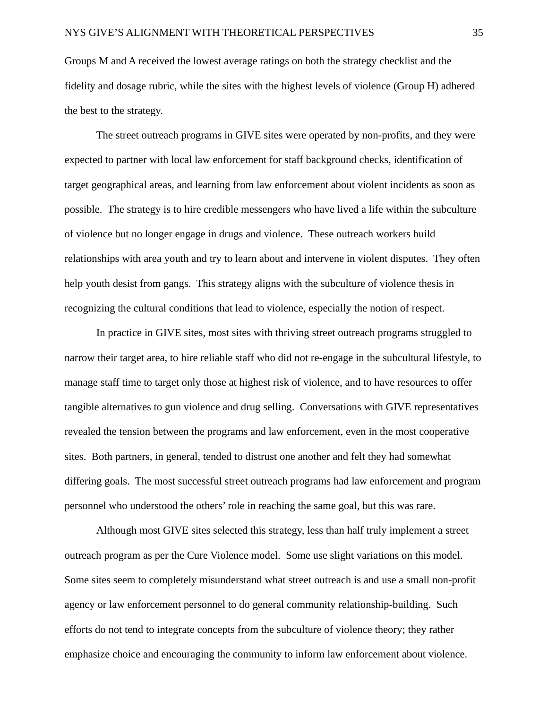Groups M and A received the lowest average ratings on both the strategy checklist and the fidelity and dosage rubric, while the sites with the highest levels of violence (Group H) adhered the best to the strategy.

The street outreach programs in GIVE sites were operated by non-profits, and they were expected to partner with local law enforcement for staff background checks, identification of target geographical areas, and learning from law enforcement about violent incidents as soon as possible. The strategy is to hire credible messengers who have lived a life within the subculture of violence but no longer engage in drugs and violence. These outreach workers build relationships with area youth and try to learn about and intervene in violent disputes. They often help youth desist from gangs. This strategy aligns with the subculture of violence thesis in recognizing the cultural conditions that lead to violence, especially the notion of respect.

In practice in GIVE sites, most sites with thriving street outreach programs struggled to narrow their target area, to hire reliable staff who did not re-engage in the subcultural lifestyle, to manage staff time to target only those at highest risk of violence, and to have resources to offer tangible alternatives to gun violence and drug selling. Conversations with GIVE representatives revealed the tension between the programs and law enforcement, even in the most cooperative sites. Both partners, in general, tended to distrust one another and felt they had somewhat differing goals. The most successful street outreach programs had law enforcement and program personnel who understood the others' role in reaching the same goal, but this was rare.

Although most GIVE sites selected this strategy, less than half truly implement a street outreach program as per the Cure Violence model. Some use slight variations on this model. Some sites seem to completely misunderstand what street outreach is and use a small non-profit agency or law enforcement personnel to do general community relationship-building. Such efforts do not tend to integrate concepts from the subculture of violence theory; they rather emphasize choice and encouraging the community to inform law enforcement about violence.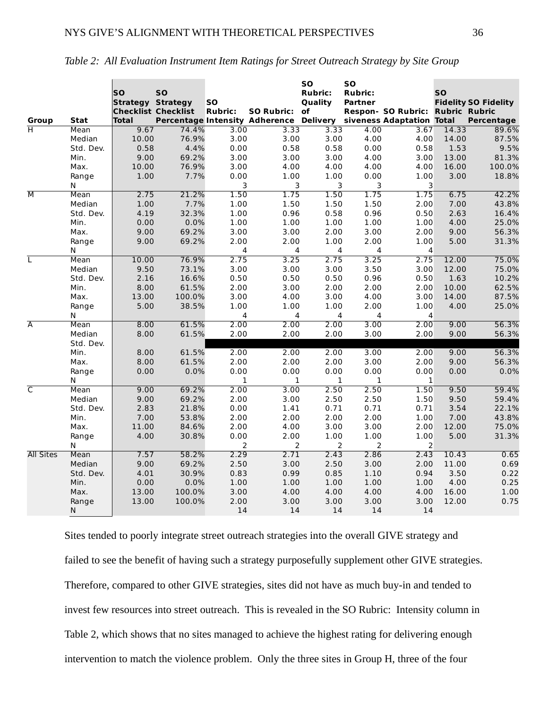|                         |            | <b>SO</b><br><b>Strategy Strategy</b> | <b>SO</b><br><b>Checklist Checklist</b> | <b>SO</b><br><b>Rubric:</b> | SO Rubric: of                                                     | <b>SO</b><br><b>Rubric:</b><br>Quality | <b>SO</b><br><b>Rubric:</b><br><b>Partner</b> | Respon- SO Rubric: Rubric Rubric | <b>SO</b> | <b>Fidelity SO Fidelity</b> |
|-------------------------|------------|---------------------------------------|-----------------------------------------|-----------------------------|-------------------------------------------------------------------|----------------------------------------|-----------------------------------------------|----------------------------------|-----------|-----------------------------|
| Group                   | Stat       | Total                                 |                                         |                             | Percentage Intensity Adherence Delivery siveness Adaptation Total |                                        |                                               |                                  |           | Percentage                  |
| $\overline{\mathsf{H}}$ | Mean       | 9.67                                  | 74.4%                                   | 3.00                        | 3.33                                                              | 3.33                                   | 4.00                                          | 3.67                             | 14.33     | 89.6%                       |
|                         | Median     | 10.00                                 | 76.9%                                   | 3.00                        | 3.00                                                              | 3.00                                   | 4.00                                          | 4.00                             | 14.00     | 87.5%                       |
|                         | Std. Dev.  | 0.58                                  | 4.4%                                    | 0.00                        | 0.58                                                              | 0.58                                   | 0.00                                          | 0.58                             | 1.53      | 9.5%                        |
|                         | Min.       | 9.00                                  | 69.2%                                   | 3.00                        | 3.00                                                              | 3.00                                   | 4.00                                          | 3.00                             | 13.00     | 81.3%                       |
|                         | Max.       | 10.00                                 | 76.9%                                   | 3.00                        | 4.00                                                              | 4.00                                   | 4.00                                          | 4.00                             | 16.00     | 100.0%                      |
|                         | Range      | 1.00                                  | 7.7%                                    | 0.00                        | 1.00                                                              | 1.00<br>$\mathbf{3}$                   | 0.00<br>$\mathbf{3}$                          | 1.00                             | 3.00      | 18.8%                       |
| $\overline{\mathsf{M}}$ | N<br>Mean  | 2.75                                  | 21.2%                                   | 3<br>1.50                   | 3<br>1.75                                                         | 1.50                                   | 1.75                                          | 3<br>1.75                        | 6.75      | 42.2%                       |
|                         | Median     | 1.00                                  | 7.7%                                    | 1.00                        | 1.50                                                              | 1.50                                   | 1.50                                          | 2.00                             | 7.00      | 43.8%                       |
|                         | Std. Dev.  | 4.19                                  | 32.3%                                   | 1.00                        | 0.96                                                              | 0.58                                   | 0.96                                          | 0.50                             | 2.63      | 16.4%                       |
|                         | Min.       | 0.00                                  | 0.0%                                    | 1.00                        | 1.00                                                              | 1.00                                   | 1.00                                          | 1.00                             | 4.00      | 25.0%                       |
|                         | Max.       | 9.00                                  | 69.2%                                   | 3.00                        | 3.00                                                              | 2.00                                   | 3.00                                          | 2.00                             | 9.00      | 56.3%                       |
|                         |            | 9.00                                  | 69.2%                                   | 2.00                        |                                                                   |                                        | 2.00                                          | 1.00                             | 5.00      |                             |
|                         | Range<br>N |                                       |                                         | 4                           | 2.00<br>4                                                         | 1.00<br>4                              | 4                                             | $\overline{4}$                   |           | 31.3%                       |
| L                       | Mean       | 10.00                                 | 76.9%                                   | 2.75                        | 3.25                                                              | 2.75                                   | 3.25                                          | 2.75                             | 12.00     | 75.0%                       |
|                         | Median     | 9.50                                  | 73.1%                                   | 3.00                        | 3.00                                                              | 3.00                                   | 3.50                                          | 3.00                             | 12.00     | 75.0%                       |
|                         | Std. Dev.  | 2.16                                  | 16.6%                                   | 0.50                        | 0.50                                                              | 0.50                                   | 0.96                                          | 0.50                             | 1.63      | 10.2%                       |
|                         | Min.       | 8.00                                  | 61.5%                                   | 2.00                        | 3.00                                                              | 2.00                                   | 2.00                                          | 2.00                             | 10.00     | 62.5%                       |
|                         | Max.       | 13.00                                 | 100.0%                                  | 3.00                        | 4.00                                                              | 3.00                                   | 4.00                                          | 3.00                             | 14.00     | 87.5%                       |
|                         | Range      | 5.00                                  | 38.5%                                   | 1.00                        | 1.00                                                              | 1.00                                   | 2.00                                          | 1.00                             | 4.00      | 25.0%                       |
|                         | N          |                                       |                                         | $\overline{4}$              | 4                                                                 | $\overline{4}$                         | $\overline{4}$                                | $\overline{4}$                   |           |                             |
| $\overline{\mathsf{A}}$ | Mean       | 8.00                                  | 61.5%                                   | 2.00                        | 2.00                                                              | 2.00                                   | 3.00                                          | 2.00                             | 9.00      | 56.3%                       |
|                         | Median     | 8.00                                  | 61.5%                                   | 2.00                        | 2.00                                                              | 2.00                                   | 3.00                                          | 2.00                             | 9.00      | 56.3%                       |
|                         | Std. Dev.  |                                       |                                         |                             |                                                                   |                                        |                                               |                                  |           |                             |
|                         | Min.       | 8.00                                  | 61.5%                                   | 2.00                        | 2.00                                                              | 2.00                                   | 3.00                                          | 2.00                             | 9.00      | 56.3%                       |
|                         | Max.       | 8.00                                  | 61.5%                                   | 2.00                        | 2.00                                                              | 2.00                                   | 3.00                                          | 2.00                             | 9.00      | 56.3%                       |
|                         | Range      | 0.00                                  | 0.0%                                    | 0.00                        | 0.00                                                              | 0.00                                   | 0.00                                          | 0.00                             | 0.00      | 0.0%                        |
|                         | N          |                                       |                                         | $\mathbf{1}$                | $\mathbf{1}$                                                      | $\mathbf{1}$                           | $\mathbf{1}$                                  | $\mathbf{1}$                     |           |                             |
| $\overline{\mathsf{C}}$ | Mean       | 9.00                                  | 69.2%                                   | 2.00                        | 3.00                                                              | 2.50                                   | 2.50                                          | 1.50                             | 9.50      | 59.4%                       |
|                         | Median     | 9.00                                  | 69.2%                                   | 2.00                        | 3.00                                                              | 2.50                                   | 2.50                                          | 1.50                             | 9.50      | 59.4%                       |
|                         | Std. Dev.  | 2.83                                  | 21.8%                                   | 0.00                        | 1.41                                                              | 0.71                                   | 0.71                                          | 0.71                             | 3.54      | 22.1%                       |
|                         | Min.       | 7.00                                  | 53.8%                                   | 2.00                        | 2.00                                                              | 2.00                                   | 2.00                                          | 1.00                             | 7.00      | 43.8%                       |
|                         | Max.       | 11.00                                 | 84.6%                                   | 2.00                        | 4.00                                                              | 3.00                                   | 3.00                                          | 2.00                             | 12.00     | 75.0%                       |
|                         | Range      | 4.00                                  | 30.8%                                   | 0.00                        | 2.00                                                              | 1.00                                   | 1.00                                          | 1.00                             | 5.00      | 31.3%                       |
|                         | N          |                                       |                                         | $\overline{2}$              | $\overline{2}$                                                    | $\overline{2}$                         | $\overline{2}$                                | $\overline{2}$                   |           |                             |
| <b>All Sites</b>        | Mean       | 7.57                                  | 58.2%                                   | 2.29                        | 2.71                                                              | 2.43                                   | 2.86                                          | 2.43                             | 10.43     | 0.65                        |
|                         | Median     | 9.00                                  | 69.2%                                   | 2.50                        | 3.00                                                              | 2.50                                   | 3.00                                          | 2.00                             | 11.00     | 0.69                        |
|                         | Std. Dev.  | 4.01                                  | 30.9%                                   | 0.83                        | 0.99                                                              | 0.85                                   | 1.10                                          | 0.94                             | 3.50      | 0.22                        |
|                         | Min.       | 0.00                                  | 0.0%                                    | 1.00                        | 1.00                                                              | 1.00                                   | 1.00                                          | 1.00                             | 4.00      | 0.25                        |
|                         | Max.       | 13.00                                 | 100.0%                                  | 3.00                        | 4.00                                                              | 4.00                                   | 4.00                                          | 4.00                             | 16.00     | 1.00                        |
|                         | Range      | 13.00                                 | 100.0%                                  | 2.00                        | 3.00                                                              | 3.00                                   | 3.00                                          | 3.00                             | 12.00     | 0.75                        |
|                         | N          |                                       |                                         | 14                          | 14                                                                | 14                                     | 14                                            | 14                               |           |                             |

| Table 2: All Evaluation Instrument Item Ratings for Street Outreach Strategy by Site Group |  |  |  |  |
|--------------------------------------------------------------------------------------------|--|--|--|--|
|                                                                                            |  |  |  |  |

Sites tended to poorly integrate street outreach strategies into the overall GIVE strategy and failed to see the benefit of having such a strategy purposefully supplement other GIVE strategies. Therefore, compared to other GIVE strategies, sites did not have as much buy-in and tended to invest few resources into street outreach. This is revealed in the SO Rubric: Intensity column in Table 2, which shows that no sites managed to achieve the highest rating for delivering enough intervention to match the violence problem. Only the three sites in Group H, three of the four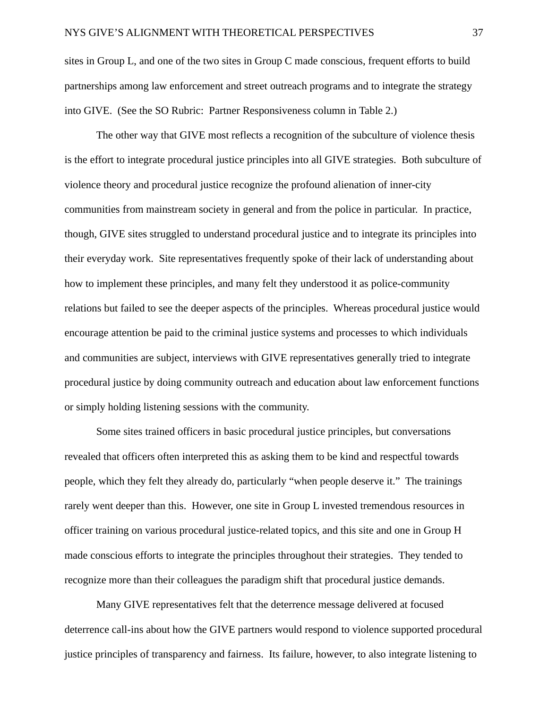sites in Group L, and one of the two sites in Group C made conscious, frequent efforts to build partnerships among law enforcement and street outreach programs and to integrate the strategy into GIVE. (See the SO Rubric: Partner Responsiveness column in Table 2.)

The other way that GIVE most reflects a recognition of the subculture of violence thesis is the effort to integrate procedural justice principles into all GIVE strategies. Both subculture of violence theory and procedural justice recognize the profound alienation of inner-city communities from mainstream society in general and from the police in particular. In practice, though, GIVE sites struggled to understand procedural justice and to integrate its principles into their everyday work. Site representatives frequently spoke of their lack of understanding about how to implement these principles, and many felt they understood it as police-community relations but failed to see the deeper aspects of the principles. Whereas procedural justice would encourage attention be paid to the criminal justice systems and processes to which individuals and communities are subject, interviews with GIVE representatives generally tried to integrate procedural justice by doing community outreach and education about law enforcement functions or simply holding listening sessions with the community.

Some sites trained officers in basic procedural justice principles, but conversations revealed that officers often interpreted this as asking them to be kind and respectful towards people, which they felt they already do, particularly "when people deserve it." The trainings rarely went deeper than this. However, one site in Group L invested tremendous resources in officer training on various procedural justice-related topics, and this site and one in Group H made conscious efforts to integrate the principles throughout their strategies. They tended to recognize more than their colleagues the paradigm shift that procedural justice demands.

Many GIVE representatives felt that the deterrence message delivered at focused deterrence call-ins about how the GIVE partners would respond to violence supported procedural justice principles of transparency and fairness. Its failure, however, to also integrate listening to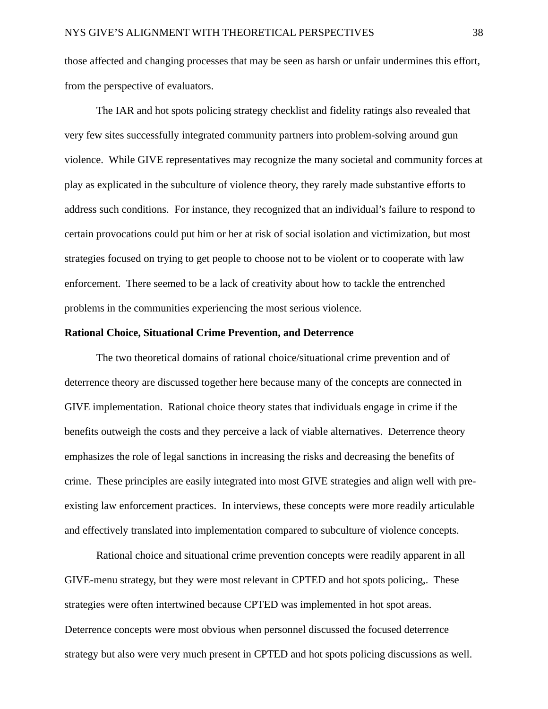those affected and changing processes that may be seen as harsh or unfair undermines this effort, from the perspective of evaluators.

The IAR and hot spots policing strategy checklist and fidelity ratings also revealed that very few sites successfully integrated community partners into problem-solving around gun violence. While GIVE representatives may recognize the many societal and community forces at play as explicated in the subculture of violence theory, they rarely made substantive efforts to address such conditions. For instance, they recognized that an individual's failure to respond to certain provocations could put him or her at risk of social isolation and victimization, but most strategies focused on trying to get people to choose not to be violent or to cooperate with law enforcement. There seemed to be a lack of creativity about how to tackle the entrenched problems in the communities experiencing the most serious violence.

#### **Rational Choice, Situational Crime Prevention, and Deterrence**

The two theoretical domains of rational choice/situational crime prevention and of deterrence theory are discussed together here because many of the concepts are connected in GIVE implementation. Rational choice theory states that individuals engage in crime if the benefits outweigh the costs and they perceive a lack of viable alternatives. Deterrence theory emphasizes the role of legal sanctions in increasing the risks and decreasing the benefits of crime. These principles are easily integrated into most GIVE strategies and align well with preexisting law enforcement practices. In interviews, these concepts were more readily articulable and effectively translated into implementation compared to subculture of violence concepts.

Rational choice and situational crime prevention concepts were readily apparent in all GIVE-menu strategy, but they were most relevant in CPTED and hot spots policing,. These strategies were often intertwined because CPTED was implemented in hot spot areas. Deterrence concepts were most obvious when personnel discussed the focused deterrence strategy but also were very much present in CPTED and hot spots policing discussions as well.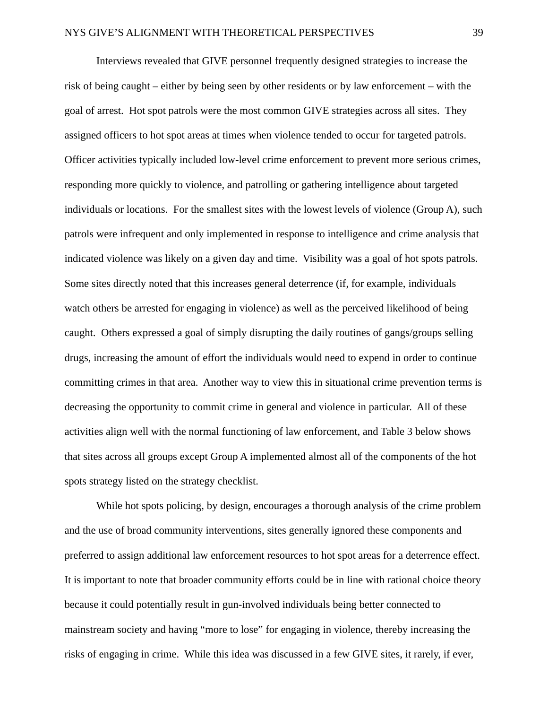Interviews revealed that GIVE personnel frequently designed strategies to increase the risk of being caught – either by being seen by other residents or by law enforcement – with the goal of arrest. Hot spot patrols were the most common GIVE strategies across all sites. They assigned officers to hot spot areas at times when violence tended to occur for targeted patrols. Officer activities typically included low-level crime enforcement to prevent more serious crimes, responding more quickly to violence, and patrolling or gathering intelligence about targeted individuals or locations. For the smallest sites with the lowest levels of violence (Group A), such patrols were infrequent and only implemented in response to intelligence and crime analysis that indicated violence was likely on a given day and time. Visibility was a goal of hot spots patrols. Some sites directly noted that this increases general deterrence (if, for example, individuals watch others be arrested for engaging in violence) as well as the perceived likelihood of being caught. Others expressed a goal of simply disrupting the daily routines of gangs/groups selling drugs, increasing the amount of effort the individuals would need to expend in order to continue committing crimes in that area. Another way to view this in situational crime prevention terms is decreasing the opportunity to commit crime in general and violence in particular. All of these activities align well with the normal functioning of law enforcement, and Table 3 below shows that sites across all groups except Group A implemented almost all of the components of the hot spots strategy listed on the strategy checklist.

While hot spots policing, by design, encourages a thorough analysis of the crime problem and the use of broad community interventions, sites generally ignored these components and preferred to assign additional law enforcement resources to hot spot areas for a deterrence effect. It is important to note that broader community efforts could be in line with rational choice theory because it could potentially result in gun-involved individuals being better connected to mainstream society and having "more to lose" for engaging in violence, thereby increasing the risks of engaging in crime. While this idea was discussed in a few GIVE sites, it rarely, if ever,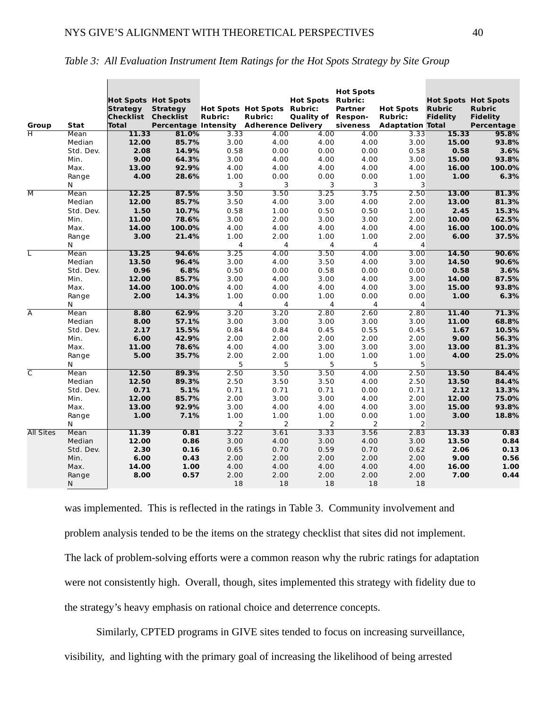|                         |                     | <b>Hot Spots Hot Spots</b><br><b>Strategy</b> | <b>Strategy</b>                         |                | <b>Hot Spots Hot Spots Rubric:</b> | <b>Hot Spots Rubric:</b> | <b>Hot Spots</b><br>Partner | <b>Hot Spots</b>        | <b>Hot Spots Hot Spots</b><br><b>Rubric</b> | <b>Rubric</b>   |
|-------------------------|---------------------|-----------------------------------------------|-----------------------------------------|----------------|------------------------------------|--------------------------|-----------------------------|-------------------------|---------------------------------------------|-----------------|
|                         |                     | Checklist Checklist                           |                                         | <b>Rubric:</b> | <b>Rubric:</b>                     | Quality of Respon-       |                             | <b>Rubric:</b>          | <b>Fidelity</b>                             | <b>Fidelity</b> |
| Group                   | Stat                | <b>Total</b>                                  | Percentage Intensity Adherence Delivery |                |                                    |                          | siveness                    | <b>Adaptation Total</b> |                                             | Percentage      |
| ਜ                       | Mean                | 11.33                                         | 81.0%                                   | 3.33           | 4.00                               | 4.00                     | 4.00                        | 3.33                    | 15.33                                       | 95.8%           |
|                         | Median              | 12.00                                         | 85.7%                                   | 3.00           | 4.00                               | 4.00                     | 4.00                        | 3.00                    | 15.00                                       | 93.8%           |
|                         | Std. Dev.           | 2.08                                          | 14.9%                                   | 0.58           | 0.00                               | 0.00                     | 0.00                        | 0.58                    | 0.58                                        | 3.6%            |
|                         | Min.                | 9.00                                          | 64.3%                                   | 3.00           | 4.00                               | 4.00                     | 4.00                        | 3.00                    | 15.00                                       | 93.8%           |
|                         | Max.                | 13.00                                         | 92.9%                                   | 4.00           | 4.00                               | 4.00                     | 4.00                        | 4.00                    | 16.00                                       | 100.0%          |
|                         | Range               | 4.00                                          | 28.6%                                   | 1.00           | 0.00                               | 0.00                     | 0.00                        | 1.00                    | 1.00                                        | 6.3%            |
| $\overline{\mathsf{M}}$ | N                   |                                               |                                         | 3<br>3.50      | 3<br>3.50                          | 3<br>3.25                | 3<br>3.75                   | 3<br>2.50               |                                             |                 |
|                         | Mean                | 12.25                                         | 87.5%                                   |                |                                    |                          |                             |                         | 13.00                                       | 81.3%           |
|                         | Median<br>Std. Dev. | 12.00<br>1.50                                 | 85.7%<br>10.7%                          | 3.50<br>0.58   | 4.00<br>1.00                       | 3.00<br>0.50             | 4.00<br>0.50                | 2.00<br>1.00            | 13.00<br>2.45                               | 81.3%<br>15.3%  |
|                         |                     |                                               |                                         |                |                                    |                          |                             |                         |                                             |                 |
|                         | Min.                | 11.00<br>14.00                                | 78.6%<br>100.0%                         | 3.00<br>4.00   | 2.00<br>4.00                       | 3.00<br>4.00             | 3.00<br>4.00                | 2.00<br>4.00            | 10.00<br>16.00                              | 62.5%<br>100.0% |
|                         | Max.                |                                               |                                         | 1.00           |                                    |                          |                             | 2.00                    |                                             |                 |
|                         | Range<br>N          | 3.00                                          | 21.4%                                   | 4              | 2.00<br>4                          | 1.00<br>4                | 1.00<br>4                   | $\overline{4}$          | 6.00                                        | 37.5%           |
| τ                       | Mean                | 13.25                                         | 94.6%                                   | 3.25           | 4.00                               | 3.50                     | 4.00                        | 3.00                    | 14.50                                       | 90.6%           |
|                         | Median              | 13.50                                         | 96.4%                                   | 3.00           | 4.00                               | 3.50                     | 4.00                        | 3.00                    | 14.50                                       | 90.6%           |
|                         | Std. Dev.           | 0.96                                          | 6.8%                                    | 0.50           | 0.00                               | 0.58                     | 0.00                        | 0.00                    | 0.58                                        | 3.6%            |
|                         | Min.                | 12.00                                         | 85.7%                                   | 3.00           | 4.00                               | 3.00                     | 4.00                        | 3.00                    | 14.00                                       | 87.5%           |
|                         | Max.                | 14.00                                         | 100.0%                                  | 4.00           | 4.00                               | 4.00                     | 4.00                        | 3.00                    | 15.00                                       | 93.8%           |
|                         | Range               | 2.00                                          | 14.3%                                   | 1.00           | 0.00                               | 1.00                     | 0.00                        | 0.00                    | 1.00                                        | 6.3%            |
|                         | N                   |                                               |                                         | 4              | 4                                  | 4                        | 4                           | $\overline{4}$          |                                             |                 |
| $\overline{\mathsf{A}}$ | Mean                | 8.80                                          | 62.9%                                   | 3.20           | 3.20                               | 2.80                     | 2.60                        | 2.80                    | 11.40                                       | 71.3%           |
|                         | Median              | 8.00                                          | 57.1%                                   | 3.00           | 3.00                               | 3.00                     | 3.00                        | 3.00                    | 11.00                                       | 68.8%           |
|                         | Std. Dev.           | 2.17                                          | 15.5%                                   | 0.84           | 0.84                               | 0.45                     | 0.55                        | 0.45                    | 1.67                                        | 10.5%           |
|                         | Min.                | 6.00                                          | 42.9%                                   | 2.00           | 2.00                               | 2.00                     | 2.00                        | 2.00                    | 9.00                                        | 56.3%           |
|                         | Max.                | 11.00                                         | 78.6%                                   | 4.00           | 4.00                               | 3.00                     | 3.00                        | 3.00                    | 13.00                                       | 81.3%           |
|                         | Range               | 5.00                                          | 35.7%                                   | 2.00           | 2.00                               | 1.00                     | 1.00                        | 1.00                    | 4.00                                        | 25.0%           |
|                         | N                   |                                               |                                         | 5              | 5                                  | 5                        | 5                           | 5                       |                                             |                 |
| $\overline{\mathsf{C}}$ | Mean                | 12.50                                         | 89.3%                                   | 2.50           | 3.50                               | 3.50                     | 4.00                        | 2.50                    | 13.50                                       | 84.4%           |
|                         | Median              | 12.50                                         | 89.3%                                   | 2.50           | 3.50                               | 3.50                     | 4.00                        | 2.50                    | 13.50                                       | 84.4%           |
|                         | Std. Dev.           | 0.71                                          | 5.1%                                    | 0.71           | 0.71                               | 0.71                     | 0.00                        | 0.71                    | 2.12                                        | 13.3%           |
|                         | Min.                | 12.00                                         | 85.7%                                   | 2.00           | 3.00                               | 3.00                     | 4.00                        | 2.00                    | 12.00                                       | 75.0%           |
|                         | Max.                | 13.00                                         | 92.9%                                   | 3.00           | 4.00                               | 4.00                     | 4.00                        | 3.00                    | 15.00                                       | 93.8%           |
|                         | Range               | 1.00                                          | 7.1%                                    | 1.00           | 1.00                               | 1.00                     | 0.00                        | 1.00                    | 3.00                                        | 18.8%           |
|                         | N                   |                                               |                                         | 2              | $\overline{2}$                     | $\overline{2}$           | $\overline{2}$              | $\overline{2}$          |                                             |                 |
| <b>All Sites</b>        | Mean                | 11.39                                         | 0.81                                    | 3.22           | 3.61                               | 3.33                     | 3.56                        | 2.83                    | 13.33                                       | 0.83            |
|                         | Median              | 12.00                                         | 0.86                                    | 3.00           | 4.00                               | 3.00                     | 4.00                        | 3.00                    | 13.50                                       | 0.84            |
|                         | Std. Dev.           | 2.30                                          | 0.16                                    | 0.65           | 0.70                               | 0.59                     | 0.70                        | 0.62                    | 2.06                                        | 0.13            |
|                         | Min.                | 6.00                                          | 0.43                                    | 2.00           | 2.00                               | 2.00                     | 2.00                        | 2.00                    | 9.00                                        | 0.56            |
|                         | Max.                | 14.00                                         | 1.00                                    | 4.00           | 4.00                               | 4.00                     | 4.00                        | 4.00                    | 16.00                                       | 1.00            |
|                         | Range               | 8.00                                          | 0.57                                    | 2.00           | 2.00                               | 2.00                     | 2.00                        | 2.00                    | 7.00                                        | 0.44            |
|                         | N                   |                                               |                                         | 18             | 18                                 | 18                       | 18                          | 18                      |                                             |                 |

*Table 3: All Evaluation Instrument Item Ratings for the Hot Spots Strategy by Site Group*

was implemented. This is reflected in the ratings in Table 3. Community involvement and problem analysis tended to be the items on the strategy checklist that sites did not implement. The lack of problem-solving efforts were a common reason why the rubric ratings for adaptation were not consistently high. Overall, though, sites implemented this strategy with fidelity due to the strategy's heavy emphasis on rational choice and deterrence concepts.

Similarly, CPTED programs in GIVE sites tended to focus on increasing surveillance, visibility, and lighting with the primary goal of increasing the likelihood of being arrested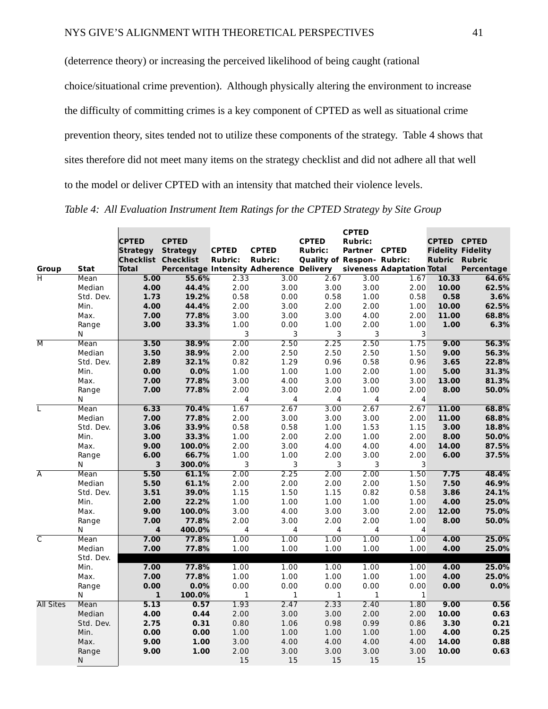(deterrence theory) or increasing the perceived likelihood of being caught (rational choice/situational crime prevention). Although physically altering the environment to increase the difficulty of committing crimes is a key component of CPTED as well as situational crime prevention theory, sites tended not to utilize these components of the strategy. Table 4 shows that sites therefore did not meet many items on the strategy checklist and did not adhere all that well to the model or deliver CPTED with an intensity that matched their violence levels.

*Table 4: All Evaluation Instrument Item Ratings for the CPTED Strategy by Site Group*

|                         |            | <b>CPTED</b><br><b>Strategy</b>     | <b>CPTED</b><br><b>Strategy</b> | <b>CPTED</b>   | <b>CPTED</b>                                              | <b>CPTED</b><br><b>Rubric:</b>    | <b>CPTED</b><br><b>Rubric:</b><br>Partner CPTED |                                 | <b>CPTED CPTED</b>   | <b>Fidelity Fidelity</b> |
|-------------------------|------------|-------------------------------------|---------------------------------|----------------|-----------------------------------------------------------|-----------------------------------|-------------------------------------------------|---------------------------------|----------------------|--------------------------|
| Group                   | Stat       | <b>Checklist Checklist</b><br>Total |                                 | <b>Rubric:</b> | <b>Rubric:</b><br>Percentage Intensity Adherence Delivery | <b>Quality of Respon- Rubric:</b> |                                                 | siveness Adaptation Total       | <b>Rubric Rubric</b> | Percentage               |
| H                       | Mean       | 5.00                                | 55.6%                           | 2.33           | 3.00                                                      | 2.67                              | 3.00                                            | 1.67                            | 10.33                | 64.6%                    |
|                         | Median     | 4.00                                | 44.4%                           | 2.00           | 3.00                                                      | 3.00                              | 3.00                                            | 2.00                            | 10.00                | 62.5%                    |
|                         | Std. Dev.  | 1.73                                | 19.2%                           | 0.58           | 0.00                                                      | 0.58                              | 1.00                                            | 0.58                            | 0.58                 | 3.6%                     |
|                         | Min.       | 4.00                                | 44.4%                           | 2.00           | 3.00                                                      | 2.00                              | 2.00                                            | 1.00                            | 10.00                | 62.5%                    |
|                         | Max.       | 7.00                                | 77.8%                           | 3.00           | 3.00                                                      | 3.00                              | 4.00                                            | 2.00                            | 11.00                | 68.8%                    |
|                         | Range      | 3.00                                | 33.3%                           | 1.00           | 0.00                                                      | 1.00                              | 2.00                                            | 1.00                            | 1.00                 | 6.3%                     |
|                         | N          |                                     |                                 | 3              | 3                                                         | 3                                 | 3                                               | 3                               |                      |                          |
| $\overline{\mathsf{M}}$ | Mean       | 3.50                                | 38.9%                           | 2.00           | 2.50                                                      | 2.25                              | 2.50                                            | 1.75                            | 9.00                 | 56.3%                    |
|                         | Median     | 3.50                                | 38.9%                           | 2.00           | 2.50                                                      | 2.50                              | 2.50                                            | 1.50                            | 9.00                 | 56.3%                    |
|                         | Std. Dev.  | 2.89                                | 32.1%                           | 0.82           | 1.29                                                      | 0.96                              | 0.58                                            | 0.96                            | 3.65                 | 22.8%                    |
|                         | Min.       | 0.00                                | 0.0%                            | 1.00           | 1.00                                                      | 1.00                              | 2.00                                            | 1.00                            | 5.00                 | 31.3%                    |
|                         | Max.       | 7.00                                | 77.8%                           | 3.00           | 4.00                                                      | 3.00                              | 3.00                                            | 3.00                            | 13.00                | 81.3%                    |
|                         | Range      | 7.00                                | 77.8%                           | 2.00           | 3.00                                                      | 2.00                              | 1.00                                            | 2.00                            | 8.00                 | 50.0%                    |
|                         | Ν          |                                     |                                 | 4              | 4                                                         | 4                                 | 4                                               | $\overline{4}$                  |                      |                          |
| L                       | Mean       | 6.33                                | 70.4%                           | 1.67           | 2.67                                                      | 3.00                              | 2.67                                            | 2.67                            | 11.00                | 68.8%                    |
|                         | Median     | 7.00                                | 77.8%                           | 2.00           | 3.00                                                      | 3.00                              | 3.00                                            | 2.00                            | 11.00                | 68.8%                    |
|                         | Std. Dev.  | 3.06                                | 33.9%                           | 0.58           | 0.58                                                      | 1.00                              | 1.53                                            | 1.15                            | 3.00                 | 18.8%                    |
|                         | Min.       | 3.00                                | 33.3%                           | 1.00           | 2.00                                                      | 2.00                              | 1.00                                            | 2.00                            | 8.00                 | 50.0%                    |
|                         | Max.       | 9.00                                | 100.0%                          | 2.00           | 3.00                                                      | 4.00                              | 4.00                                            | 4.00                            | 14.00                | 87.5%                    |
|                         | Range<br>N | 6.00<br>3                           | 66.7%<br>300.0%                 | 1.00<br>3      | 1.00<br>3                                                 | 2.00<br>3                         | 3.00<br>3                                       | 2.00<br>$\overline{\mathbf{3}}$ | 6.00                 | 37.5%                    |
| $\overline{A}$          | Mean       | 5.50                                | 61.1%                           | 2.00           | 2.25                                                      | 2.00                              | 2.00                                            | 1.50                            | 7.75                 | 48.4%                    |
|                         | Median     | 5.50                                | 61.1%                           | 2.00           | 2.00                                                      | 2.00                              | 2.00                                            | 1.50                            | 7.50                 | 46.9%                    |
|                         | Std. Dev.  | 3.51                                | 39.0%                           | 1.15           | 1.50                                                      | 1.15                              | 0.82                                            | 0.58                            | 3.86                 | 24.1%                    |
|                         | Min.       | 2.00                                | 22.2%                           | 1.00           | 1.00                                                      | 1.00                              | 1.00                                            | 1.00                            | 4.00                 | 25.0%                    |
|                         | Max.       | 9.00                                | 100.0%                          | 3.00           | 4.00                                                      | 3.00                              | 3.00                                            | 2.00                            | 12.00                | 75.0%                    |
|                         | Range      | 7.00                                | 77.8%                           | 2.00           | 3.00                                                      | 2.00                              | 2.00                                            | 1.00                            | 8.00                 | 50.0%                    |
|                         | N          | 4                                   | 400.0%                          | 4              | 4                                                         | 4                                 | 4                                               | $\overline{4}$                  |                      |                          |
| $\overline{\mathsf{C}}$ | Mean       | 7.00                                | 77.8%                           | 1.00           | 1.00                                                      | 1.00                              | 1.00                                            | 1.00                            | 4.00                 | 25.0%                    |
|                         | Median     | 7.00                                | 77.8%                           | 1.00           | 1.00                                                      | 1.00                              | 1.00                                            | 1.00                            | 4.00                 | 25.0%                    |
|                         | Std. Dev.  |                                     |                                 |                |                                                           |                                   |                                                 |                                 |                      |                          |
|                         | Min.       | 7.00                                | 77.8%                           | 1.00           | 1.00                                                      | 1.00                              | 1.00                                            | 1.00                            | 4.00                 | 25.0%                    |
|                         | Max.       | 7.00                                | 77.8%                           | 1.00           | 1.00                                                      | 1.00                              | 1.00                                            | 1.00                            | 4.00                 | 25.0%                    |
|                         | Range      | 0.00                                | 0.0%                            | 0.00           | 0.00                                                      | 0.00                              | 0.00                                            | 0.00                            | 0.00                 | 0.0%                     |
|                         | N          | $\mathbf 1$                         | 100.0%                          | $\mathbf{1}$   | $\mathbf 1$                                               | $\mathbf 1$                       | $\mathbf{1}$                                    | $\mathbf{1}$                    |                      |                          |
| <b>All Sites</b>        | Mean       | 5.13                                | 0.57                            | 1.93           | 2.47                                                      | 2.33                              | 2.40                                            | 1.80                            | 9.00                 | 0.56                     |
|                         | Median     | 4.00                                | 0.44                            | 2.00           | 3.00                                                      | 3.00                              | 2.00                                            | 2.00                            | 10.00                | 0.63                     |
|                         | Std. Dev.  | 2.75                                | 0.31                            | 0.80           | 1.06                                                      | 0.98                              | 0.99                                            | 0.86                            | 3.30                 | 0.21                     |
|                         | Min.       | 0.00                                | 0.00                            | 1.00           | 1.00                                                      | 1.00                              | 1.00                                            | 1.00                            | 4.00                 | 0.25                     |
|                         | Max.       | 9.00                                | 1.00                            | 3.00           | 4.00                                                      | 4.00                              | 4.00                                            | 4.00                            | 14.00                | 0.88                     |
|                         | Range      | 9.00                                | 1.00                            | 2.00           | 3.00                                                      | 3.00                              | 3.00                                            | 3.00                            | 10.00                | 0.63                     |
|                         | Ν          |                                     |                                 | 15             | 15                                                        | 15                                | 15                                              | 15                              |                      |                          |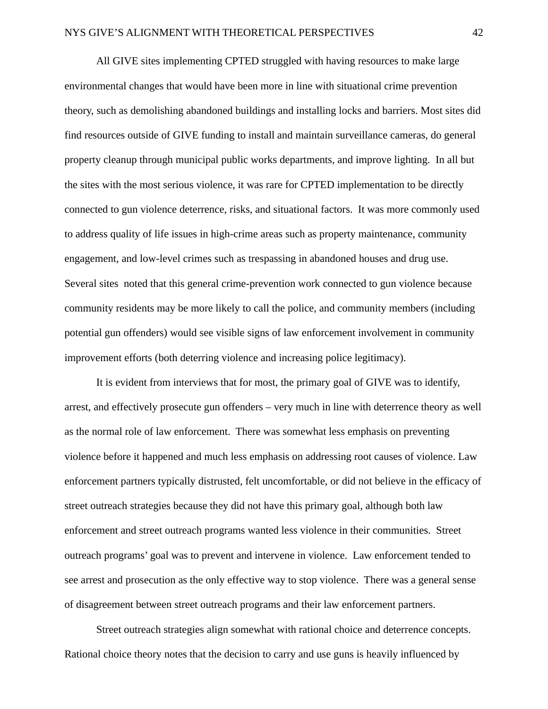All GIVE sites implementing CPTED struggled with having resources to make large environmental changes that would have been more in line with situational crime prevention theory, such as demolishing abandoned buildings and installing locks and barriers. Most sites did find resources outside of GIVE funding to install and maintain surveillance cameras, do general property cleanup through municipal public works departments, and improve lighting. In all but the sites with the most serious violence, it was rare for CPTED implementation to be directly connected to gun violence deterrence, risks, and situational factors. It was more commonly used to address quality of life issues in high-crime areas such as property maintenance, community engagement, and low-level crimes such as trespassing in abandoned houses and drug use. Several sites noted that this general crime-prevention work connected to gun violence because community residents may be more likely to call the police, and community members (including potential gun offenders) would see visible signs of law enforcement involvement in community improvement efforts (both deterring violence and increasing police legitimacy).

It is evident from interviews that for most, the primary goal of GIVE was to identify, arrest, and effectively prosecute gun offenders – very much in line with deterrence theory as well as the normal role of law enforcement. There was somewhat less emphasis on preventing violence before it happened and much less emphasis on addressing root causes of violence. Law enforcement partners typically distrusted, felt uncomfortable, or did not believe in the efficacy of street outreach strategies because they did not have this primary goal, although both law enforcement and street outreach programs wanted less violence in their communities. Street outreach programs' goal was to prevent and intervene in violence. Law enforcement tended to see arrest and prosecution as the only effective way to stop violence. There was a general sense of disagreement between street outreach programs and their law enforcement partners.

Street outreach strategies align somewhat with rational choice and deterrence concepts. Rational choice theory notes that the decision to carry and use guns is heavily influenced by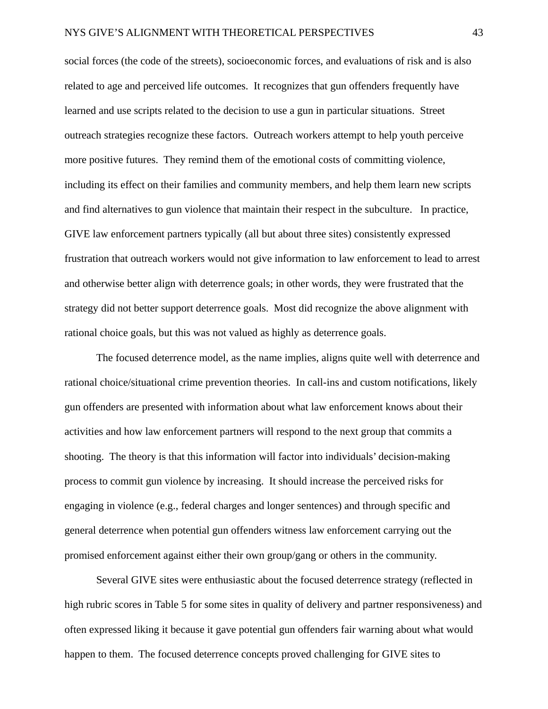social forces (the code of the streets), socioeconomic forces, and evaluations of risk and is also related to age and perceived life outcomes. It recognizes that gun offenders frequently have learned and use scripts related to the decision to use a gun in particular situations. Street outreach strategies recognize these factors. Outreach workers attempt to help youth perceive more positive futures. They remind them of the emotional costs of committing violence, including its effect on their families and community members, and help them learn new scripts and find alternatives to gun violence that maintain their respect in the subculture. In practice, GIVE law enforcement partners typically (all but about three sites) consistently expressed frustration that outreach workers would not give information to law enforcement to lead to arrest and otherwise better align with deterrence goals; in other words, they were frustrated that the strategy did not better support deterrence goals. Most did recognize the above alignment with rational choice goals, but this was not valued as highly as deterrence goals.

The focused deterrence model, as the name implies, aligns quite well with deterrence and rational choice/situational crime prevention theories. In call-ins and custom notifications, likely gun offenders are presented with information about what law enforcement knows about their activities and how law enforcement partners will respond to the next group that commits a shooting. The theory is that this information will factor into individuals' decision-making process to commit gun violence by increasing. It should increase the perceived risks for engaging in violence (e.g., federal charges and longer sentences) and through specific and general deterrence when potential gun offenders witness law enforcement carrying out the promised enforcement against either their own group/gang or others in the community.

Several GIVE sites were enthusiastic about the focused deterrence strategy (reflected in high rubric scores in Table 5 for some sites in quality of delivery and partner responsiveness) and often expressed liking it because it gave potential gun offenders fair warning about what would happen to them. The focused deterrence concepts proved challenging for GIVE sites to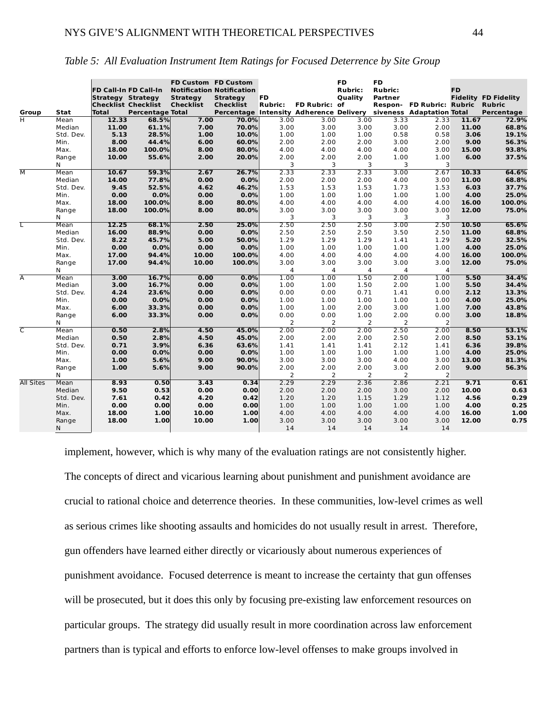| Group                   | Stat           | Strategy Strategy<br>Total | <b>FD Call-In FD Call-In</b><br><b>Checklist Checklist</b><br><b>Percentage Total</b> | FD Custom FD Custom<br><b>Strategy</b><br><b>Checklist</b> | <b>Notification Notification</b><br><b>Strategy</b><br><b>Checklist</b><br>Percentage Intensity Adherence Delivery siveness Adaptation Total | <b>FD</b><br><b>Rubric:</b> | <b>FD Rubric: of</b> | <b>FD</b><br><b>Rubric:</b><br><b>Quality</b> | <b>FD</b><br><b>Rubric:</b><br>Partner | Respon- FD Rubric: Rubric Rubric | <b>FD</b>     | <b>Fidelity FD Fidelity</b><br>Percentage |
|-------------------------|----------------|----------------------------|---------------------------------------------------------------------------------------|------------------------------------------------------------|----------------------------------------------------------------------------------------------------------------------------------------------|-----------------------------|----------------------|-----------------------------------------------|----------------------------------------|----------------------------------|---------------|-------------------------------------------|
| $\overline{\textsf{H}}$ | Mean           | 12.33                      | 68.5%                                                                                 | 7.00                                                       | 70.0%                                                                                                                                        | 3.00                        | 3.00                 | 3.00                                          | 3.33                                   | 2.33                             | 11.67         | 72.9%                                     |
|                         | Median         | 11.00                      | 61.1%                                                                                 | 7.00                                                       | 70.0%                                                                                                                                        | 3.00                        | 3.00                 | 3.00                                          | 3.00                                   | 2.00                             | 11.00         | 68.8%                                     |
|                         | Std. Dev.      | 5.13                       | 28.5%                                                                                 | 1.00                                                       | 10.0%                                                                                                                                        | 1.00                        | 1.00                 | 1.00                                          | 0.58                                   | 0.58                             | 3.06          | 19.1%                                     |
|                         | Min.           | 8.00                       | 44.4%                                                                                 | 6.00                                                       | 60.0%                                                                                                                                        | 2.00                        | 2.00                 | 2.00                                          | 3.00                                   | 2.00                             | 9.00          | 56.3%                                     |
|                         | Max.           | 18.00                      | 100.0%                                                                                | 8.00                                                       | 80.0%                                                                                                                                        | 4.00                        | 4.00                 | 4.00                                          | 4.00                                   | 3.00                             | 15.00         | 93.8%                                     |
|                         | Range          | 10.00                      | 55.6%                                                                                 | 2.00                                                       | 20.0%                                                                                                                                        | 2.00                        | 2.00                 | 2.00                                          | 1.00                                   | 1.00                             | 6.00          | 37.5%                                     |
|                         | N              |                            |                                                                                       |                                                            |                                                                                                                                              | 3                           | 3                    | 3                                             | 3                                      | $\overline{3}$                   |               |                                           |
| $\overline{M}$          | Mean           | 10.67                      | 59.3%                                                                                 | 2.67                                                       | 26.7%                                                                                                                                        | 2.33                        | 2.33                 | 2.33                                          | 3.00                                   | 2.67                             | 10.33         | 64.6%                                     |
|                         | Median         | 14.00                      | 77.8%                                                                                 | 0.00                                                       | 0.0%                                                                                                                                         | 2.00                        | 2.00                 | 2.00                                          | 4.00                                   | 3.00                             | 11.00         | 68.8%                                     |
|                         | Std. Dev.      | 9.45                       | 52.5%                                                                                 | 4.62                                                       | 46.2%                                                                                                                                        | 1.53                        | 1.53                 | 1.53                                          | 1.73                                   | 1.53                             | 6.03          | 37.7%                                     |
|                         | Min.           | 0.00                       | 0.0%                                                                                  | 0.00                                                       | 0.0%                                                                                                                                         | 1.00                        | 1.00                 | 1.00                                          | 1.00                                   | 1.00                             | 4.00          | 25.0%                                     |
|                         | Max.           | 18.00                      | 100.0%                                                                                | 8.00                                                       | 80.0%                                                                                                                                        | 4.00                        | 4.00                 | 4.00                                          | 4.00                                   | 4.00                             | 16.00         | 100.0%                                    |
|                         | Range          | 18.00                      | 100.0%                                                                                | 8.00                                                       | 80.0%                                                                                                                                        | 3.00                        | 3.00                 | 3.00                                          | 3.00                                   | 3.00                             | 12.00         | 75.0%                                     |
|                         | N              |                            |                                                                                       |                                                            |                                                                                                                                              | 3                           | 3                    | 3                                             | 3                                      | 3                                |               |                                           |
| τ                       | Mean           | 12.25                      | 68.1%                                                                                 | 2.50                                                       | 25.0%                                                                                                                                        | 2.50                        | 2.50                 | 2.50                                          | 3.00                                   | 2.50                             | 10.50         | 65.6%                                     |
|                         | Median         | 16.00                      | 88.9%                                                                                 | 0.00                                                       | 0.0%                                                                                                                                         | 2.50                        | 2.50                 | 2.50                                          | 3.50                                   | 2.50                             | 11.00         | 68.8%                                     |
|                         | Std. Dev.      | 8.22                       | 45.7%                                                                                 | 5.00                                                       | 50.0%                                                                                                                                        | 1.29<br>1.00                | 1.29                 | 1.29                                          | 1.41                                   | 1.29                             | 5.20          | 32.5%                                     |
|                         | Min.           | 0.00<br>17.00              | 0.0%<br>94.4%                                                                         | 0.00<br>10.00                                              | 0.0%<br>100.0%                                                                                                                               | 4.00                        | 1.00<br>4.00         | 1.00<br>4.00                                  | 1.00<br>4.00                           | 1.00<br>4.00                     | 4.00<br>16.00 | 25.0%<br>100.0%                           |
|                         | Max.<br>Range  | 17.00                      | 94.4%                                                                                 | 10.00                                                      | 100.0%                                                                                                                                       | 3.00                        | 3.00                 | 3.00                                          | 3.00                                   | 3.00                             | 12.00         | 75.0%                                     |
|                         | N              |                            |                                                                                       |                                                            |                                                                                                                                              | $\overline{4}$              | 4                    | 4                                             | 4                                      | $\overline{4}$                   |               |                                           |
| A                       | Mean           | 3.00                       | 16.7%                                                                                 | 0.00                                                       | 0.0%                                                                                                                                         | 1.00                        | 1.00                 | 1.50                                          | 2.00                                   | 1.00                             | 5.50          | 34.4%                                     |
|                         | Median         | 3.00                       | 16.7%                                                                                 | 0.00                                                       | 0.0%                                                                                                                                         | 1.00                        | 1.00                 | 1.50                                          | 2.00                                   | 1.00                             | 5.50          | 34.4%                                     |
|                         | Std. Dev.      | 4.24                       | 23.6%                                                                                 | 0.00                                                       | 0.0%                                                                                                                                         | 0.00                        | 0.00                 | 0.71                                          | 1.41                                   | 0.00                             | 2.12          | 13.3%                                     |
|                         | Min.           | 0.00                       | 0.0%                                                                                  | 0.00                                                       | 0.0%                                                                                                                                         | 1.00                        | 1.00                 | 1.00                                          | 1.00                                   | 1.00                             | 4.00          | 25.0%                                     |
|                         | Max.           | 6.00                       | 33.3%                                                                                 | 0.00                                                       | 0.0%                                                                                                                                         | 1.00                        | 1.00                 | 2.00                                          | 3.00                                   | 1.00                             | 7.00          | 43.8%                                     |
|                         | Range          | 6.00                       | 33.3%                                                                                 | 0.00                                                       | 0.0%                                                                                                                                         | 0.00                        | 0.00                 | 1.00                                          | 2.00                                   | 0.00                             | 3.00          | 18.8%                                     |
|                         | N              |                            |                                                                                       |                                                            |                                                                                                                                              | 2                           | 2                    | 2                                             | 2                                      | $\overline{2}$                   |               |                                           |
| $\overline{\mathsf{C}}$ | Mean           | 0.50                       | 2.8%                                                                                  | 4.50                                                       | 45.0%                                                                                                                                        | 2.00                        | 2.00                 | 2.00                                          | 2.50                                   | 2.00                             | 8.50          | 53.1%                                     |
|                         | Median         | 0.50                       | 2.8%                                                                                  | 4.50                                                       | 45.0%                                                                                                                                        | 2.00                        | 2.00                 | 2.00                                          | 2.50                                   | 2.00                             | 8.50          | 53.1%                                     |
|                         | Std. Dev.      | 0.71                       | 3.9%                                                                                  | 6.36                                                       | 63.6%                                                                                                                                        | 1.41                        | 1.41                 | 1.41                                          | 2.12                                   | 1.41                             | 6.36          | 39.8%                                     |
|                         | Min.           | 0.00                       | 0.0%                                                                                  | 0.00                                                       | 0.0%                                                                                                                                         | 1.00                        | 1.00                 | 1.00                                          | 1.00                                   | 1.00                             | 4.00          | 25.0%                                     |
|                         | Max.           | 1.00                       | 5.6%                                                                                  | 9.00                                                       | 90.0%                                                                                                                                        | 3.00                        | 3.00                 | 3.00                                          | 4.00                                   | 3.00                             | 13.00         | 81.3%                                     |
|                         | Range          | 1.00                       | 5.6%                                                                                  | 9.00                                                       | 90.0%                                                                                                                                        | 2.00                        | 2.00                 | 2.00                                          | 3.00                                   | 2.00                             | 9.00          | 56.3%                                     |
|                         | N              |                            |                                                                                       |                                                            |                                                                                                                                              | 2                           | $\overline{2}$       | 2                                             | 2                                      | $\overline{2}$                   |               |                                           |
| <b>All Sites</b>        | Mean<br>Median | 8.93<br>9.50               | 0.50<br>0.53                                                                          | 3.43<br>0.00                                               | 0.34<br>0.00                                                                                                                                 | 2.29<br>2.00                | 2.29<br>2.00         | 2.36<br>2.00                                  | 2.86<br>3.00                           | 2.21<br>2.00                     | 9.71<br>10.00 | 0.61<br>0.63                              |
|                         | Std. Dev.      | 7.61                       | 0.42                                                                                  | 4.20                                                       | 0.42                                                                                                                                         | 1.20                        | 1.20                 | 1.15                                          | 1.29                                   | 1.12                             | 4.56          | 0.29                                      |
|                         | Min.           | 0.00                       | 0.00                                                                                  | 0.00                                                       | 0.00                                                                                                                                         | 1.00                        | 1.00                 | 1.00                                          | 1.00                                   | 1.00                             | 4.00          | 0.25                                      |
|                         | Max.           | 18.00                      | 1.00                                                                                  | 10.00                                                      | 1.00                                                                                                                                         | 4.00                        | 4.00                 | 4.00                                          | 4.00                                   | 4.00                             | 16.00         | 1.00                                      |
|                         | Range          | 18.00                      | 1.00                                                                                  | 10.00                                                      | 1.00                                                                                                                                         | 3.00                        | 3.00                 | 3.00                                          | 3.00                                   | 3.00                             | 12.00         | 0.75                                      |
|                         | N              |                            |                                                                                       |                                                            |                                                                                                                                              | 14                          | 14                   | 14                                            | 14                                     | 14                               |               |                                           |
|                         |                |                            |                                                                                       |                                                            |                                                                                                                                              |                             |                      |                                               |                                        |                                  |               |                                           |

*Table 5: All Evaluation Instrument Item Ratings for Focused Deterrence by Site Group*

implement, however, which is why many of the evaluation ratings are not consistently higher. The concepts of direct and vicarious learning about punishment and punishment avoidance are crucial to rational choice and deterrence theories. In these communities, low-level crimes as well as serious crimes like shooting assaults and homicides do not usually result in arrest. Therefore, gun offenders have learned either directly or vicariously about numerous experiences of punishment avoidance. Focused deterrence is meant to increase the certainty that gun offenses will be prosecuted, but it does this only by focusing pre-existing law enforcement resources on particular groups. The strategy did usually result in more coordination across law enforcement partners than is typical and efforts to enforce low-level offenses to make groups involved in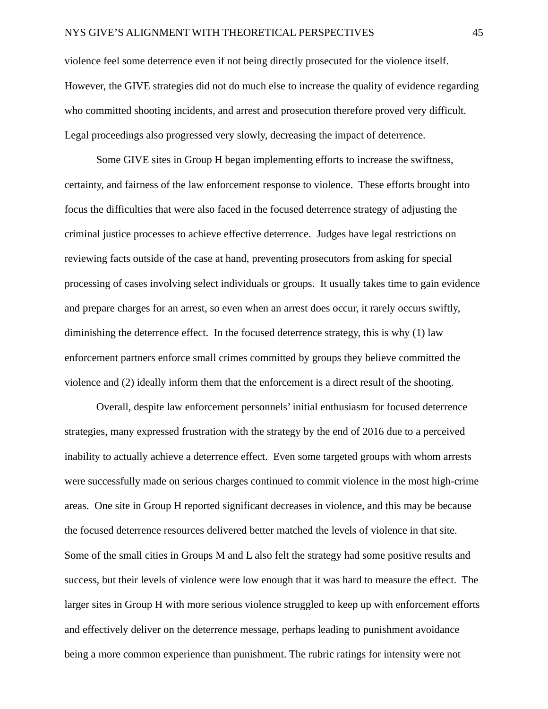violence feel some deterrence even if not being directly prosecuted for the violence itself. However, the GIVE strategies did not do much else to increase the quality of evidence regarding who committed shooting incidents, and arrest and prosecution therefore proved very difficult. Legal proceedings also progressed very slowly, decreasing the impact of deterrence.

Some GIVE sites in Group H began implementing efforts to increase the swiftness, certainty, and fairness of the law enforcement response to violence. These efforts brought into focus the difficulties that were also faced in the focused deterrence strategy of adjusting the criminal justice processes to achieve effective deterrence. Judges have legal restrictions on reviewing facts outside of the case at hand, preventing prosecutors from asking for special processing of cases involving select individuals or groups. It usually takes time to gain evidence and prepare charges for an arrest, so even when an arrest does occur, it rarely occurs swiftly, diminishing the deterrence effect. In the focused deterrence strategy, this is why (1) law enforcement partners enforce small crimes committed by groups they believe committed the violence and (2) ideally inform them that the enforcement is a direct result of the shooting.

Overall, despite law enforcement personnels' initial enthusiasm for focused deterrence strategies, many expressed frustration with the strategy by the end of 2016 due to a perceived inability to actually achieve a deterrence effect. Even some targeted groups with whom arrests were successfully made on serious charges continued to commit violence in the most high-crime areas. One site in Group H reported significant decreases in violence, and this may be because the focused deterrence resources delivered better matched the levels of violence in that site. Some of the small cities in Groups M and L also felt the strategy had some positive results and success, but their levels of violence were low enough that it was hard to measure the effect. The larger sites in Group H with more serious violence struggled to keep up with enforcement efforts and effectively deliver on the deterrence message, perhaps leading to punishment avoidance being a more common experience than punishment. The rubric ratings for intensity were not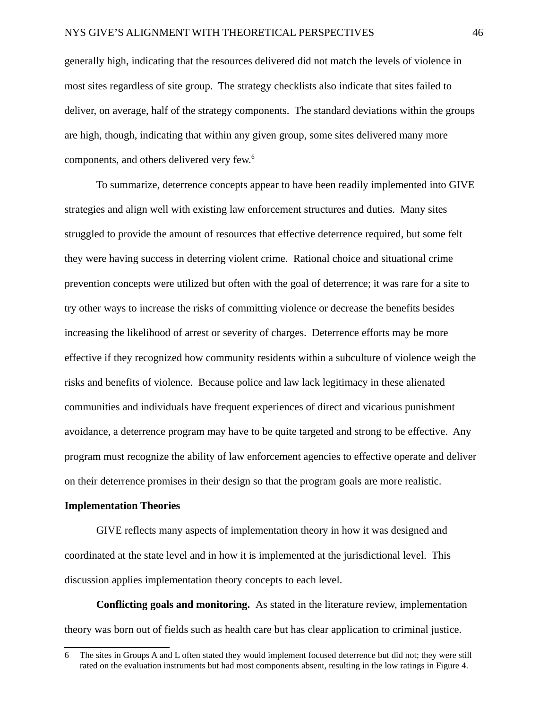generally high, indicating that the resources delivered did not match the levels of violence in most sites regardless of site group. The strategy checklists also indicate that sites failed to deliver, on average, half of the strategy components. The standard deviations within the groups are high, though, indicating that within any given group, some sites delivered many more components, and others delivered very few.[6](#page-47-0)

To summarize, deterrence concepts appear to have been readily implemented into GIVE strategies and align well with existing law enforcement structures and duties. Many sites struggled to provide the amount of resources that effective deterrence required, but some felt they were having success in deterring violent crime. Rational choice and situational crime prevention concepts were utilized but often with the goal of deterrence; it was rare for a site to try other ways to increase the risks of committing violence or decrease the benefits besides increasing the likelihood of arrest or severity of charges. Deterrence efforts may be more effective if they recognized how community residents within a subculture of violence weigh the risks and benefits of violence. Because police and law lack legitimacy in these alienated communities and individuals have frequent experiences of direct and vicarious punishment avoidance, a deterrence program may have to be quite targeted and strong to be effective. Any program must recognize the ability of law enforcement agencies to effective operate and deliver on their deterrence promises in their design so that the program goals are more realistic.

### **Implementation Theories**

GIVE reflects many aspects of implementation theory in how it was designed and coordinated at the state level and in how it is implemented at the jurisdictional level. This discussion applies implementation theory concepts to each level.

**Conflicting goals and monitoring.** As stated in the literature review, implementation theory was born out of fields such as health care but has clear application to criminal justice.

<span id="page-47-0"></span><sup>6</sup> The sites in Groups A and L often stated they would implement focused deterrence but did not; they were still rated on the evaluation instruments but had most components absent, resulting in the low ratings in Figure 4.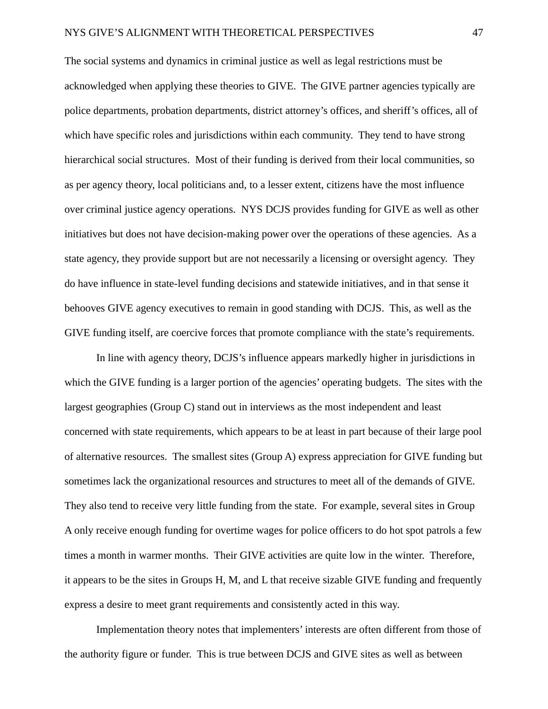The social systems and dynamics in criminal justice as well as legal restrictions must be acknowledged when applying these theories to GIVE. The GIVE partner agencies typically are police departments, probation departments, district attorney's offices, and sheriff's offices, all of which have specific roles and jurisdictions within each community. They tend to have strong hierarchical social structures. Most of their funding is derived from their local communities, so as per agency theory, local politicians and, to a lesser extent, citizens have the most influence over criminal justice agency operations. NYS DCJS provides funding for GIVE as well as other initiatives but does not have decision-making power over the operations of these agencies. As a state agency, they provide support but are not necessarily a licensing or oversight agency. They do have influence in state-level funding decisions and statewide initiatives, and in that sense it behooves GIVE agency executives to remain in good standing with DCJS. This, as well as the GIVE funding itself, are coercive forces that promote compliance with the state's requirements.

In line with agency theory, DCJS's influence appears markedly higher in jurisdictions in which the GIVE funding is a larger portion of the agencies' operating budgets. The sites with the largest geographies (Group C) stand out in interviews as the most independent and least concerned with state requirements, which appears to be at least in part because of their large pool of alternative resources. The smallest sites (Group A) express appreciation for GIVE funding but sometimes lack the organizational resources and structures to meet all of the demands of GIVE. They also tend to receive very little funding from the state. For example, several sites in Group A only receive enough funding for overtime wages for police officers to do hot spot patrols a few times a month in warmer months. Their GIVE activities are quite low in the winter. Therefore, it appears to be the sites in Groups H, M, and L that receive sizable GIVE funding and frequently express a desire to meet grant requirements and consistently acted in this way.

Implementation theory notes that implementers' interests are often different from those of the authority figure or funder. This is true between DCJS and GIVE sites as well as between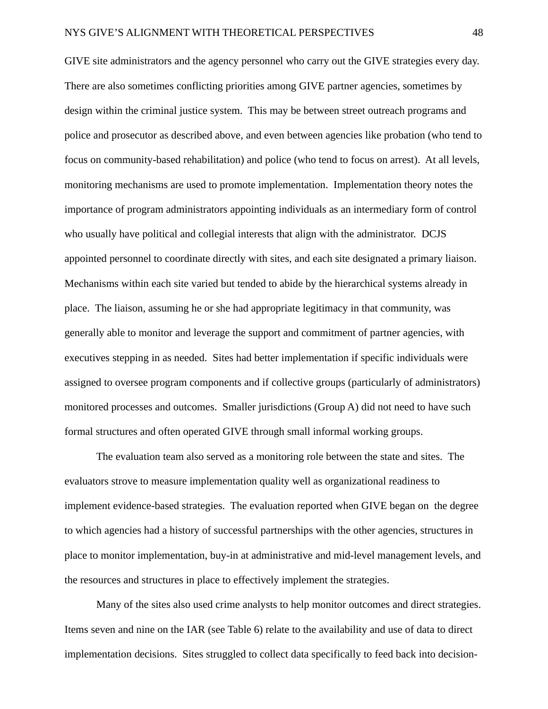GIVE site administrators and the agency personnel who carry out the GIVE strategies every day. There are also sometimes conflicting priorities among GIVE partner agencies, sometimes by design within the criminal justice system. This may be between street outreach programs and police and prosecutor as described above, and even between agencies like probation (who tend to focus on community-based rehabilitation) and police (who tend to focus on arrest). At all levels, monitoring mechanisms are used to promote implementation. Implementation theory notes the importance of program administrators appointing individuals as an intermediary form of control who usually have political and collegial interests that align with the administrator. DCJS appointed personnel to coordinate directly with sites, and each site designated a primary liaison. Mechanisms within each site varied but tended to abide by the hierarchical systems already in place. The liaison, assuming he or she had appropriate legitimacy in that community, was generally able to monitor and leverage the support and commitment of partner agencies, with executives stepping in as needed. Sites had better implementation if specific individuals were assigned to oversee program components and if collective groups (particularly of administrators) monitored processes and outcomes. Smaller jurisdictions (Group A) did not need to have such formal structures and often operated GIVE through small informal working groups.

The evaluation team also served as a monitoring role between the state and sites. The evaluators strove to measure implementation quality well as organizational readiness to implement evidence-based strategies. The evaluation reported when GIVE began on the degree to which agencies had a history of successful partnerships with the other agencies, structures in place to monitor implementation, buy-in at administrative and mid-level management levels, and the resources and structures in place to effectively implement the strategies.

Many of the sites also used crime analysts to help monitor outcomes and direct strategies. Items seven and nine on the IAR (see Table 6) relate to the availability and use of data to direct implementation decisions. Sites struggled to collect data specifically to feed back into decision-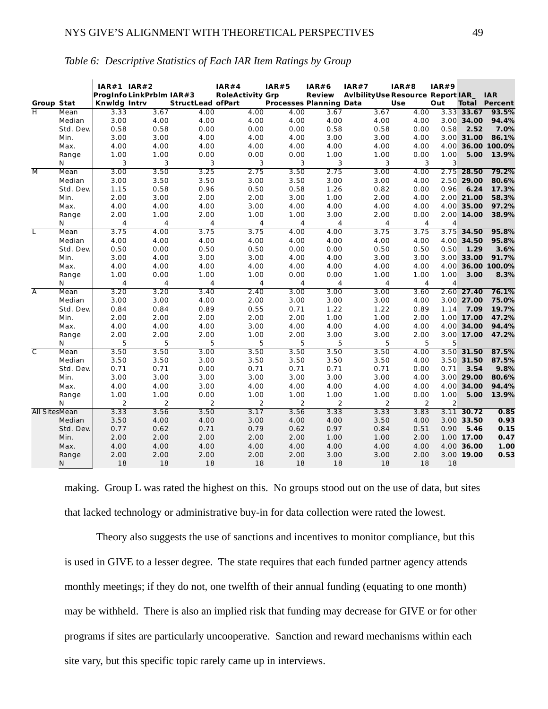|                         |              | <b>IAR#1 IAR#2</b>  |                          |                          | IAR#4                   | IAR#5                          | <b>IAR#6</b>   | <b>IAR#7</b>                             | IAR#8        | <b>IAR#9</b> |                          |                                    |
|-------------------------|--------------|---------------------|--------------------------|--------------------------|-------------------------|--------------------------------|----------------|------------------------------------------|--------------|--------------|--------------------------|------------------------------------|
| <b>Group Stat</b>       |              | <b>Knwldg Intrv</b> | ProgInfo LinkPrblm IAR#3 | <b>StructLead ofPart</b> | <b>RoleActivity Grp</b> | <b>Processes Planning Data</b> | <b>Review</b>  | <b>Avibility Use Resource Report IAR</b> | <b>Use</b>   | Out          |                          | <b>IAR</b><br><b>Total Percent</b> |
| H                       | Mean         | 3.33                | 3.67                     | 4.00                     | 4.00                    | 4.00                           | 3.67           | 3.67                                     | 4.00         |              | 3.33 33.67               | 93.5%                              |
|                         | Median       | 3.00                | 4.00                     | 4.00                     | 4.00                    | 4.00                           | 4.00           | 4.00                                     | 4.00         |              | 3.00 34.00               | 94.4%                              |
|                         | Std. Dev.    | 0.58                | 0.58                     | 0.00                     | 0.00                    | 0.00                           | 0.58           | 0.58                                     | 0.00         | 0.58         | 2.52                     | 7.0%                               |
|                         | Min.         | 3.00                | 3.00                     | 4.00                     | 4.00                    | 4.00                           | 3.00           | 3.00                                     | 4.00         |              | 3.00 31.00               | 86.1%                              |
|                         | Max.         | 4.00                | 4.00                     | 4.00                     | 4.00                    | 4.00                           | 4.00           | 4.00                                     | 4.00         | 4.00         |                          | 36.00 100.0%                       |
|                         | Range        | 1.00                | 1.00                     | 0.00                     | 0.00                    | 0.00                           | 1.00           | 1.00                                     | 0.00         | 1.00         | 5.00                     | 13.9%                              |
|                         | N            | 3                   | 3                        | 3                        | 3                       | 3                              | 3              | 3                                        | 3            | 3            |                          |                                    |
| $\overline{M}$          | Mean         | 3.00                | 3.50                     | 3.25                     | 2.75                    | 3.50                           | 2.75           | 3.00                                     | 4.00         |              | 2.75 28.50               | 79.2%                              |
|                         | Median       | 3.00                | 3.50                     | 3.50                     | 3.00                    | 3.50                           | 3.00           | 3.00                                     | 4.00         | 2.50         | 29.00                    | 80.6%                              |
|                         | Std. Dev.    | 1.15                | 0.58                     | 0.96                     | 0.50                    | 0.58                           | 1.26           | 0.82                                     | 0.00         | 0.96         | 6.24                     | 17.3%                              |
|                         | Min.         | 2.00                | 3.00                     | 2.00                     | 2.00                    | 3.00                           | 1.00           | 2.00                                     | 4.00         |              | 2.00 21.00               | 58.3%                              |
|                         | Max.         | 4.00                | 4.00                     | 4.00                     | 3.00                    | 4.00                           | 4.00           | 4.00                                     | 4.00         |              | 4.00 35.00               | 97.2%                              |
|                         | Range        | 2.00                | 1.00                     | 2.00                     | 1.00                    | 1.00                           | 3.00           | 2.00                                     | 0.00         |              | 2.00 14.00               | 38.9%                              |
|                         | N            | 4                   | 4                        | $\overline{4}$           | 4                       | 4                              | $\overline{4}$ | 4                                        | 4            | 4            |                          |                                    |
| T                       | Mean         | 3.75                | 4.00                     | 3.75                     | 3.75                    | 4.00                           | 4.00           | 3.75                                     | 3.75         |              | 3.75 34.50               | 95.8%                              |
|                         | Median       | 4.00                | 4.00                     | 4.00                     | 4.00                    | 4.00                           | 4.00           | 4.00                                     | 4.00         |              | 4.00 34.50               | 95.8%                              |
|                         | Std. Dev.    | 0.50                | 0.00                     | 0.50                     | 0.50                    | 0.00                           | 0.00           | 0.50                                     | 0.50         | 0.50         | 1.29                     | 3.6%                               |
|                         | Min.         | 3.00                | 4.00                     | 3.00                     | 3.00                    | 4.00                           | 4.00           | 3.00                                     | 3.00         |              | 3.00 33.00               | 91.7%                              |
|                         | Max.         | 4.00                | 4.00                     | 4.00                     | 4.00                    | 4.00                           | 4.00           | 4.00                                     | 4.00         |              |                          | 4.00 36.00 100.0%                  |
|                         | Range        | 1.00                | 0.00                     | 1.00                     | 1.00                    | 0.00                           | 0.00           | 1.00                                     | 1.00         | 1.00         | 3.00                     | 8.3%                               |
|                         | N            | 4                   | 4                        | 4                        | 4                       | 4                              | 4              | 4                                        | 4            | 4            |                          |                                    |
| $\overline{A}$          | Mean         | 3.20                | 3.20                     | 3.40                     | 2.40                    | 3.00                           | 3.00           | 3.00                                     | 3.60         |              | 2.60 27.40               | 76.1%                              |
|                         | Median       | 3.00                | 3.00                     | 4.00                     | 2.00                    | 3.00                           | 3.00           | 3.00                                     | 4.00         |              | 3.00 27.00               | 75.0%                              |
|                         | Std. Dev.    | 0.84                | 0.84                     | 0.89                     | 0.55                    | 0.71                           | 1.22           | 1.22                                     | 0.89         | 1.14         | 7.09                     | 19.7%                              |
|                         | Min.         | 2.00                | 2.00                     | 2.00                     | 2.00                    | 2.00                           | 1.00           | 1.00                                     | 2.00         |              | 1.00 17.00               | 47.2%                              |
|                         | Max.         | 4.00                | 4.00                     | 4.00                     | 3.00                    | 4.00                           | 4.00           | 4.00                                     | 4.00         |              | 4.00 34.00               | 94.4%                              |
|                         | Range        | 2.00                | 2.00                     | 2.00                     | 1.00                    | 2.00                           | 3.00           | 3.00                                     | 2.00         |              | 3.00 17.00               | 47.2%                              |
|                         | N            | 5                   | 5                        | 5                        | 5                       | 5                              | 5              | 5                                        | 5            | 5            |                          |                                    |
| $\overline{\mathsf{C}}$ | Mean         | 3.50                | 3.50                     | 3.00                     | 3.50                    | 3.50                           | 3.50           | 3.50                                     | 4.00         |              | $3.50$ 31.50             | 87.5%                              |
|                         | Median       | 3.50                | 3.50                     | 3.00                     | 3.50                    | 3.50                           | 3.50           | 3.50                                     | 4.00         |              | 3.50 31.50               | 87.5%                              |
|                         | Std. Dev.    | 0.71                | 0.71                     | 0.00                     | 0.71                    | 0.71                           | 0.71           | 0.71                                     | 0.00         | 0.71         | 3.54                     | 9.8%                               |
|                         | Min.         | 3.00                | 3.00                     | 3.00                     | 3.00                    | 3.00                           | 3.00           | 3.00                                     | 4.00         |              | 3.00 29.00               | 80.6%                              |
|                         | Max.         | 4.00                | 4.00                     | 3.00                     | 4.00                    | 4.00                           | 4.00           | 4.00                                     | 4.00         |              | 4.00 34.00               | 94.4%                              |
|                         | Range        | 1.00                | 1.00                     | 0.00                     | 1.00                    | 1.00                           | 1.00           | 1.00                                     | 0.00         | 1.00         | 5.00                     | 13.9%                              |
|                         | N            | $\overline{2}$      | 2                        | $\overline{2}$           | 2                       | 2                              | 2              | 2                                        | 2            | 2            |                          |                                    |
| <b>All SitesMean</b>    |              | 3.33                | 3.56                     | 3.50                     | 3.17                    | 3.56                           | 3.33           | 3.33                                     | 3.83         |              | $3.11$ 30.72             | 0.85                               |
|                         | Median       | 3.50                | 4.00                     | 4.00                     | 3.00                    | 4.00                           | 4.00           | 3.50                                     | 4.00         |              | 3.00 33.50               | 0.93                               |
|                         | Std. Dev.    | 0.77                | 0.62                     | 0.71                     | 0.79                    | 0.62                           | 0.97           | 0.84                                     | 0.51         | 0.90         | 5.46                     | 0.15                               |
|                         | Min.<br>Max. | 2.00<br>4.00        | 2.00<br>4.00             | 2.00<br>4.00             | 2.00<br>4.00            | 2.00<br>4.00                   | 1.00<br>4.00   | 1.00<br>4.00                             | 2.00<br>4.00 |              | 1.00 17.00<br>4.00 36.00 | 0.47<br>1.00                       |
|                         |              | 2.00                | 2.00                     |                          | 2.00                    |                                | 3.00           |                                          |              |              | 3.00 19.00               | 0.53                               |
|                         | Range        | 18                  | 18                       | 2.00<br>18               | 18                      | 2.00<br>18                     | 18             | 3.00<br>18                               | 2.00<br>18   | 18           |                          |                                    |
|                         | N            |                     |                          |                          |                         |                                |                |                                          |              |              |                          |                                    |

# *Table 6: Descriptive Statistics of Each IAR Item Ratings by Group*

making. Group L was rated the highest on this. No groups stood out on the use of data, but sites that lacked technology or administrative buy-in for data collection were rated the lowest.

Theory also suggests the use of sanctions and incentives to monitor compliance, but this is used in GIVE to a lesser degree. The state requires that each funded partner agency attends monthly meetings; if they do not, one twelfth of their annual funding (equating to one month) may be withheld. There is also an implied risk that funding may decrease for GIVE or for other programs if sites are particularly uncooperative. Sanction and reward mechanisms within each site vary, but this specific topic rarely came up in interviews.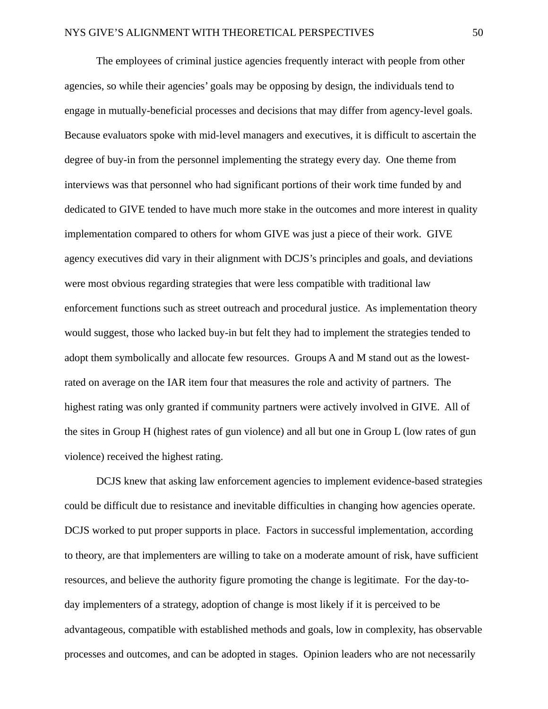The employees of criminal justice agencies frequently interact with people from other agencies, so while their agencies' goals may be opposing by design, the individuals tend to engage in mutually-beneficial processes and decisions that may differ from agency-level goals. Because evaluators spoke with mid-level managers and executives, it is difficult to ascertain the degree of buy-in from the personnel implementing the strategy every day. One theme from interviews was that personnel who had significant portions of their work time funded by and dedicated to GIVE tended to have much more stake in the outcomes and more interest in quality implementation compared to others for whom GIVE was just a piece of their work. GIVE agency executives did vary in their alignment with DCJS's principles and goals, and deviations were most obvious regarding strategies that were less compatible with traditional law enforcement functions such as street outreach and procedural justice. As implementation theory would suggest, those who lacked buy-in but felt they had to implement the strategies tended to adopt them symbolically and allocate few resources. Groups A and M stand out as the lowestrated on average on the IAR item four that measures the role and activity of partners. The highest rating was only granted if community partners were actively involved in GIVE. All of the sites in Group H (highest rates of gun violence) and all but one in Group L (low rates of gun violence) received the highest rating.

DCJS knew that asking law enforcement agencies to implement evidence-based strategies could be difficult due to resistance and inevitable difficulties in changing how agencies operate. DCJS worked to put proper supports in place. Factors in successful implementation, according to theory, are that implementers are willing to take on a moderate amount of risk, have sufficient resources, and believe the authority figure promoting the change is legitimate. For the day-today implementers of a strategy, adoption of change is most likely if it is perceived to be advantageous, compatible with established methods and goals, low in complexity, has observable processes and outcomes, and can be adopted in stages. Opinion leaders who are not necessarily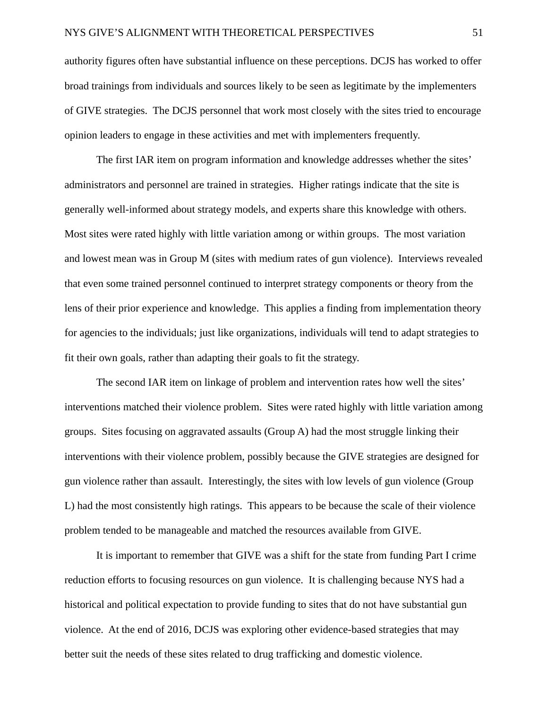authority figures often have substantial influence on these perceptions. DCJS has worked to offer broad trainings from individuals and sources likely to be seen as legitimate by the implementers of GIVE strategies. The DCJS personnel that work most closely with the sites tried to encourage opinion leaders to engage in these activities and met with implementers frequently.

The first IAR item on program information and knowledge addresses whether the sites' administrators and personnel are trained in strategies. Higher ratings indicate that the site is generally well-informed about strategy models, and experts share this knowledge with others. Most sites were rated highly with little variation among or within groups. The most variation and lowest mean was in Group M (sites with medium rates of gun violence). Interviews revealed that even some trained personnel continued to interpret strategy components or theory from the lens of their prior experience and knowledge. This applies a finding from implementation theory for agencies to the individuals; just like organizations, individuals will tend to adapt strategies to fit their own goals, rather than adapting their goals to fit the strategy.

The second IAR item on linkage of problem and intervention rates how well the sites' interventions matched their violence problem. Sites were rated highly with little variation among groups. Sites focusing on aggravated assaults (Group A) had the most struggle linking their interventions with their violence problem, possibly because the GIVE strategies are designed for gun violence rather than assault. Interestingly, the sites with low levels of gun violence (Group L) had the most consistently high ratings. This appears to be because the scale of their violence problem tended to be manageable and matched the resources available from GIVE.

It is important to remember that GIVE was a shift for the state from funding Part I crime reduction efforts to focusing resources on gun violence. It is challenging because NYS had a historical and political expectation to provide funding to sites that do not have substantial gun violence. At the end of 2016, DCJS was exploring other evidence-based strategies that may better suit the needs of these sites related to drug trafficking and domestic violence.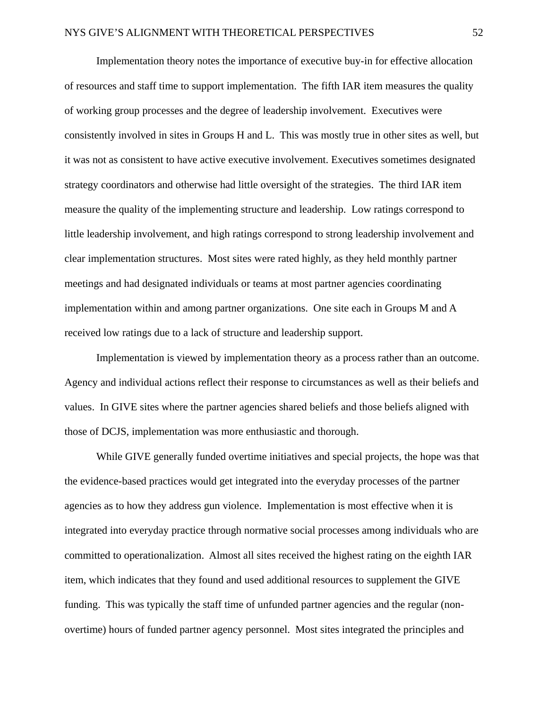Implementation theory notes the importance of executive buy-in for effective allocation of resources and staff time to support implementation. The fifth IAR item measures the quality of working group processes and the degree of leadership involvement. Executives were consistently involved in sites in Groups H and L. This was mostly true in other sites as well, but it was not as consistent to have active executive involvement. Executives sometimes designated strategy coordinators and otherwise had little oversight of the strategies. The third IAR item measure the quality of the implementing structure and leadership. Low ratings correspond to little leadership involvement, and high ratings correspond to strong leadership involvement and clear implementation structures. Most sites were rated highly, as they held monthly partner meetings and had designated individuals or teams at most partner agencies coordinating implementation within and among partner organizations. One site each in Groups M and A received low ratings due to a lack of structure and leadership support.

Implementation is viewed by implementation theory as a process rather than an outcome. Agency and individual actions reflect their response to circumstances as well as their beliefs and values. In GIVE sites where the partner agencies shared beliefs and those beliefs aligned with those of DCJS, implementation was more enthusiastic and thorough.

While GIVE generally funded overtime initiatives and special projects, the hope was that the evidence-based practices would get integrated into the everyday processes of the partner agencies as to how they address gun violence. Implementation is most effective when it is integrated into everyday practice through normative social processes among individuals who are committed to operationalization. Almost all sites received the highest rating on the eighth IAR item, which indicates that they found and used additional resources to supplement the GIVE funding. This was typically the staff time of unfunded partner agencies and the regular (nonovertime) hours of funded partner agency personnel. Most sites integrated the principles and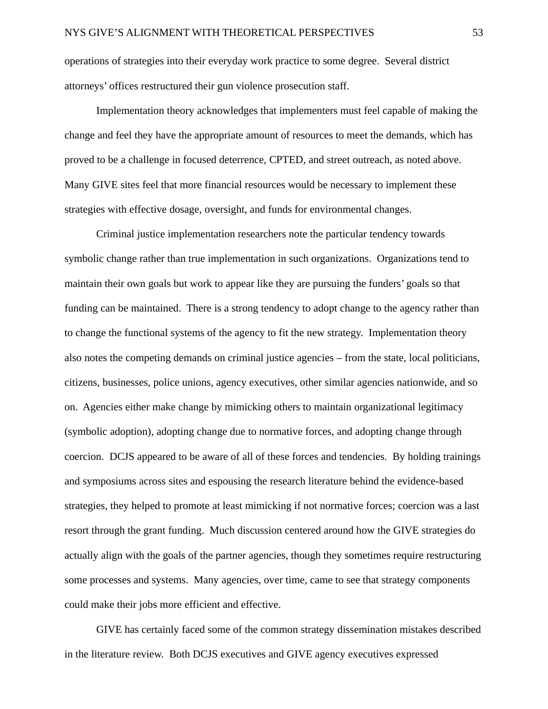operations of strategies into their everyday work practice to some degree. Several district attorneys' offices restructured their gun violence prosecution staff.

Implementation theory acknowledges that implementers must feel capable of making the change and feel they have the appropriate amount of resources to meet the demands, which has proved to be a challenge in focused deterrence, CPTED, and street outreach, as noted above. Many GIVE sites feel that more financial resources would be necessary to implement these strategies with effective dosage, oversight, and funds for environmental changes.

Criminal justice implementation researchers note the particular tendency towards symbolic change rather than true implementation in such organizations. Organizations tend to maintain their own goals but work to appear like they are pursuing the funders' goals so that funding can be maintained. There is a strong tendency to adopt change to the agency rather than to change the functional systems of the agency to fit the new strategy. Implementation theory also notes the competing demands on criminal justice agencies – from the state, local politicians, citizens, businesses, police unions, agency executives, other similar agencies nationwide, and so on. Agencies either make change by mimicking others to maintain organizational legitimacy (symbolic adoption), adopting change due to normative forces, and adopting change through coercion. DCJS appeared to be aware of all of these forces and tendencies. By holding trainings and symposiums across sites and espousing the research literature behind the evidence-based strategies, they helped to promote at least mimicking if not normative forces; coercion was a last resort through the grant funding. Much discussion centered around how the GIVE strategies do actually align with the goals of the partner agencies, though they sometimes require restructuring some processes and systems. Many agencies, over time, came to see that strategy components could make their jobs more efficient and effective.

GIVE has certainly faced some of the common strategy dissemination mistakes described in the literature review. Both DCJS executives and GIVE agency executives expressed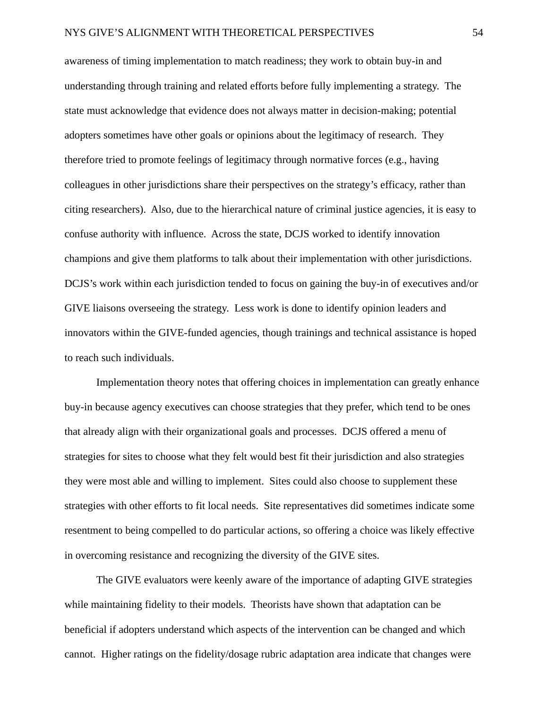awareness of timing implementation to match readiness; they work to obtain buy-in and understanding through training and related efforts before fully implementing a strategy. The state must acknowledge that evidence does not always matter in decision-making; potential adopters sometimes have other goals or opinions about the legitimacy of research. They therefore tried to promote feelings of legitimacy through normative forces (e.g., having colleagues in other jurisdictions share their perspectives on the strategy's efficacy, rather than citing researchers). Also, due to the hierarchical nature of criminal justice agencies, it is easy to confuse authority with influence. Across the state, DCJS worked to identify innovation champions and give them platforms to talk about their implementation with other jurisdictions. DCJS's work within each jurisdiction tended to focus on gaining the buy-in of executives and/or GIVE liaisons overseeing the strategy. Less work is done to identify opinion leaders and innovators within the GIVE-funded agencies, though trainings and technical assistance is hoped to reach such individuals.

Implementation theory notes that offering choices in implementation can greatly enhance buy-in because agency executives can choose strategies that they prefer, which tend to be ones that already align with their organizational goals and processes. DCJS offered a menu of strategies for sites to choose what they felt would best fit their jurisdiction and also strategies they were most able and willing to implement. Sites could also choose to supplement these strategies with other efforts to fit local needs. Site representatives did sometimes indicate some resentment to being compelled to do particular actions, so offering a choice was likely effective in overcoming resistance and recognizing the diversity of the GIVE sites.

The GIVE evaluators were keenly aware of the importance of adapting GIVE strategies while maintaining fidelity to their models. Theorists have shown that adaptation can be beneficial if adopters understand which aspects of the intervention can be changed and which cannot. Higher ratings on the fidelity/dosage rubric adaptation area indicate that changes were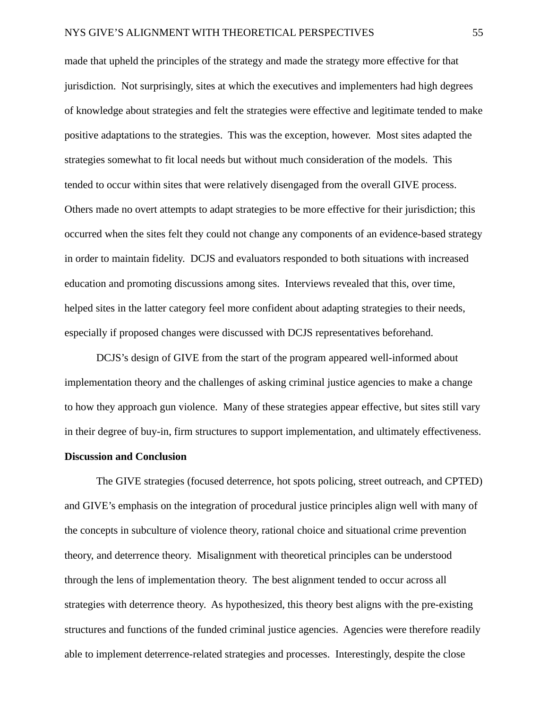made that upheld the principles of the strategy and made the strategy more effective for that jurisdiction. Not surprisingly, sites at which the executives and implementers had high degrees of knowledge about strategies and felt the strategies were effective and legitimate tended to make positive adaptations to the strategies. This was the exception, however. Most sites adapted the strategies somewhat to fit local needs but without much consideration of the models. This tended to occur within sites that were relatively disengaged from the overall GIVE process. Others made no overt attempts to adapt strategies to be more effective for their jurisdiction; this occurred when the sites felt they could not change any components of an evidence-based strategy in order to maintain fidelity. DCJS and evaluators responded to both situations with increased education and promoting discussions among sites. Interviews revealed that this, over time, helped sites in the latter category feel more confident about adapting strategies to their needs, especially if proposed changes were discussed with DCJS representatives beforehand.

DCJS's design of GIVE from the start of the program appeared well-informed about implementation theory and the challenges of asking criminal justice agencies to make a change to how they approach gun violence. Many of these strategies appear effective, but sites still vary in their degree of buy-in, firm structures to support implementation, and ultimately effectiveness.

## **Discussion and Conclusion**

The GIVE strategies (focused deterrence, hot spots policing, street outreach, and CPTED) and GIVE's emphasis on the integration of procedural justice principles align well with many of the concepts in subculture of violence theory, rational choice and situational crime prevention theory, and deterrence theory. Misalignment with theoretical principles can be understood through the lens of implementation theory. The best alignment tended to occur across all strategies with deterrence theory. As hypothesized, this theory best aligns with the pre-existing structures and functions of the funded criminal justice agencies. Agencies were therefore readily able to implement deterrence-related strategies and processes. Interestingly, despite the close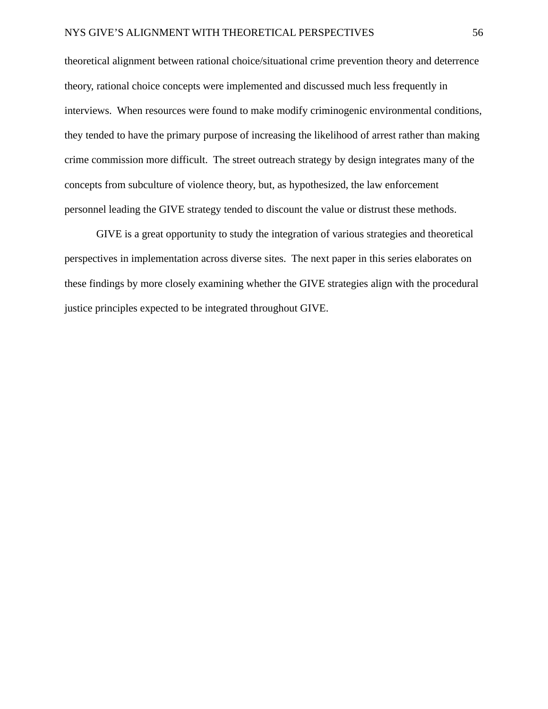theoretical alignment between rational choice/situational crime prevention theory and deterrence theory, rational choice concepts were implemented and discussed much less frequently in interviews. When resources were found to make modify criminogenic environmental conditions, they tended to have the primary purpose of increasing the likelihood of arrest rather than making crime commission more difficult. The street outreach strategy by design integrates many of the concepts from subculture of violence theory, but, as hypothesized, the law enforcement personnel leading the GIVE strategy tended to discount the value or distrust these methods.

GIVE is a great opportunity to study the integration of various strategies and theoretical perspectives in implementation across diverse sites. The next paper in this series elaborates on these findings by more closely examining whether the GIVE strategies align with the procedural justice principles expected to be integrated throughout GIVE.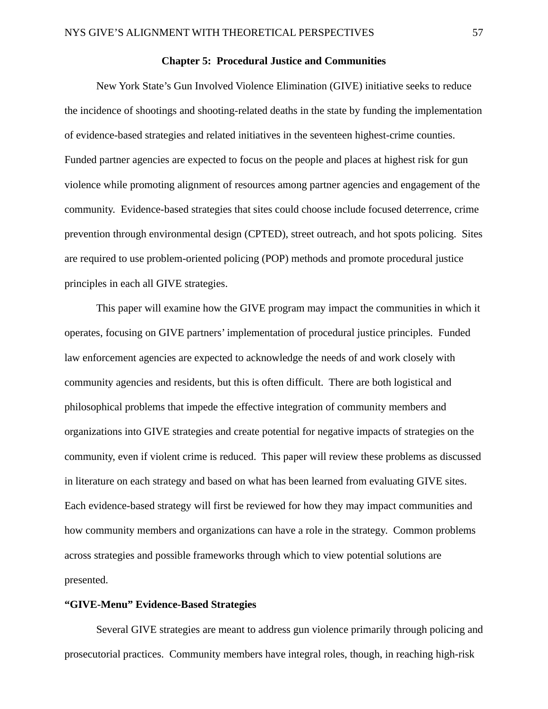# **Chapter 5: Procedural Justice and Communities**

New York State's Gun Involved Violence Elimination (GIVE) initiative seeks to reduce the incidence of shootings and shooting-related deaths in the state by funding the implementation of evidence-based strategies and related initiatives in the seventeen highest-crime counties. Funded partner agencies are expected to focus on the people and places at highest risk for gun violence while promoting alignment of resources among partner agencies and engagement of the community. Evidence-based strategies that sites could choose include focused deterrence, crime prevention through environmental design (CPTED), street outreach, and hot spots policing. Sites are required to use problem-oriented policing (POP) methods and promote procedural justice principles in each all GIVE strategies.

This paper will examine how the GIVE program may impact the communities in which it operates, focusing on GIVE partners' implementation of procedural justice principles. Funded law enforcement agencies are expected to acknowledge the needs of and work closely with community agencies and residents, but this is often difficult. There are both logistical and philosophical problems that impede the effective integration of community members and organizations into GIVE strategies and create potential for negative impacts of strategies on the community, even if violent crime is reduced. This paper will review these problems as discussed in literature on each strategy and based on what has been learned from evaluating GIVE sites. Each evidence-based strategy will first be reviewed for how they may impact communities and how community members and organizations can have a role in the strategy. Common problems across strategies and possible frameworks through which to view potential solutions are presented.

# **"GIVE-Menu" Evidence-Based Strategies**

Several GIVE strategies are meant to address gun violence primarily through policing and prosecutorial practices. Community members have integral roles, though, in reaching high-risk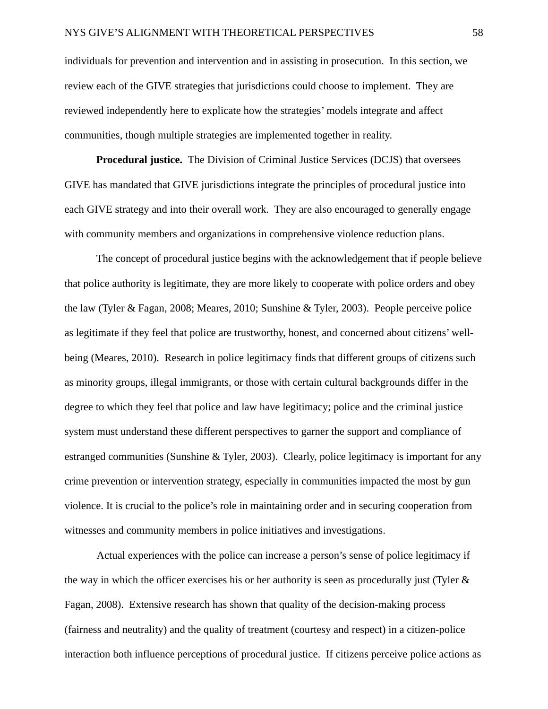individuals for prevention and intervention and in assisting in prosecution. In this section, we review each of the GIVE strategies that jurisdictions could choose to implement. They are reviewed independently here to explicate how the strategies' models integrate and affect communities, though multiple strategies are implemented together in reality.

**Procedural justice.** The Division of Criminal Justice Services (DCJS) that oversees GIVE has mandated that GIVE jurisdictions integrate the principles of procedural justice into each GIVE strategy and into their overall work. They are also encouraged to generally engage with community members and organizations in comprehensive violence reduction plans.

The concept of procedural justice begins with the acknowledgement that if people believe that police authority is legitimate, they are more likely to cooperate with police orders and obey the law (Tyler & Fagan, 2008; Meares, 2010; Sunshine & Tyler, 2003). People perceive police as legitimate if they feel that police are trustworthy, honest, and concerned about citizens' wellbeing (Meares, 2010). Research in police legitimacy finds that different groups of citizens such as minority groups, illegal immigrants, or those with certain cultural backgrounds differ in the degree to which they feel that police and law have legitimacy; police and the criminal justice system must understand these different perspectives to garner the support and compliance of estranged communities (Sunshine & Tyler, 2003). Clearly, police legitimacy is important for any crime prevention or intervention strategy, especially in communities impacted the most by gun violence. It is crucial to the police's role in maintaining order and in securing cooperation from witnesses and community members in police initiatives and investigations.

Actual experiences with the police can increase a person's sense of police legitimacy if the way in which the officer exercises his or her authority is seen as procedurally just (Tyler & Fagan, 2008). Extensive research has shown that quality of the decision-making process (fairness and neutrality) and the quality of treatment (courtesy and respect) in a citizen-police interaction both influence perceptions of procedural justice. If citizens perceive police actions as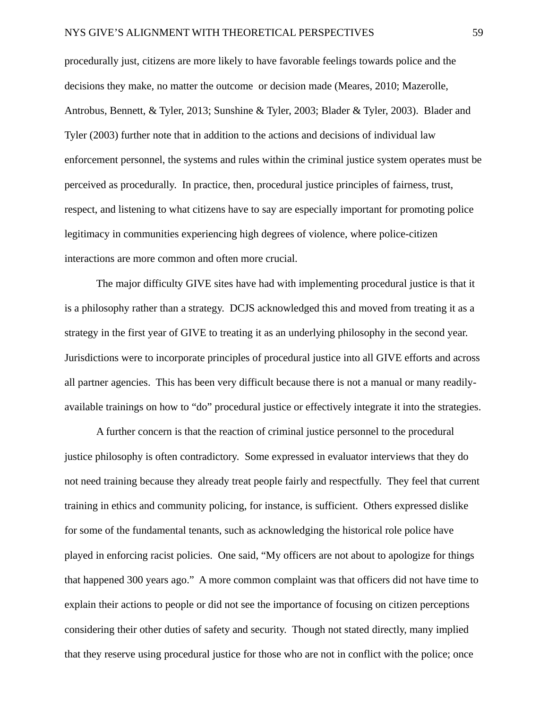procedurally just, citizens are more likely to have favorable feelings towards police and the decisions they make, no matter the outcome or decision made (Meares, 2010; Mazerolle, Antrobus, Bennett, & Tyler, 2013; Sunshine & Tyler, 2003; Blader & Tyler, 2003). Blader and Tyler (2003) further note that in addition to the actions and decisions of individual law enforcement personnel, the systems and rules within the criminal justice system operates must be perceived as procedurally. In practice, then, procedural justice principles of fairness, trust, respect, and listening to what citizens have to say are especially important for promoting police legitimacy in communities experiencing high degrees of violence, where police-citizen interactions are more common and often more crucial.

The major difficulty GIVE sites have had with implementing procedural justice is that it is a philosophy rather than a strategy. DCJS acknowledged this and moved from treating it as a strategy in the first year of GIVE to treating it as an underlying philosophy in the second year. Jurisdictions were to incorporate principles of procedural justice into all GIVE efforts and across all partner agencies. This has been very difficult because there is not a manual or many readilyavailable trainings on how to "do" procedural justice or effectively integrate it into the strategies.

A further concern is that the reaction of criminal justice personnel to the procedural justice philosophy is often contradictory. Some expressed in evaluator interviews that they do not need training because they already treat people fairly and respectfully. They feel that current training in ethics and community policing, for instance, is sufficient. Others expressed dislike for some of the fundamental tenants, such as acknowledging the historical role police have played in enforcing racist policies. One said, "My officers are not about to apologize for things that happened 300 years ago." A more common complaint was that officers did not have time to explain their actions to people or did not see the importance of focusing on citizen perceptions considering their other duties of safety and security. Though not stated directly, many implied that they reserve using procedural justice for those who are not in conflict with the police; once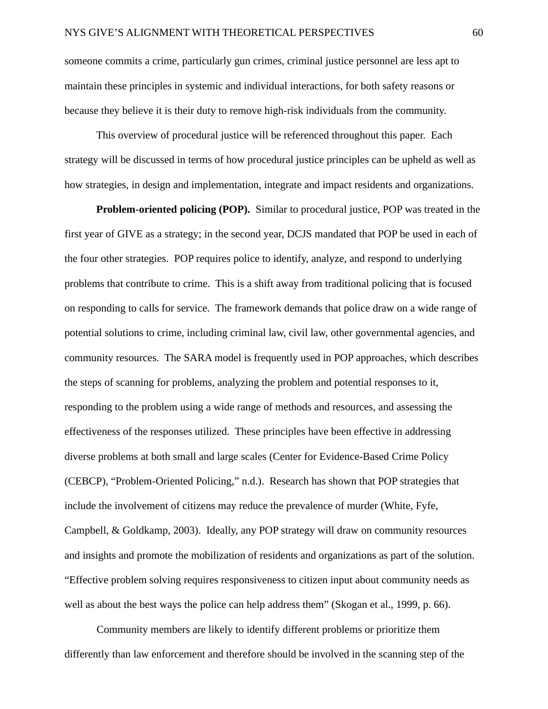someone commits a crime, particularly gun crimes, criminal justice personnel are less apt to maintain these principles in systemic and individual interactions, for both safety reasons or because they believe it is their duty to remove high-risk individuals from the community.

This overview of procedural justice will be referenced throughout this paper. Each strategy will be discussed in terms of how procedural justice principles can be upheld as well as how strategies, in design and implementation, integrate and impact residents and organizations.

**Problem-oriented policing (POP).** Similar to procedural justice, POP was treated in the first year of GIVE as a strategy; in the second year, DCJS mandated that POP be used in each of the four other strategies. POP requires police to identify, analyze, and respond to underlying problems that contribute to crime. This is a shift away from traditional policing that is focused on responding to calls for service. The framework demands that police draw on a wide range of potential solutions to crime, including criminal law, civil law, other governmental agencies, and community resources. The SARA model is frequently used in POP approaches, which describes the steps of scanning for problems, analyzing the problem and potential responses to it, responding to the problem using a wide range of methods and resources, and assessing the effectiveness of the responses utilized. These principles have been effective in addressing diverse problems at both small and large scales (Center for Evidence-Based Crime Policy (CEBCP), "Problem-Oriented Policing," n.d.). Research has shown that POP strategies that include the involvement of citizens may reduce the prevalence of murder (White, Fyfe, Campbell, & Goldkamp, 2003). Ideally, any POP strategy will draw on community resources and insights and promote the mobilization of residents and organizations as part of the solution. "Effective problem solving requires responsiveness to citizen input about community needs as well as about the best ways the police can help address them" (Skogan et al., 1999, p. 66).

Community members are likely to identify different problems or prioritize them differently than law enforcement and therefore should be involved in the scanning step of the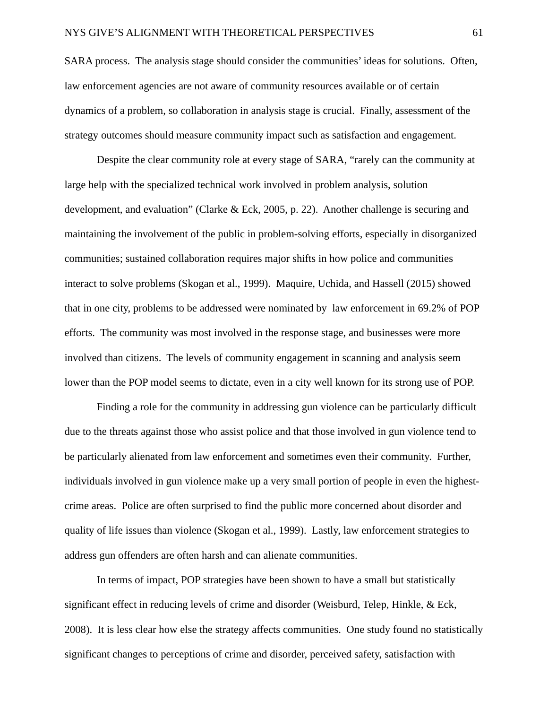SARA process. The analysis stage should consider the communities' ideas for solutions. Often, law enforcement agencies are not aware of community resources available or of certain dynamics of a problem, so collaboration in analysis stage is crucial. Finally, assessment of the strategy outcomes should measure community impact such as satisfaction and engagement.

Despite the clear community role at every stage of SARA, "rarely can the community at large help with the specialized technical work involved in problem analysis, solution development, and evaluation" (Clarke & Eck, 2005, p. 22). Another challenge is securing and maintaining the involvement of the public in problem-solving efforts, especially in disorganized communities; sustained collaboration requires major shifts in how police and communities interact to solve problems (Skogan et al., 1999). Maquire, Uchida, and Hassell (2015) showed that in one city, problems to be addressed were nominated by law enforcement in 69.2% of POP efforts. The community was most involved in the response stage, and businesses were more involved than citizens. The levels of community engagement in scanning and analysis seem lower than the POP model seems to dictate, even in a city well known for its strong use of POP.

Finding a role for the community in addressing gun violence can be particularly difficult due to the threats against those who assist police and that those involved in gun violence tend to be particularly alienated from law enforcement and sometimes even their community. Further, individuals involved in gun violence make up a very small portion of people in even the highestcrime areas. Police are often surprised to find the public more concerned about disorder and quality of life issues than violence (Skogan et al., 1999). Lastly, law enforcement strategies to address gun offenders are often harsh and can alienate communities.

In terms of impact, POP strategies have been shown to have a small but statistically significant effect in reducing levels of crime and disorder (Weisburd, Telep, Hinkle, & Eck, 2008). It is less clear how else the strategy affects communities. One study found no statistically significant changes to perceptions of crime and disorder, perceived safety, satisfaction with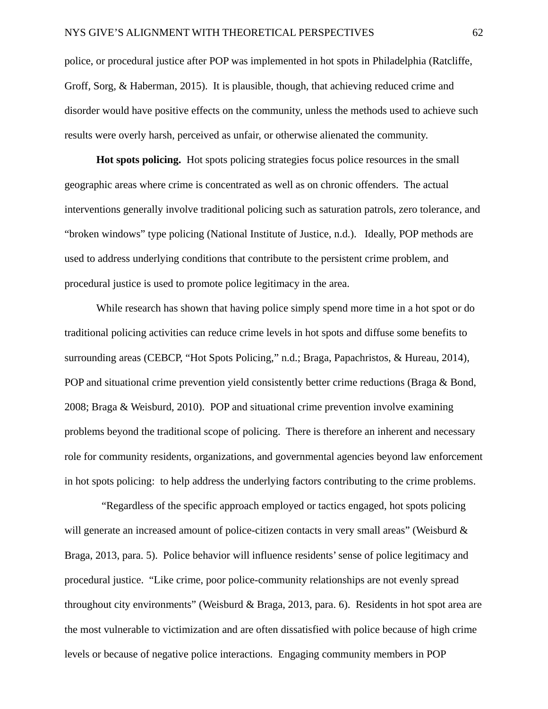police, or procedural justice after POP was implemented in hot spots in Philadelphia (Ratcliffe, Groff, Sorg, & Haberman, 2015). It is plausible, though, that achieving reduced crime and disorder would have positive effects on the community, unless the methods used to achieve such results were overly harsh, perceived as unfair, or otherwise alienated the community.

**Hot spots policing.** Hot spots policing strategies focus police resources in the small geographic areas where crime is concentrated as well as on chronic offenders. The actual interventions generally involve traditional policing such as saturation patrols, zero tolerance, and "broken windows" type policing (National Institute of Justice, n.d.). Ideally, POP methods are used to address underlying conditions that contribute to the persistent crime problem, and procedural justice is used to promote police legitimacy in the area.

While research has shown that having police simply spend more time in a hot spot or do traditional policing activities can reduce crime levels in hot spots and diffuse some benefits to surrounding areas (CEBCP, "Hot Spots Policing," n.d.; Braga, Papachristos, & Hureau, 2014), POP and situational crime prevention yield consistently better crime reductions (Braga & Bond, 2008; Braga & Weisburd, 2010). POP and situational crime prevention involve examining problems beyond the traditional scope of policing. There is therefore an inherent and necessary role for community residents, organizations, and governmental agencies beyond law enforcement in hot spots policing: to help address the underlying factors contributing to the crime problems.

 "Regardless of the specific approach employed or tactics engaged, hot spots policing will generate an increased amount of police-citizen contacts in very small areas" (Weisburd & Braga, 2013, para. 5). Police behavior will influence residents' sense of police legitimacy and procedural justice. "Like crime, poor police-community relationships are not evenly spread throughout city environments" (Weisburd & Braga, 2013, para. 6). Residents in hot spot area are the most vulnerable to victimization and are often dissatisfied with police because of high crime levels or because of negative police interactions. Engaging community members in POP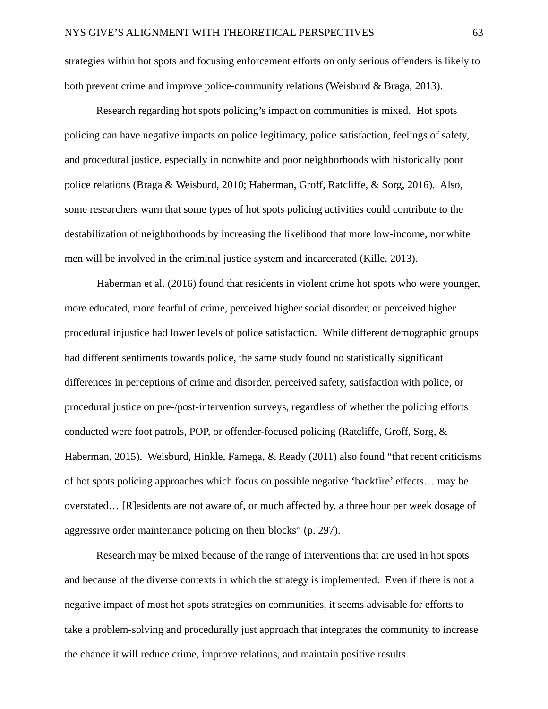strategies within hot spots and focusing enforcement efforts on only serious offenders is likely to both prevent crime and improve police-community relations (Weisburd & Braga, 2013).

Research regarding hot spots policing's impact on communities is mixed. Hot spots policing can have negative impacts on police legitimacy, police satisfaction, feelings of safety, and procedural justice, especially in nonwhite and poor neighborhoods with historically poor police relations (Braga & Weisburd, 2010; Haberman, Groff, Ratcliffe, & Sorg, 2016). Also, some researchers warn that some types of hot spots policing activities could contribute to the destabilization of neighborhoods by increasing the likelihood that more low-income, nonwhite men will be involved in the criminal justice system and incarcerated (Kille, 2013).

Haberman et al. (2016) found that residents in violent crime hot spots who were younger, more educated, more fearful of crime, perceived higher social disorder, or perceived higher procedural injustice had lower levels of police satisfaction. While different demographic groups had different sentiments towards police, the same study found no statistically significant differences in perceptions of crime and disorder, perceived safety, satisfaction with police, or procedural justice on pre-/post-intervention surveys, regardless of whether the policing efforts conducted were foot patrols, POP, or offender-focused policing (Ratcliffe, Groff, Sorg, & Haberman, 2015). Weisburd, Hinkle, Famega, & Ready (2011) also found "that recent criticisms of hot spots policing approaches which focus on possible negative 'backfire' effects… may be overstated… [R]esidents are not aware of, or much affected by, a three hour per week dosage of aggressive order maintenance policing on their blocks" (p. 297).

Research may be mixed because of the range of interventions that are used in hot spots and because of the diverse contexts in which the strategy is implemented. Even if there is not a negative impact of most hot spots strategies on communities, it seems advisable for efforts to take a problem-solving and procedurally just approach that integrates the community to increase the chance it will reduce crime, improve relations, and maintain positive results.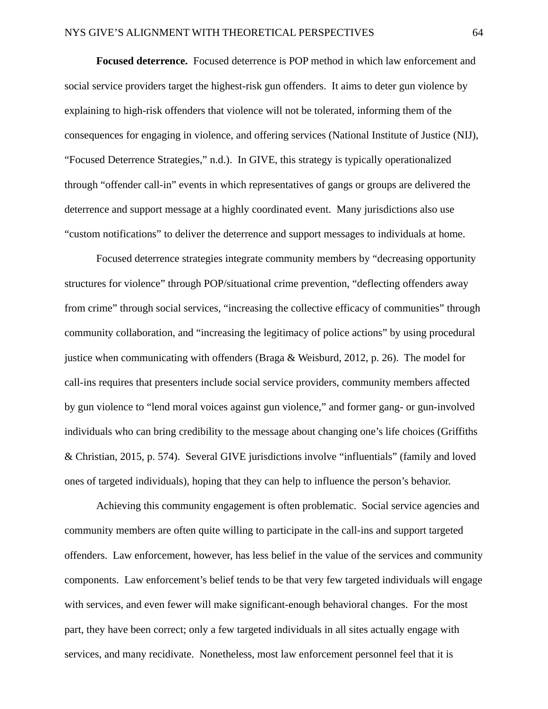**Focused deterrence.** Focused deterrence is POP method in which law enforcement and social service providers target the highest-risk gun offenders. It aims to deter gun violence by explaining to high-risk offenders that violence will not be tolerated, informing them of the consequences for engaging in violence, and offering services (National Institute of Justice (NIJ), "Focused Deterrence Strategies," n.d.). In GIVE, this strategy is typically operationalized through "offender call-in" events in which representatives of gangs or groups are delivered the deterrence and support message at a highly coordinated event. Many jurisdictions also use "custom notifications" to deliver the deterrence and support messages to individuals at home.

Focused deterrence strategies integrate community members by "decreasing opportunity structures for violence" through POP/situational crime prevention, "deflecting offenders away from crime" through social services, "increasing the collective efficacy of communities" through community collaboration, and "increasing the legitimacy of police actions" by using procedural justice when communicating with offenders (Braga & Weisburd, 2012, p. 26). The model for call-ins requires that presenters include social service providers, community members affected by gun violence to "lend moral voices against gun violence," and former gang- or gun-involved individuals who can bring credibility to the message about changing one's life choices (Griffiths & Christian, 2015, p. 574). Several GIVE jurisdictions involve "influentials" (family and loved ones of targeted individuals), hoping that they can help to influence the person's behavior.

Achieving this community engagement is often problematic. Social service agencies and community members are often quite willing to participate in the call-ins and support targeted offenders. Law enforcement, however, has less belief in the value of the services and community components. Law enforcement's belief tends to be that very few targeted individuals will engage with services, and even fewer will make significant-enough behavioral changes. For the most part, they have been correct; only a few targeted individuals in all sites actually engage with services, and many recidivate. Nonetheless, most law enforcement personnel feel that it is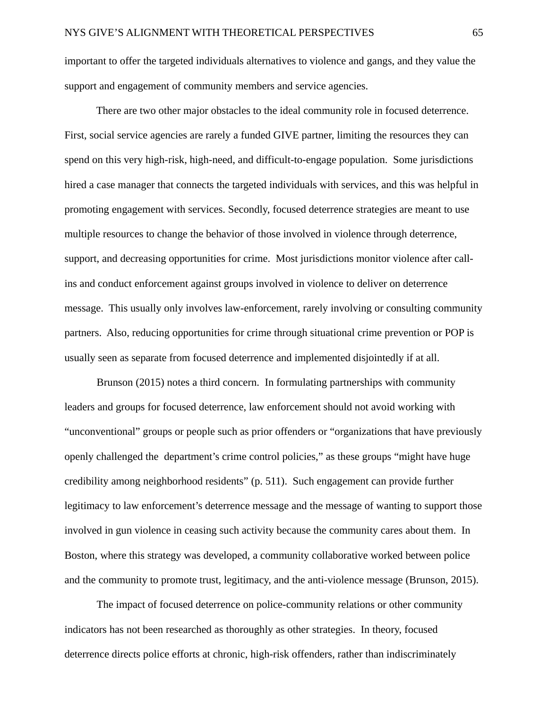important to offer the targeted individuals alternatives to violence and gangs, and they value the support and engagement of community members and service agencies.

There are two other major obstacles to the ideal community role in focused deterrence. First, social service agencies are rarely a funded GIVE partner, limiting the resources they can spend on this very high-risk, high-need, and difficult-to-engage population. Some jurisdictions hired a case manager that connects the targeted individuals with services, and this was helpful in promoting engagement with services. Secondly, focused deterrence strategies are meant to use multiple resources to change the behavior of those involved in violence through deterrence, support, and decreasing opportunities for crime. Most jurisdictions monitor violence after callins and conduct enforcement against groups involved in violence to deliver on deterrence message. This usually only involves law-enforcement, rarely involving or consulting community partners. Also, reducing opportunities for crime through situational crime prevention or POP is usually seen as separate from focused deterrence and implemented disjointedly if at all.

Brunson (2015) notes a third concern. In formulating partnerships with community leaders and groups for focused deterrence, law enforcement should not avoid working with "unconventional" groups or people such as prior offenders or "organizations that have previously openly challenged the department's crime control policies," as these groups "might have huge credibility among neighborhood residents" (p. 511). Such engagement can provide further legitimacy to law enforcement's deterrence message and the message of wanting to support those involved in gun violence in ceasing such activity because the community cares about them. In Boston, where this strategy was developed, a community collaborative worked between police and the community to promote trust, legitimacy, and the anti-violence message (Brunson, 2015).

The impact of focused deterrence on police-community relations or other community indicators has not been researched as thoroughly as other strategies. In theory, focused deterrence directs police efforts at chronic, high-risk offenders, rather than indiscriminately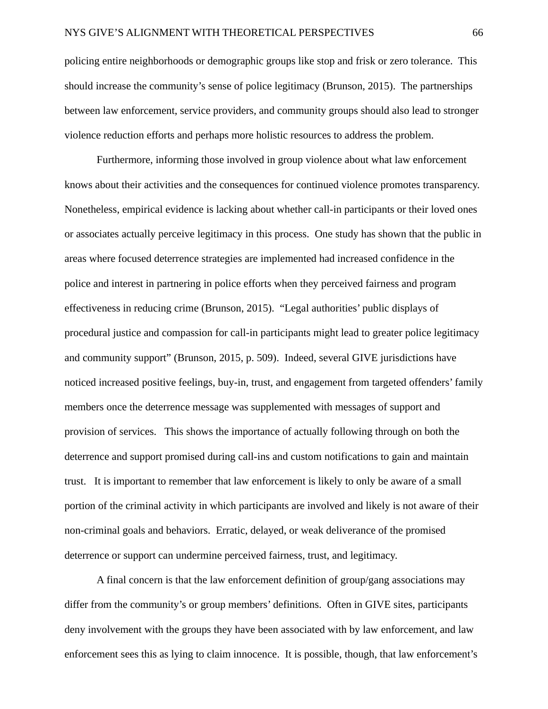policing entire neighborhoods or demographic groups like stop and frisk or zero tolerance. This should increase the community's sense of police legitimacy (Brunson, 2015). The partnerships between law enforcement, service providers, and community groups should also lead to stronger violence reduction efforts and perhaps more holistic resources to address the problem.

Furthermore, informing those involved in group violence about what law enforcement knows about their activities and the consequences for continued violence promotes transparency. Nonetheless, empirical evidence is lacking about whether call-in participants or their loved ones or associates actually perceive legitimacy in this process. One study has shown that the public in areas where focused deterrence strategies are implemented had increased confidence in the police and interest in partnering in police efforts when they perceived fairness and program effectiveness in reducing crime (Brunson, 2015). "Legal authorities' public displays of procedural justice and compassion for call-in participants might lead to greater police legitimacy and community support" (Brunson, 2015, p. 509). Indeed, several GIVE jurisdictions have noticed increased positive feelings, buy-in, trust, and engagement from targeted offenders' family members once the deterrence message was supplemented with messages of support and provision of services. This shows the importance of actually following through on both the deterrence and support promised during call-ins and custom notifications to gain and maintain trust. It is important to remember that law enforcement is likely to only be aware of a small portion of the criminal activity in which participants are involved and likely is not aware of their non-criminal goals and behaviors. Erratic, delayed, or weak deliverance of the promised deterrence or support can undermine perceived fairness, trust, and legitimacy.

A final concern is that the law enforcement definition of group/gang associations may differ from the community's or group members' definitions. Often in GIVE sites, participants deny involvement with the groups they have been associated with by law enforcement, and law enforcement sees this as lying to claim innocence. It is possible, though, that law enforcement's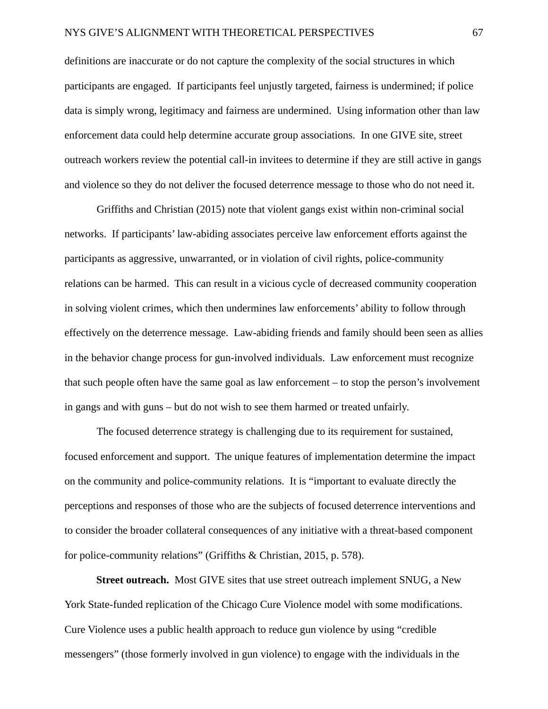definitions are inaccurate or do not capture the complexity of the social structures in which participants are engaged. If participants feel unjustly targeted, fairness is undermined; if police data is simply wrong, legitimacy and fairness are undermined. Using information other than law enforcement data could help determine accurate group associations. In one GIVE site, street outreach workers review the potential call-in invitees to determine if they are still active in gangs and violence so they do not deliver the focused deterrence message to those who do not need it.

Griffiths and Christian (2015) note that violent gangs exist within non-criminal social networks. If participants' law-abiding associates perceive law enforcement efforts against the participants as aggressive, unwarranted, or in violation of civil rights, police-community relations can be harmed. This can result in a vicious cycle of decreased community cooperation in solving violent crimes, which then undermines law enforcements' ability to follow through effectively on the deterrence message. Law-abiding friends and family should been seen as allies in the behavior change process for gun-involved individuals. Law enforcement must recognize that such people often have the same goal as law enforcement – to stop the person's involvement in gangs and with guns – but do not wish to see them harmed or treated unfairly.

The focused deterrence strategy is challenging due to its requirement for sustained, focused enforcement and support. The unique features of implementation determine the impact on the community and police-community relations. It is "important to evaluate directly the perceptions and responses of those who are the subjects of focused deterrence interventions and to consider the broader collateral consequences of any initiative with a threat-based component for police-community relations" (Griffiths & Christian, 2015, p. 578).

**Street outreach.** Most GIVE sites that use street outreach implement SNUG, a New York State-funded replication of the Chicago Cure Violence model with some modifications. Cure Violence uses a public health approach to reduce gun violence by using "credible messengers" (those formerly involved in gun violence) to engage with the individuals in the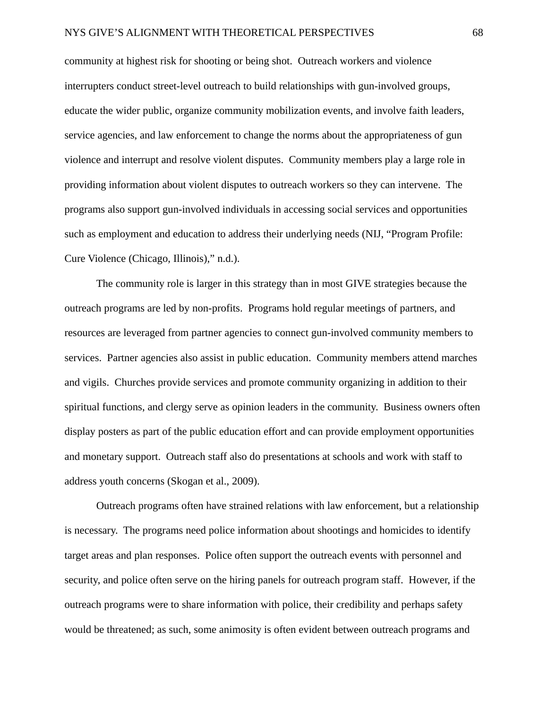community at highest risk for shooting or being shot. Outreach workers and violence interrupters conduct street-level outreach to build relationships with gun-involved groups, educate the wider public, organize community mobilization events, and involve faith leaders, service agencies, and law enforcement to change the norms about the appropriateness of gun violence and interrupt and resolve violent disputes. Community members play a large role in providing information about violent disputes to outreach workers so they can intervene. The programs also support gun-involved individuals in accessing social services and opportunities such as employment and education to address their underlying needs (NIJ, "Program Profile: Cure Violence (Chicago, Illinois)," n.d.).

The community role is larger in this strategy than in most GIVE strategies because the outreach programs are led by non-profits. Programs hold regular meetings of partners, and resources are leveraged from partner agencies to connect gun-involved community members to services. Partner agencies also assist in public education. Community members attend marches and vigils. Churches provide services and promote community organizing in addition to their spiritual functions, and clergy serve as opinion leaders in the community. Business owners often display posters as part of the public education effort and can provide employment opportunities and monetary support. Outreach staff also do presentations at schools and work with staff to address youth concerns (Skogan et al., 2009).

Outreach programs often have strained relations with law enforcement, but a relationship is necessary. The programs need police information about shootings and homicides to identify target areas and plan responses. Police often support the outreach events with personnel and security, and police often serve on the hiring panels for outreach program staff. However, if the outreach programs were to share information with police, their credibility and perhaps safety would be threatened; as such, some animosity is often evident between outreach programs and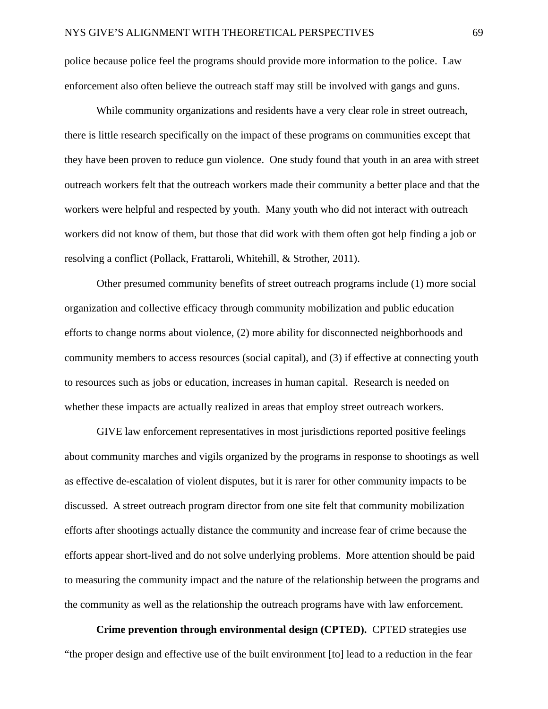police because police feel the programs should provide more information to the police. Law enforcement also often believe the outreach staff may still be involved with gangs and guns.

While community organizations and residents have a very clear role in street outreach, there is little research specifically on the impact of these programs on communities except that they have been proven to reduce gun violence. One study found that youth in an area with street outreach workers felt that the outreach workers made their community a better place and that the workers were helpful and respected by youth. Many youth who did not interact with outreach workers did not know of them, but those that did work with them often got help finding a job or resolving a conflict (Pollack, Frattaroli, Whitehill, & Strother, 2011).

Other presumed community benefits of street outreach programs include (1) more social organization and collective efficacy through community mobilization and public education efforts to change norms about violence, (2) more ability for disconnected neighborhoods and community members to access resources (social capital), and (3) if effective at connecting youth to resources such as jobs or education, increases in human capital. Research is needed on whether these impacts are actually realized in areas that employ street outreach workers.

GIVE law enforcement representatives in most jurisdictions reported positive feelings about community marches and vigils organized by the programs in response to shootings as well as effective de-escalation of violent disputes, but it is rarer for other community impacts to be discussed. A street outreach program director from one site felt that community mobilization efforts after shootings actually distance the community and increase fear of crime because the efforts appear short-lived and do not solve underlying problems. More attention should be paid to measuring the community impact and the nature of the relationship between the programs and the community as well as the relationship the outreach programs have with law enforcement.

**Crime prevention through environmental design (CPTED).** CPTED strategies use "the proper design and effective use of the built environment [to] lead to a reduction in the fear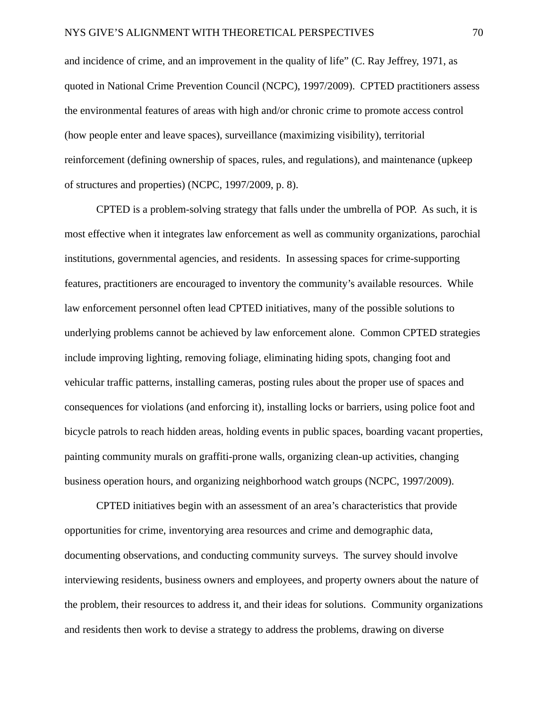and incidence of crime, and an improvement in the quality of life" (C. Ray Jeffrey, 1971, as quoted in National Crime Prevention Council (NCPC), 1997/2009). CPTED practitioners assess the environmental features of areas with high and/or chronic crime to promote access control (how people enter and leave spaces), surveillance (maximizing visibility), territorial reinforcement (defining ownership of spaces, rules, and regulations), and maintenance (upkeep of structures and properties) (NCPC, 1997/2009, p. 8).

CPTED is a problem-solving strategy that falls under the umbrella of POP. As such, it is most effective when it integrates law enforcement as well as community organizations, parochial institutions, governmental agencies, and residents. In assessing spaces for crime-supporting features, practitioners are encouraged to inventory the community's available resources. While law enforcement personnel often lead CPTED initiatives, many of the possible solutions to underlying problems cannot be achieved by law enforcement alone. Common CPTED strategies include improving lighting, removing foliage, eliminating hiding spots, changing foot and vehicular traffic patterns, installing cameras, posting rules about the proper use of spaces and consequences for violations (and enforcing it), installing locks or barriers, using police foot and bicycle patrols to reach hidden areas, holding events in public spaces, boarding vacant properties, painting community murals on graffiti-prone walls, organizing clean-up activities, changing business operation hours, and organizing neighborhood watch groups (NCPC, 1997/2009).

CPTED initiatives begin with an assessment of an area's characteristics that provide opportunities for crime, inventorying area resources and crime and demographic data, documenting observations, and conducting community surveys. The survey should involve interviewing residents, business owners and employees, and property owners about the nature of the problem, their resources to address it, and their ideas for solutions. Community organizations and residents then work to devise a strategy to address the problems, drawing on diverse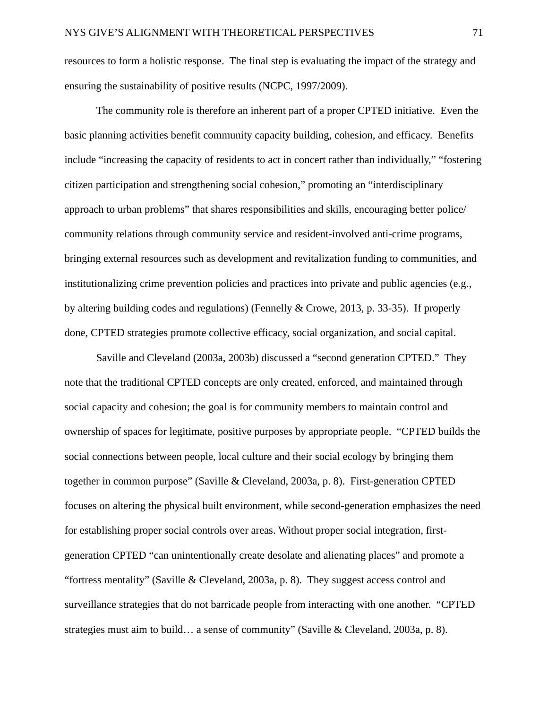resources to form a holistic response. The final step is evaluating the impact of the strategy and ensuring the sustainability of positive results (NCPC, 1997/2009).

The community role is therefore an inherent part of a proper CPTED initiative. Even the basic planning activities benefit community capacity building, cohesion, and efficacy. Benefits include "increasing the capacity of residents to act in concert rather than individually," "fostering citizen participation and strengthening social cohesion," promoting an "interdisciplinary approach to urban problems" that shares responsibilities and skills, encouraging better police/ community relations through community service and resident-involved anti-crime programs, bringing external resources such as development and revitalization funding to communities, and institutionalizing crime prevention policies and practices into private and public agencies (e.g., by altering building codes and regulations) (Fennelly & Crowe, 2013, p. 33-35). If properly done, CPTED strategies promote collective efficacy, social organization, and social capital.

Saville and Cleveland (2003a, 2003b) discussed a "second generation CPTED." They note that the traditional CPTED concepts are only created, enforced, and maintained through social capacity and cohesion; the goal is for community members to maintain control and ownership of spaces for legitimate, positive purposes by appropriate people. "CPTED builds the social connections between people, local culture and their social ecology by bringing them together in common purpose" (Saville & Cleveland, 2003a, p. 8). First-generation CPTED focuses on altering the physical built environment, while second-generation emphasizes the need for establishing proper social controls over areas. Without proper social integration, firstgeneration CPTED "can unintentionally create desolate and alienating places" and promote a "fortress mentality" (Saville & Cleveland, 2003a, p. 8). They suggest access control and surveillance strategies that do not barricade people from interacting with one another. "CPTED strategies must aim to build… a sense of community" (Saville & Cleveland, 2003a, p. 8).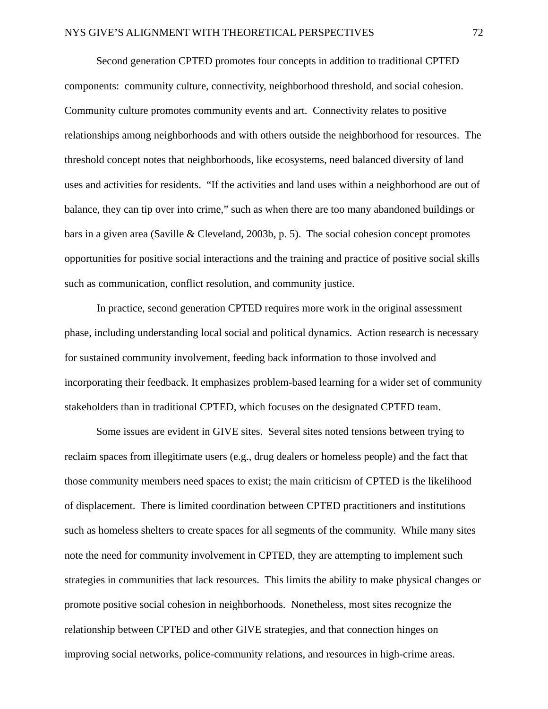Second generation CPTED promotes four concepts in addition to traditional CPTED components: community culture, connectivity, neighborhood threshold, and social cohesion. Community culture promotes community events and art. Connectivity relates to positive relationships among neighborhoods and with others outside the neighborhood for resources. The threshold concept notes that neighborhoods, like ecosystems, need balanced diversity of land uses and activities for residents. "If the activities and land uses within a neighborhood are out of balance, they can tip over into crime," such as when there are too many abandoned buildings or bars in a given area (Saville & Cleveland, 2003b, p. 5). The social cohesion concept promotes opportunities for positive social interactions and the training and practice of positive social skills such as communication, conflict resolution, and community justice.

In practice, second generation CPTED requires more work in the original assessment phase, including understanding local social and political dynamics. Action research is necessary for sustained community involvement, feeding back information to those involved and incorporating their feedback. It emphasizes problem-based learning for a wider set of community stakeholders than in traditional CPTED, which focuses on the designated CPTED team.

Some issues are evident in GIVE sites. Several sites noted tensions between trying to reclaim spaces from illegitimate users (e.g., drug dealers or homeless people) and the fact that those community members need spaces to exist; the main criticism of CPTED is the likelihood of displacement. There is limited coordination between CPTED practitioners and institutions such as homeless shelters to create spaces for all segments of the community. While many sites note the need for community involvement in CPTED, they are attempting to implement such strategies in communities that lack resources. This limits the ability to make physical changes or promote positive social cohesion in neighborhoods. Nonetheless, most sites recognize the relationship between CPTED and other GIVE strategies, and that connection hinges on improving social networks, police-community relations, and resources in high-crime areas.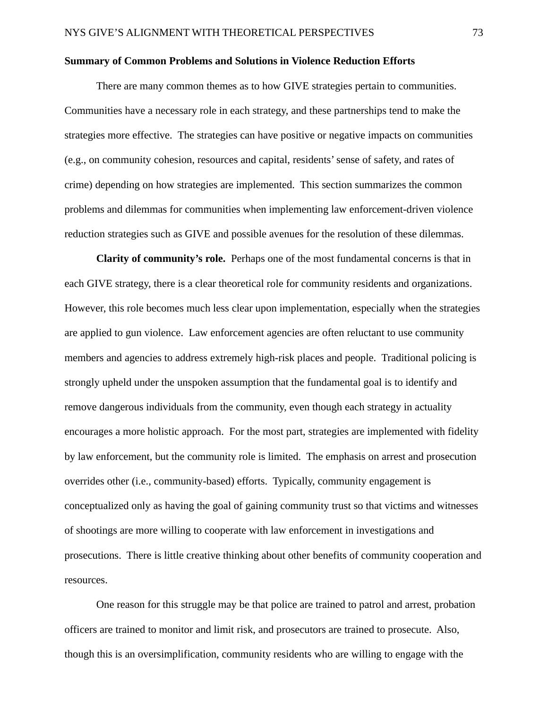### **Summary of Common Problems and Solutions in Violence Reduction Efforts**

There are many common themes as to how GIVE strategies pertain to communities. Communities have a necessary role in each strategy, and these partnerships tend to make the strategies more effective. The strategies can have positive or negative impacts on communities (e.g., on community cohesion, resources and capital, residents' sense of safety, and rates of crime) depending on how strategies are implemented. This section summarizes the common problems and dilemmas for communities when implementing law enforcement-driven violence reduction strategies such as GIVE and possible avenues for the resolution of these dilemmas.

**Clarity of community's role.** Perhaps one of the most fundamental concerns is that in each GIVE strategy, there is a clear theoretical role for community residents and organizations. However, this role becomes much less clear upon implementation, especially when the strategies are applied to gun violence. Law enforcement agencies are often reluctant to use community members and agencies to address extremely high-risk places and people. Traditional policing is strongly upheld under the unspoken assumption that the fundamental goal is to identify and remove dangerous individuals from the community, even though each strategy in actuality encourages a more holistic approach. For the most part, strategies are implemented with fidelity by law enforcement, but the community role is limited. The emphasis on arrest and prosecution overrides other (i.e., community-based) efforts. Typically, community engagement is conceptualized only as having the goal of gaining community trust so that victims and witnesses of shootings are more willing to cooperate with law enforcement in investigations and prosecutions. There is little creative thinking about other benefits of community cooperation and resources.

One reason for this struggle may be that police are trained to patrol and arrest, probation officers are trained to monitor and limit risk, and prosecutors are trained to prosecute. Also, though this is an oversimplification, community residents who are willing to engage with the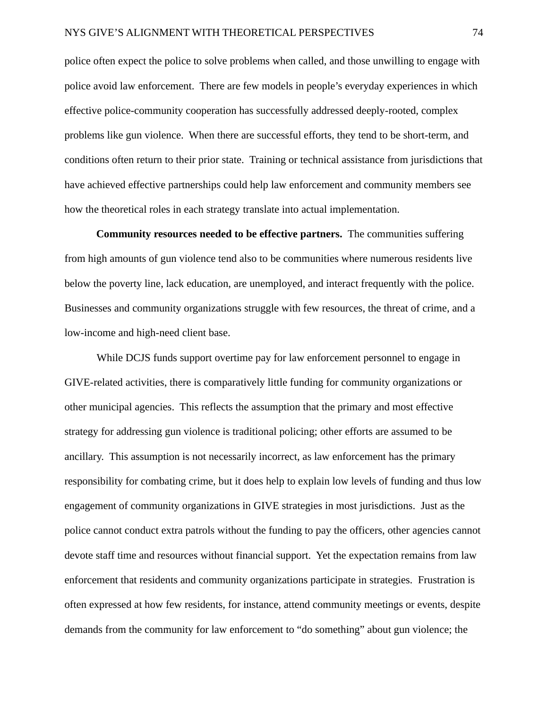police often expect the police to solve problems when called, and those unwilling to engage with police avoid law enforcement. There are few models in people's everyday experiences in which effective police-community cooperation has successfully addressed deeply-rooted, complex problems like gun violence. When there are successful efforts, they tend to be short-term, and conditions often return to their prior state. Training or technical assistance from jurisdictions that have achieved effective partnerships could help law enforcement and community members see how the theoretical roles in each strategy translate into actual implementation.

**Community resources needed to be effective partners.** The communities suffering from high amounts of gun violence tend also to be communities where numerous residents live below the poverty line, lack education, are unemployed, and interact frequently with the police. Businesses and community organizations struggle with few resources, the threat of crime, and a low-income and high-need client base.

While DCJS funds support overtime pay for law enforcement personnel to engage in GIVE-related activities, there is comparatively little funding for community organizations or other municipal agencies. This reflects the assumption that the primary and most effective strategy for addressing gun violence is traditional policing; other efforts are assumed to be ancillary. This assumption is not necessarily incorrect, as law enforcement has the primary responsibility for combating crime, but it does help to explain low levels of funding and thus low engagement of community organizations in GIVE strategies in most jurisdictions. Just as the police cannot conduct extra patrols without the funding to pay the officers, other agencies cannot devote staff time and resources without financial support. Yet the expectation remains from law enforcement that residents and community organizations participate in strategies. Frustration is often expressed at how few residents, for instance, attend community meetings or events, despite demands from the community for law enforcement to "do something" about gun violence; the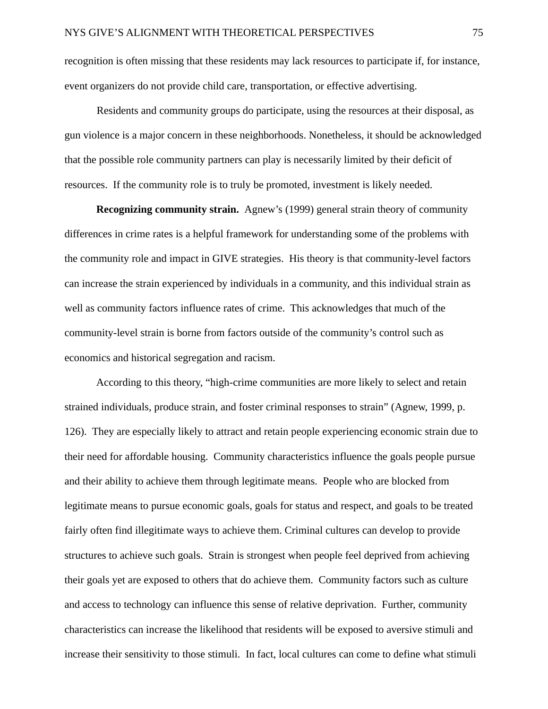recognition is often missing that these residents may lack resources to participate if, for instance, event organizers do not provide child care, transportation, or effective advertising.

Residents and community groups do participate, using the resources at their disposal, as gun violence is a major concern in these neighborhoods. Nonetheless, it should be acknowledged that the possible role community partners can play is necessarily limited by their deficit of resources. If the community role is to truly be promoted, investment is likely needed.

**Recognizing community strain.** Agnew's (1999) general strain theory of community differences in crime rates is a helpful framework for understanding some of the problems with the community role and impact in GIVE strategies. His theory is that community-level factors can increase the strain experienced by individuals in a community, and this individual strain as well as community factors influence rates of crime. This acknowledges that much of the community-level strain is borne from factors outside of the community's control such as economics and historical segregation and racism.

According to this theory, "high-crime communities are more likely to select and retain strained individuals, produce strain, and foster criminal responses to strain" (Agnew, 1999, p. 126). They are especially likely to attract and retain people experiencing economic strain due to their need for affordable housing. Community characteristics influence the goals people pursue and their ability to achieve them through legitimate means. People who are blocked from legitimate means to pursue economic goals, goals for status and respect, and goals to be treated fairly often find illegitimate ways to achieve them. Criminal cultures can develop to provide structures to achieve such goals. Strain is strongest when people feel deprived from achieving their goals yet are exposed to others that do achieve them. Community factors such as culture and access to technology can influence this sense of relative deprivation. Further, community characteristics can increase the likelihood that residents will be exposed to aversive stimuli and increase their sensitivity to those stimuli. In fact, local cultures can come to define what stimuli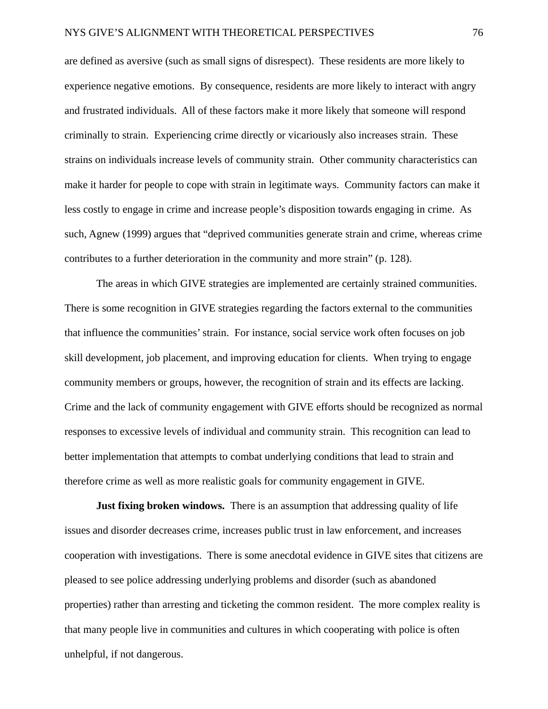are defined as aversive (such as small signs of disrespect). These residents are more likely to experience negative emotions. By consequence, residents are more likely to interact with angry and frustrated individuals. All of these factors make it more likely that someone will respond criminally to strain. Experiencing crime directly or vicariously also increases strain. These strains on individuals increase levels of community strain. Other community characteristics can make it harder for people to cope with strain in legitimate ways. Community factors can make it less costly to engage in crime and increase people's disposition towards engaging in crime. As such, Agnew (1999) argues that "deprived communities generate strain and crime, whereas crime contributes to a further deterioration in the community and more strain" (p. 128).

The areas in which GIVE strategies are implemented are certainly strained communities. There is some recognition in GIVE strategies regarding the factors external to the communities that influence the communities' strain. For instance, social service work often focuses on job skill development, job placement, and improving education for clients. When trying to engage community members or groups, however, the recognition of strain and its effects are lacking. Crime and the lack of community engagement with GIVE efforts should be recognized as normal responses to excessive levels of individual and community strain. This recognition can lead to better implementation that attempts to combat underlying conditions that lead to strain and therefore crime as well as more realistic goals for community engagement in GIVE.

**Just fixing broken windows.** There is an assumption that addressing quality of life issues and disorder decreases crime, increases public trust in law enforcement, and increases cooperation with investigations. There is some anecdotal evidence in GIVE sites that citizens are pleased to see police addressing underlying problems and disorder (such as abandoned properties) rather than arresting and ticketing the common resident. The more complex reality is that many people live in communities and cultures in which cooperating with police is often unhelpful, if not dangerous.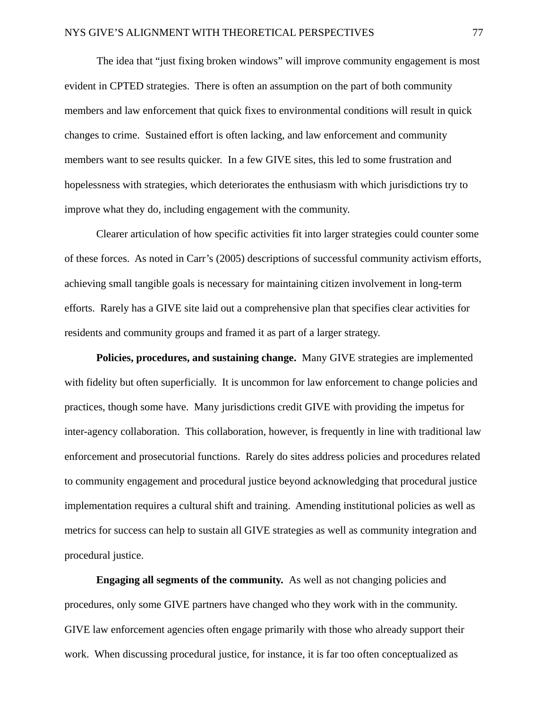The idea that "just fixing broken windows" will improve community engagement is most evident in CPTED strategies. There is often an assumption on the part of both community members and law enforcement that quick fixes to environmental conditions will result in quick changes to crime. Sustained effort is often lacking, and law enforcement and community members want to see results quicker. In a few GIVE sites, this led to some frustration and hopelessness with strategies, which deteriorates the enthusiasm with which jurisdictions try to improve what they do, including engagement with the community.

Clearer articulation of how specific activities fit into larger strategies could counter some of these forces. As noted in Carr's (2005) descriptions of successful community activism efforts, achieving small tangible goals is necessary for maintaining citizen involvement in long-term efforts. Rarely has a GIVE site laid out a comprehensive plan that specifies clear activities for residents and community groups and framed it as part of a larger strategy.

**Policies, procedures, and sustaining change.** Many GIVE strategies are implemented with fidelity but often superficially. It is uncommon for law enforcement to change policies and practices, though some have. Many jurisdictions credit GIVE with providing the impetus for inter-agency collaboration. This collaboration, however, is frequently in line with traditional law enforcement and prosecutorial functions. Rarely do sites address policies and procedures related to community engagement and procedural justice beyond acknowledging that procedural justice implementation requires a cultural shift and training. Amending institutional policies as well as metrics for success can help to sustain all GIVE strategies as well as community integration and procedural justice.

**Engaging all segments of the community.** As well as not changing policies and procedures, only some GIVE partners have changed who they work with in the community. GIVE law enforcement agencies often engage primarily with those who already support their work. When discussing procedural justice, for instance, it is far too often conceptualized as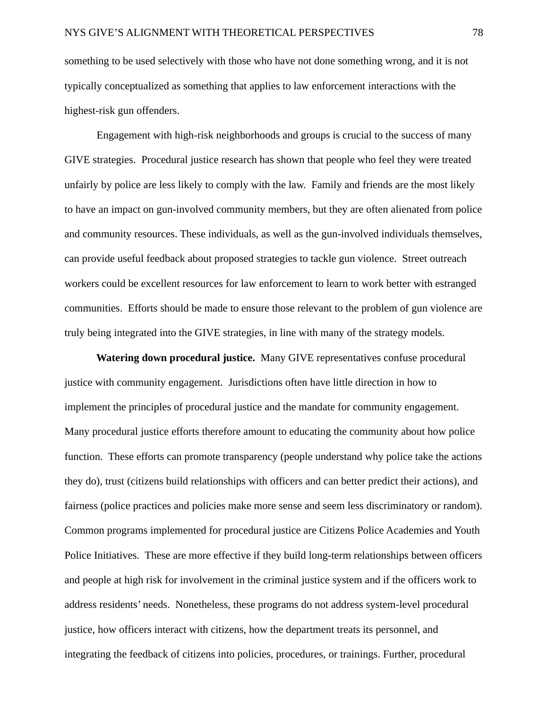something to be used selectively with those who have not done something wrong, and it is not typically conceptualized as something that applies to law enforcement interactions with the highest-risk gun offenders.

Engagement with high-risk neighborhoods and groups is crucial to the success of many GIVE strategies. Procedural justice research has shown that people who feel they were treated unfairly by police are less likely to comply with the law. Family and friends are the most likely to have an impact on gun-involved community members, but they are often alienated from police and community resources. These individuals, as well as the gun-involved individuals themselves, can provide useful feedback about proposed strategies to tackle gun violence. Street outreach workers could be excellent resources for law enforcement to learn to work better with estranged communities. Efforts should be made to ensure those relevant to the problem of gun violence are truly being integrated into the GIVE strategies, in line with many of the strategy models.

**Watering down procedural justice.** Many GIVE representatives confuse procedural justice with community engagement. Jurisdictions often have little direction in how to implement the principles of procedural justice and the mandate for community engagement. Many procedural justice efforts therefore amount to educating the community about how police function. These efforts can promote transparency (people understand why police take the actions they do), trust (citizens build relationships with officers and can better predict their actions), and fairness (police practices and policies make more sense and seem less discriminatory or random). Common programs implemented for procedural justice are Citizens Police Academies and Youth Police Initiatives. These are more effective if they build long-term relationships between officers and people at high risk for involvement in the criminal justice system and if the officers work to address residents' needs. Nonetheless, these programs do not address system-level procedural justice, how officers interact with citizens, how the department treats its personnel, and integrating the feedback of citizens into policies, procedures, or trainings. Further, procedural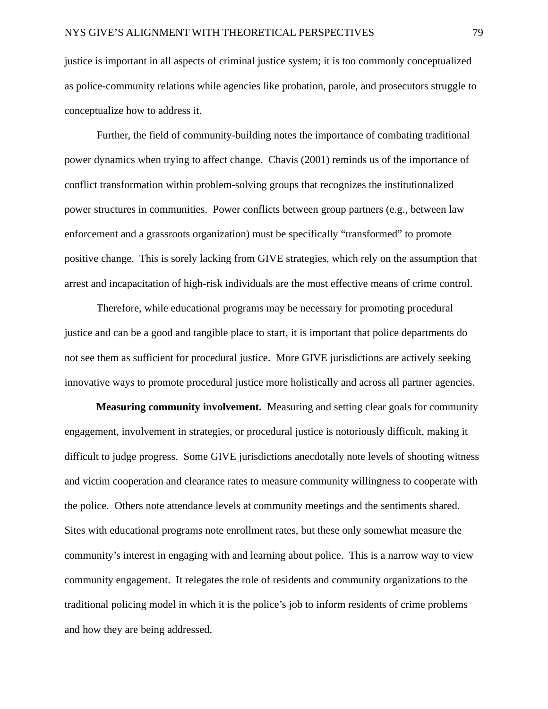justice is important in all aspects of criminal justice system; it is too commonly conceptualized as police-community relations while agencies like probation, parole, and prosecutors struggle to conceptualize how to address it.

Further, the field of community-building notes the importance of combating traditional power dynamics when trying to affect change. Chavis (2001) reminds us of the importance of conflict transformation within problem-solving groups that recognizes the institutionalized power structures in communities. Power conflicts between group partners (e.g., between law enforcement and a grassroots organization) must be specifically "transformed" to promote positive change. This is sorely lacking from GIVE strategies, which rely on the assumption that arrest and incapacitation of high-risk individuals are the most effective means of crime control.

Therefore, while educational programs may be necessary for promoting procedural justice and can be a good and tangible place to start, it is important that police departments do not see them as sufficient for procedural justice. More GIVE jurisdictions are actively seeking innovative ways to promote procedural justice more holistically and across all partner agencies.

**Measuring community involvement.** Measuring and setting clear goals for community engagement, involvement in strategies, or procedural justice is notoriously difficult, making it difficult to judge progress. Some GIVE jurisdictions anecdotally note levels of shooting witness and victim cooperation and clearance rates to measure community willingness to cooperate with the police. Others note attendance levels at community meetings and the sentiments shared. Sites with educational programs note enrollment rates, but these only somewhat measure the community's interest in engaging with and learning about police. This is a narrow way to view community engagement. It relegates the role of residents and community organizations to the traditional policing model in which it is the police's job to inform residents of crime problems and how they are being addressed.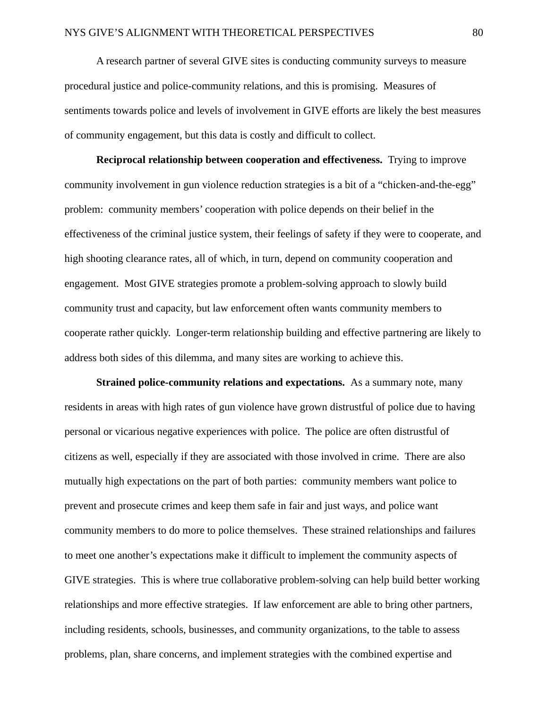A research partner of several GIVE sites is conducting community surveys to measure procedural justice and police-community relations, and this is promising. Measures of sentiments towards police and levels of involvement in GIVE efforts are likely the best measures of community engagement, but this data is costly and difficult to collect.

**Reciprocal relationship between cooperation and effectiveness.** Trying to improve community involvement in gun violence reduction strategies is a bit of a "chicken-and-the-egg" problem: community members' cooperation with police depends on their belief in the effectiveness of the criminal justice system, their feelings of safety if they were to cooperate, and high shooting clearance rates, all of which, in turn, depend on community cooperation and engagement. Most GIVE strategies promote a problem-solving approach to slowly build community trust and capacity, but law enforcement often wants community members to cooperate rather quickly. Longer-term relationship building and effective partnering are likely to address both sides of this dilemma, and many sites are working to achieve this.

**Strained police-community relations and expectations.** As a summary note, many residents in areas with high rates of gun violence have grown distrustful of police due to having personal or vicarious negative experiences with police. The police are often distrustful of citizens as well, especially if they are associated with those involved in crime. There are also mutually high expectations on the part of both parties: community members want police to prevent and prosecute crimes and keep them safe in fair and just ways, and police want community members to do more to police themselves. These strained relationships and failures to meet one another's expectations make it difficult to implement the community aspects of GIVE strategies. This is where true collaborative problem-solving can help build better working relationships and more effective strategies. If law enforcement are able to bring other partners, including residents, schools, businesses, and community organizations, to the table to assess problems, plan, share concerns, and implement strategies with the combined expertise and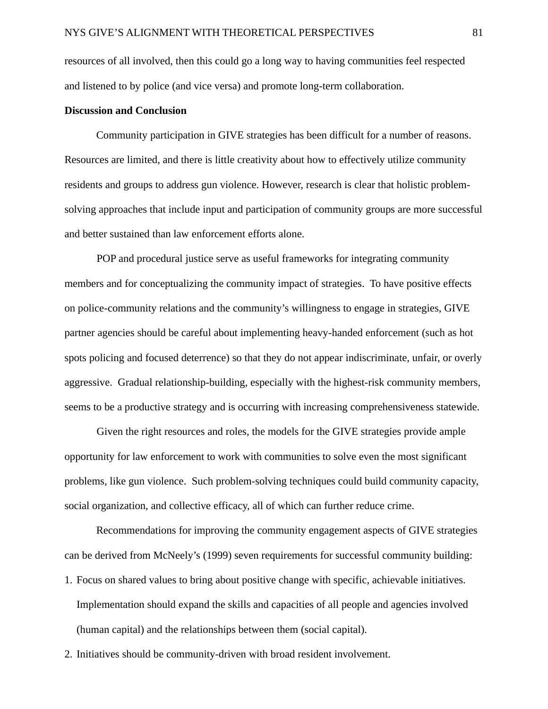resources of all involved, then this could go a long way to having communities feel respected and listened to by police (and vice versa) and promote long-term collaboration.

## **Discussion and Conclusion**

Community participation in GIVE strategies has been difficult for a number of reasons. Resources are limited, and there is little creativity about how to effectively utilize community residents and groups to address gun violence. However, research is clear that holistic problemsolving approaches that include input and participation of community groups are more successful and better sustained than law enforcement efforts alone.

POP and procedural justice serve as useful frameworks for integrating community members and for conceptualizing the community impact of strategies. To have positive effects on police-community relations and the community's willingness to engage in strategies, GIVE partner agencies should be careful about implementing heavy-handed enforcement (such as hot spots policing and focused deterrence) so that they do not appear indiscriminate, unfair, or overly aggressive. Gradual relationship-building, especially with the highest-risk community members, seems to be a productive strategy and is occurring with increasing comprehensiveness statewide.

Given the right resources and roles, the models for the GIVE strategies provide ample opportunity for law enforcement to work with communities to solve even the most significant problems, like gun violence. Such problem-solving techniques could build community capacity, social organization, and collective efficacy, all of which can further reduce crime.

Recommendations for improving the community engagement aspects of GIVE strategies can be derived from McNeely's (1999) seven requirements for successful community building: 1. Focus on shared values to bring about positive change with specific, achievable initiatives. Implementation should expand the skills and capacities of all people and agencies involved (human capital) and the relationships between them (social capital).

2. Initiatives should be community-driven with broad resident involvement.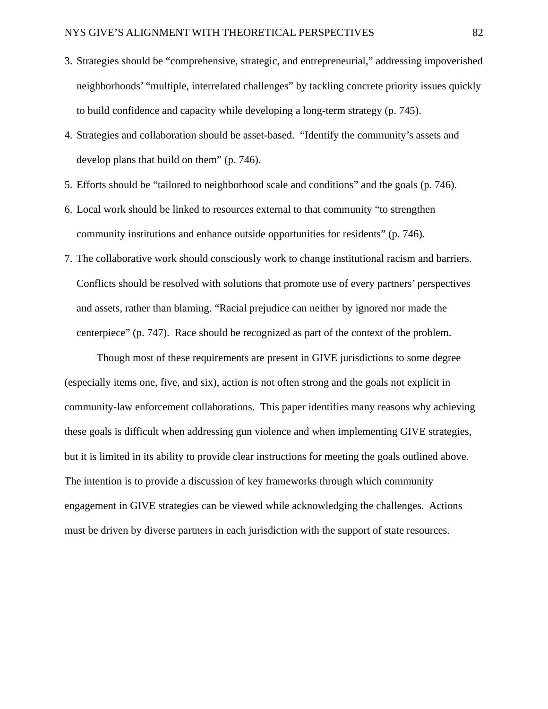- 3. Strategies should be "comprehensive, strategic, and entrepreneurial," addressing impoverished neighborhoods' "multiple, interrelated challenges" by tackling concrete priority issues quickly to build confidence and capacity while developing a long-term strategy (p. 745).
- 4. Strategies and collaboration should be asset-based. "Identify the community's assets and develop plans that build on them" (p. 746).
- 5. Efforts should be "tailored to neighborhood scale and conditions" and the goals (p. 746).
- 6. Local work should be linked to resources external to that community "to strengthen community institutions and enhance outside opportunities for residents" (p. 746).
- 7. The collaborative work should consciously work to change institutional racism and barriers. Conflicts should be resolved with solutions that promote use of every partners' perspectives and assets, rather than blaming. "Racial prejudice can neither by ignored nor made the centerpiece" (p. 747). Race should be recognized as part of the context of the problem.

Though most of these requirements are present in GIVE jurisdictions to some degree (especially items one, five, and six), action is not often strong and the goals not explicit in community-law enforcement collaborations. This paper identifies many reasons why achieving these goals is difficult when addressing gun violence and when implementing GIVE strategies, but it is limited in its ability to provide clear instructions for meeting the goals outlined above. The intention is to provide a discussion of key frameworks through which community engagement in GIVE strategies can be viewed while acknowledging the challenges. Actions must be driven by diverse partners in each jurisdiction with the support of state resources.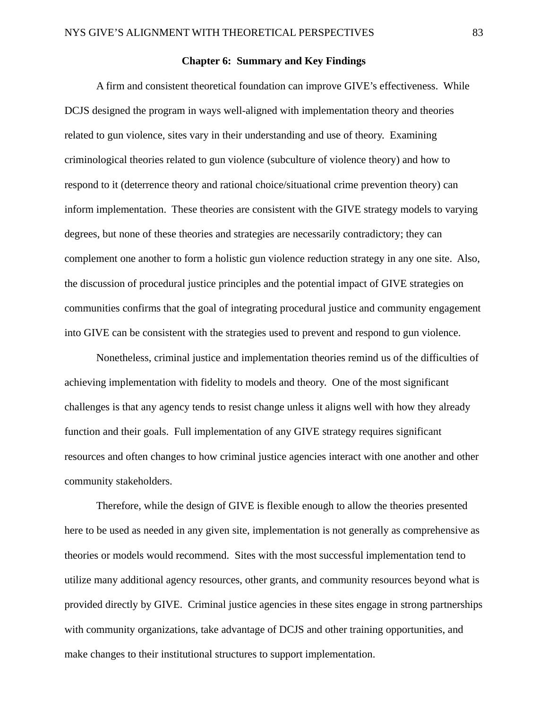## **Chapter 6: Summary and Key Findings**

A firm and consistent theoretical foundation can improve GIVE's effectiveness. While DCJS designed the program in ways well-aligned with implementation theory and theories related to gun violence, sites vary in their understanding and use of theory. Examining criminological theories related to gun violence (subculture of violence theory) and how to respond to it (deterrence theory and rational choice/situational crime prevention theory) can inform implementation. These theories are consistent with the GIVE strategy models to varying degrees, but none of these theories and strategies are necessarily contradictory; they can complement one another to form a holistic gun violence reduction strategy in any one site. Also, the discussion of procedural justice principles and the potential impact of GIVE strategies on communities confirms that the goal of integrating procedural justice and community engagement into GIVE can be consistent with the strategies used to prevent and respond to gun violence.

Nonetheless, criminal justice and implementation theories remind us of the difficulties of achieving implementation with fidelity to models and theory. One of the most significant challenges is that any agency tends to resist change unless it aligns well with how they already function and their goals. Full implementation of any GIVE strategy requires significant resources and often changes to how criminal justice agencies interact with one another and other community stakeholders.

Therefore, while the design of GIVE is flexible enough to allow the theories presented here to be used as needed in any given site, implementation is not generally as comprehensive as theories or models would recommend. Sites with the most successful implementation tend to utilize many additional agency resources, other grants, and community resources beyond what is provided directly by GIVE. Criminal justice agencies in these sites engage in strong partnerships with community organizations, take advantage of DCJS and other training opportunities, and make changes to their institutional structures to support implementation.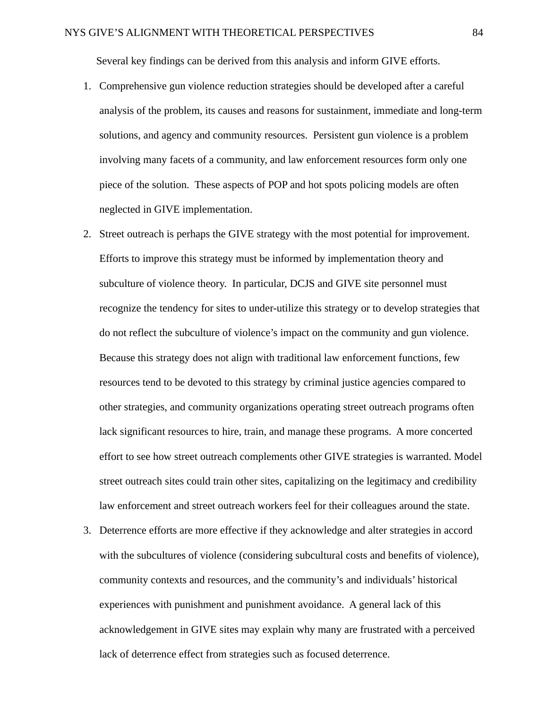Several key findings can be derived from this analysis and inform GIVE efforts.

- 1. Comprehensive gun violence reduction strategies should be developed after a careful analysis of the problem, its causes and reasons for sustainment, immediate and long-term solutions, and agency and community resources. Persistent gun violence is a problem involving many facets of a community, and law enforcement resources form only one piece of the solution. These aspects of POP and hot spots policing models are often neglected in GIVE implementation.
- 2. Street outreach is perhaps the GIVE strategy with the most potential for improvement. Efforts to improve this strategy must be informed by implementation theory and subculture of violence theory. In particular, DCJS and GIVE site personnel must recognize the tendency for sites to under-utilize this strategy or to develop strategies that do not reflect the subculture of violence's impact on the community and gun violence. Because this strategy does not align with traditional law enforcement functions, few resources tend to be devoted to this strategy by criminal justice agencies compared to other strategies, and community organizations operating street outreach programs often lack significant resources to hire, train, and manage these programs. A more concerted effort to see how street outreach complements other GIVE strategies is warranted. Model street outreach sites could train other sites, capitalizing on the legitimacy and credibility law enforcement and street outreach workers feel for their colleagues around the state.
- 3. Deterrence efforts are more effective if they acknowledge and alter strategies in accord with the subcultures of violence (considering subcultural costs and benefits of violence), community contexts and resources, and the community's and individuals' historical experiences with punishment and punishment avoidance. A general lack of this acknowledgement in GIVE sites may explain why many are frustrated with a perceived lack of deterrence effect from strategies such as focused deterrence.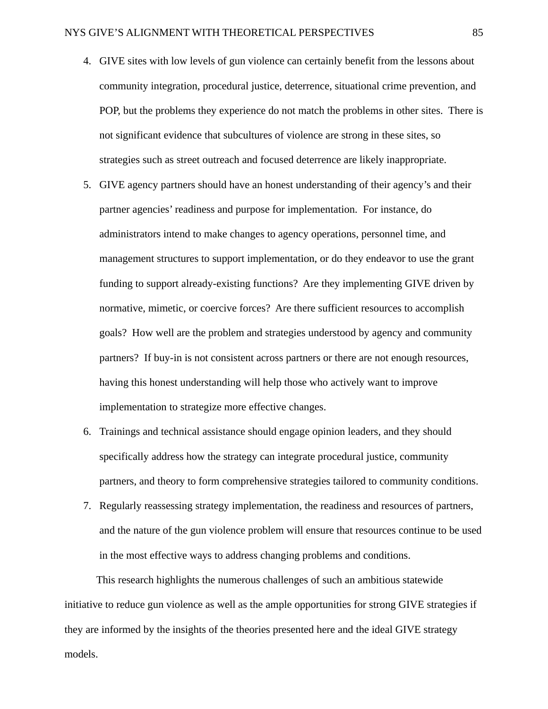- 4. GIVE sites with low levels of gun violence can certainly benefit from the lessons about community integration, procedural justice, deterrence, situational crime prevention, and POP, but the problems they experience do not match the problems in other sites. There is not significant evidence that subcultures of violence are strong in these sites, so strategies such as street outreach and focused deterrence are likely inappropriate.
- 5. GIVE agency partners should have an honest understanding of their agency's and their partner agencies' readiness and purpose for implementation. For instance, do administrators intend to make changes to agency operations, personnel time, and management structures to support implementation, or do they endeavor to use the grant funding to support already-existing functions? Are they implementing GIVE driven by normative, mimetic, or coercive forces? Are there sufficient resources to accomplish goals? How well are the problem and strategies understood by agency and community partners? If buy-in is not consistent across partners or there are not enough resources, having this honest understanding will help those who actively want to improve implementation to strategize more effective changes.
- 6. Trainings and technical assistance should engage opinion leaders, and they should specifically address how the strategy can integrate procedural justice, community partners, and theory to form comprehensive strategies tailored to community conditions.
- 7. Regularly reassessing strategy implementation, the readiness and resources of partners, and the nature of the gun violence problem will ensure that resources continue to be used in the most effective ways to address changing problems and conditions.

This research highlights the numerous challenges of such an ambitious statewide initiative to reduce gun violence as well as the ample opportunities for strong GIVE strategies if they are informed by the insights of the theories presented here and the ideal GIVE strategy models.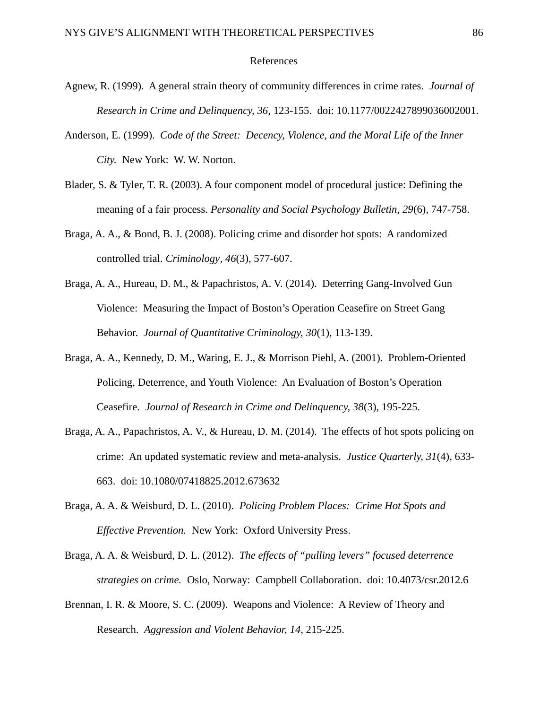### References

- Agnew, R. (1999). A general strain theory of community differences in crime rates. *Journal of Research in Crime and Delinquency, 36*, 123-155. doi: 10.1177/0022427899036002001.
- Anderson, E. (1999). *Code of the Street: Decency, Violence, and the Moral Life of the Inner City.* New York: W. W. Norton.
- Blader, S. & Tyler, T. R. (2003). A four component model of procedural justice: Defining the meaning of a fair process. *Personality and Social Psychology Bulletin, 29*(6), 747-758.
- Braga, A. A., & Bond, B. J. (2008). Policing crime and disorder hot spots: A randomized controlled trial. *Criminology, 46*(3), 577-607.
- Braga, A. A., Hureau, D. M., & Papachristos, A. V. (2014). Deterring Gang-Involved Gun Violence: Measuring the Impact of Boston's Operation Ceasefire on Street Gang Behavior. *Journal of Quantitative Criminology, 30*(1), 113-139.
- Braga, A. A., Kennedy, D. M., Waring, E. J., & Morrison Piehl, A. (2001). Problem-Oriented Policing, Deterrence, and Youth Violence: An Evaluation of Boston's Operation Ceasefire. *Journal of Research in Crime and Delinquency, 38*(3), 195-225.
- Braga, A. A., Papachristos, A. V., & Hureau, D. M. (2014). The effects of hot spots policing on crime: An updated systematic review and meta-analysis. *Justice Quarterly, 31*(4), 633- 663. doi: 10.1080/07418825.2012.673632
- Braga, A. A. & Weisburd, D. L. (2010). *Policing Problem Places: Crime Hot Spots and Effective Prevention.* New York: Oxford University Press.
- Braga, A. A. & Weisburd, D. L. (2012). *The effects of "pulling levers" focused deterrence strategies on crime.* Oslo, Norway: Campbell Collaboration. doi: 10.4073/csr.2012.6
- Brennan, I. R. & Moore, S. C. (2009). Weapons and Violence: A Review of Theory and Research. *Aggression and Violent Behavior, 14,* 215-225.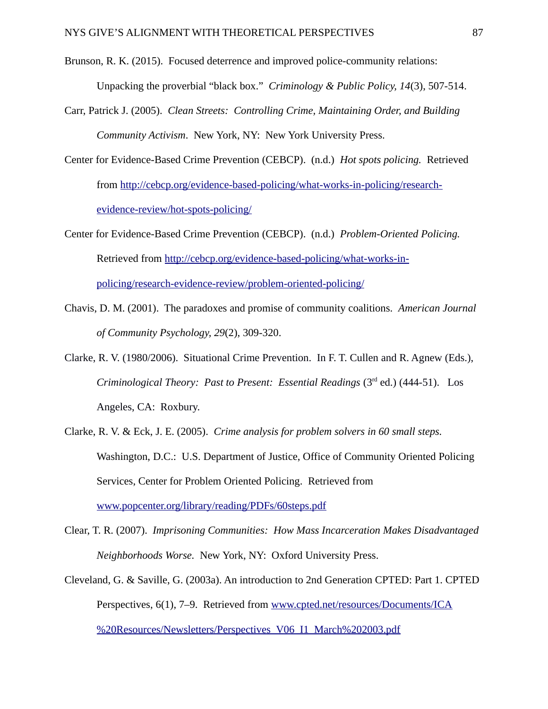- Brunson, R. K. (2015). Focused deterrence and improved police-community relations: Unpacking the proverbial "black box." *Criminology & Public Policy, 14*(3), 507-514.
- Carr, Patrick J. (2005). *Clean Streets: Controlling Crime, Maintaining Order, and Building Community Activism*. New York, NY: New York University Press.
- Center for Evidence-Based Crime Prevention (CEBCP). (n.d.) *Hot spots policing.* Retrieved from [http://cebcp.org/evidence-based-policing/what-works-in-policing/research](http://cebcp.org/evidence-based-policing/what-works-in-policing/research-evidence-review/hot-spots-policing/)[evidence-review/hot-spots-policing/](http://cebcp.org/evidence-based-policing/what-works-in-policing/research-evidence-review/hot-spots-policing/)
- Center for Evidence-Based Crime Prevention (CEBCP). (n.d.) *Problem-Oriented Policing.*  Retrieved from [http://cebcp.org/evidence-based-policing/what-works-in](http://cebcp.org/evidence-based-policing/what-works-in-policing/research-evidence-review/problem-oriented-policing/)[policing/research-evidence-review/problem-oriented-policing/](http://cebcp.org/evidence-based-policing/what-works-in-policing/research-evidence-review/problem-oriented-policing/)
- Chavis, D. M. (2001). The paradoxes and promise of community coalitions. *American Journal of Community Psychology, 29*(2), 309-320.
- Clarke, R. V. (1980/2006). Situational Crime Prevention. In F. T. Cullen and R. Agnew (Eds.), *Criminological Theory: Past to Present: Essential Readings (3<sup>rd</sup> ed.) (444-51). Los* Angeles, CA: Roxbury.
- Clarke, R. V. & Eck, J. E. (2005). *Crime analysis for problem solvers in 60 small steps.*  Washington, D.C.: U.S. Department of Justice, Office of Community Oriented Policing Services, Center for Problem Oriented Policing. Retrieved from [www.popcenter.org/library/reading/PDFs/60steps.pdf](http://www.popcenter.org/library/reading/PDFs/60steps.pdf)
- Clear, T. R. (2007). *Imprisoning Communities: How Mass Incarceration Makes Disadvantaged Neighborhoods Worse.* New York, NY: Oxford University Press.
- Cleveland, G. & Saville, G. (2003a). An introduction to 2nd Generation CPTED: Part 1. CPTED Perspectives, 6(1), 7–9. Retrieved from [www.cpted.net/resources/Documents/ICA](http://www.cpted.net/resources/Documents/ICA%20Resources/Newsletters/Perspectives_V06_I1_March%202003.pdf) [%20Resources/Newsletters/Perspectives\\_V06\\_I1\\_March%202003.pdf](http://www.cpted.net/resources/Documents/ICA%20Resources/Newsletters/Perspectives_V06_I1_March%202003.pdf)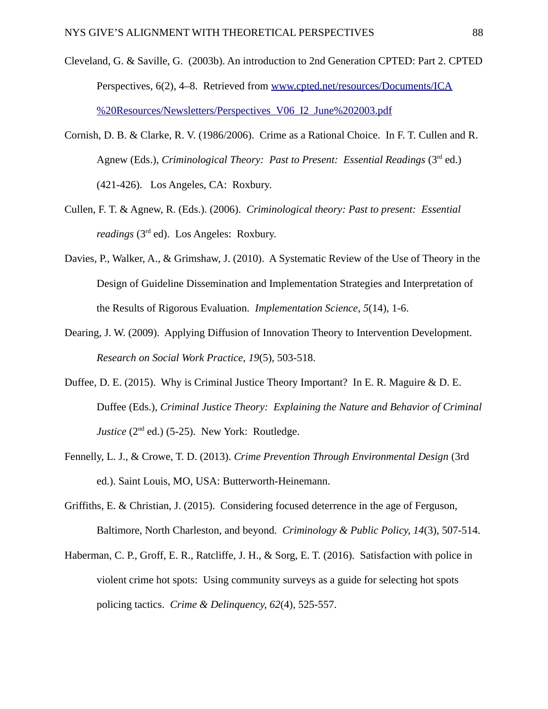- Cleveland, G. & Saville, G. (2003b). An introduction to 2nd Generation CPTED: Part 2. CPTED Perspectives, 6(2), 4–8. Retrieved from [www.cpted.net/resources/Documents/ICA](http://www.cpted.net/resources/Documents/ICA%20Resources/Newsletters/Perspectives_V06_I2_June%202003.pdf) [%20Resources/Newsletters/Perspectives\\_V06\\_I2\\_June%202003.pdf](http://www.cpted.net/resources/Documents/ICA%20Resources/Newsletters/Perspectives_V06_I2_June%202003.pdf)
- Cornish, D. B. & Clarke, R. V. (1986/2006). Crime as a Rational Choice. In F. T. Cullen and R. Agnew (Eds.), *Criminological Theory: Past to Present: Essential Readings* (3<sup>rd</sup> ed.) (421-426). Los Angeles, CA: Roxbury.
- Cullen, F. T. & Agnew, R. (Eds.). (2006). *Criminological theory: Past to present: Essential readings* (3rd ed).Los Angeles: Roxbury.
- Davies, P., Walker, A., & Grimshaw, J. (2010). A Systematic Review of the Use of Theory in the Design of Guideline Dissemination and Implementation Strategies and Interpretation of the Results of Rigorous Evaluation. *Implementation Science, 5*(14), 1-6.
- Dearing, J. W. (2009). Applying Diffusion of Innovation Theory to Intervention Development. *Research on Social Work Practice, 19*(5), 503-518.
- Duffee, D. E. (2015). Why is Criminal Justice Theory Important? In E. R. Maguire & D. E. Duffee (Eds.), *Criminal Justice Theory: Explaining the Nature and Behavior of Criminal Justice* (2<sup>nd</sup> ed.) (5-25). New York: Routledge.
- Fennelly, L. J., & Crowe, T. D. (2013). *Crime Prevention Through Environmental Design* (3rd ed.). Saint Louis, MO, USA: Butterworth-Heinemann.
- Griffiths, E. & Christian, J. (2015). Considering focused deterrence in the age of Ferguson, Baltimore, North Charleston, and beyond. *Criminology & Public Policy, 14*(3), 507-514.
- Haberman, C. P., Groff, E. R., Ratcliffe, J. H., & Sorg, E. T. (2016). Satisfaction with police in violent crime hot spots: Using community surveys as a guide for selecting hot spots policing tactics. *Crime & Delinquency, 62*(4), 525-557.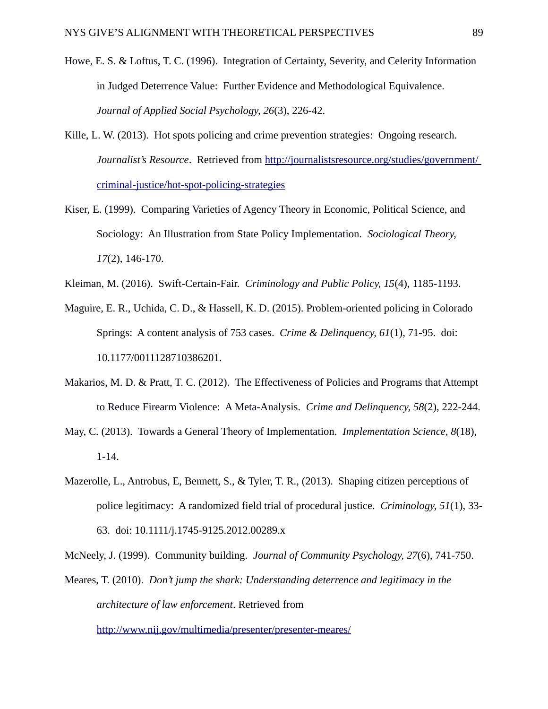- Howe, E. S. & Loftus, T. C. (1996). Integration of Certainty, Severity, and Celerity Information in Judged Deterrence Value: Further Evidence and Methodological Equivalence. *Journal of Applied Social Psychology, 26*(3), 226-42.
- Kille, L. W. (2013). Hot spots policing and crime prevention strategies: Ongoing research. *Journalist's Resource*. Retrieved from<http://journalistsresource.org/studies/government/> [criminal-justice/hot-spot-policing-strategies](http://journalistsresource.org/studies/government/criminal-justice/hot-spot-policing-strategies)
- Kiser, E. (1999). Comparing Varieties of Agency Theory in Economic, Political Science, and Sociology: An Illustration from State Policy Implementation. *Sociological Theory, 17*(2), 146-170.
- Kleiman, M. (2016). Swift-Certain-Fair. *Criminology and Public Policy, 15*(4), 1185-1193.
- Maguire, E. R., Uchida, C. D., & Hassell, K. D. (2015). Problem-oriented policing in Colorado Springs: A content analysis of 753 cases. *Crime & Delinquency, 61*(1), 71-95. doi: 10.1177/0011128710386201.
- Makarios, M. D. & Pratt, T. C. (2012). The Effectiveness of Policies and Programs that Attempt to Reduce Firearm Violence: A Meta-Analysis. *Crime and Delinquency, 58*(2), 222-244.
- May, C. (2013). Towards a General Theory of Implementation. *Implementation Science, 8*(18), 1-14.
- Mazerolle, L., Antrobus, E, Bennett, S., & Tyler, T. R., (2013). Shaping citizen perceptions of police legitimacy: A randomized field trial of procedural justice. *Criminology, 51*(1), 33- 63. doi: 10.1111/j.1745-9125.2012.00289.x

McNeely, J. (1999). Community building. *Journal of Community Psychology, 27*(6), 741-750.

Meares, T. (2010). *Don't jump the shark: Understanding deterrence and legitimacy in the architecture of law enforcement*. Retrieved from

<http://www.nij.gov/multimedia/presenter/presenter-meares/>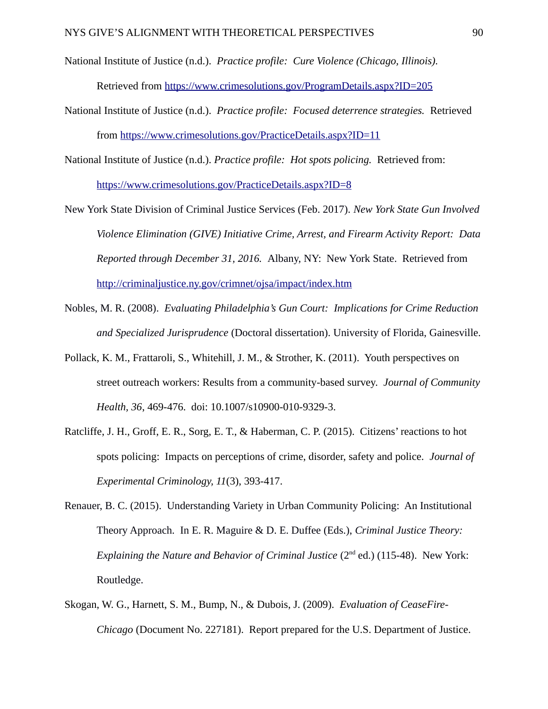- National Institute of Justice (n.d.). *Practice profile: Cure Violence (Chicago, Illinois).*  Retrieved from<https://www.crimesolutions.gov/ProgramDetails.aspx?ID=205>
- National Institute of Justice (n.d.). *Practice profile: Focused deterrence strategies.* Retrieved from<https://www.crimesolutions.gov/PracticeDetails.aspx?ID=11>
- National Institute of Justice (n.d.). *Practice profile: Hot spots policing.* Retrieved from: <https://www.crimesolutions.gov/PracticeDetails.aspx?ID=8>
- New York State Division of Criminal Justice Services (Feb. 2017). *New York State Gun Involved Violence Elimination (GIVE) Initiative Crime, Arrest, and Firearm Activity Report: Data Reported through December 31, 2016.* Albany, NY: New York State. Retrieved from <http://criminaljustice.ny.gov/crimnet/ojsa/impact/index.htm>
- Nobles, M. R. (2008). *Evaluating Philadelphia's Gun Court: Implications for Crime Reduction and Specialized Jurisprudence* (Doctoral dissertation). University of Florida, Gainesville.
- Pollack, K. M., Frattaroli, S., Whitehill, J. M., & Strother, K. (2011). Youth perspectives on street outreach workers: Results from a community-based survey. *Journal of Community Health, 36*, 469-476. doi: 10.1007/s10900-010-9329-3.
- Ratcliffe, J. H., Groff, E. R., Sorg, E. T., & Haberman, C. P. (2015). Citizens' reactions to hot spots policing: Impacts on perceptions of crime, disorder, safety and police. *Journal of Experimental Criminology, 11*(3), 393-417.
- Renauer, B. C. (2015). Understanding Variety in Urban Community Policing: An Institutional Theory Approach. In E. R. Maguire & D. E. Duffee (Eds.), *Criminal Justice Theory: Explaining the Nature and Behavior of Criminal Justice* (2<sup>nd</sup> ed.) (115-48). New York: Routledge.
- Skogan, W. G., Harnett, S. M., Bump, N., & Dubois, J. (2009). *Evaluation of CeaseFire-Chicago* (Document No. 227181). Report prepared for the U.S. Department of Justice.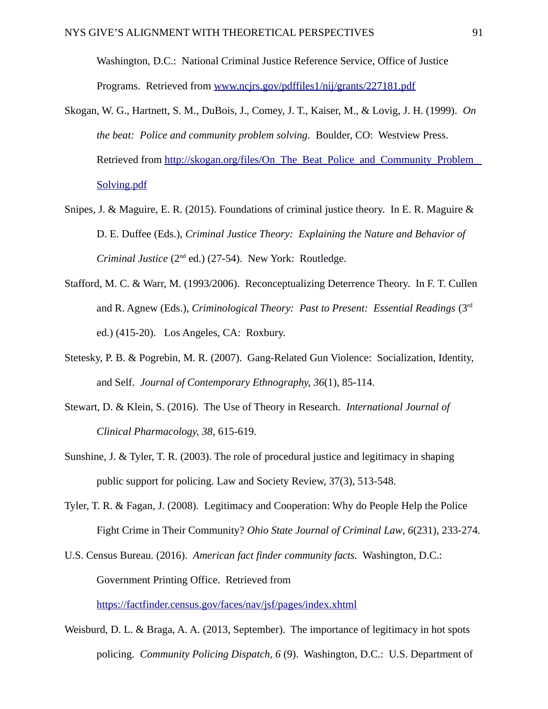Washington, D.C.: National Criminal Justice Reference Service, Office of Justice Programs. Retrieved from [www.ncjrs.gov/pdffiles1/nij/grants/227181.pdf](http://www.ncjrs.gov/pdffiles1/nij/grants/227181.pdf)

- Skogan, W. G., Hartnett, S. M., DuBois, J., Comey, J. T., Kaiser, M., & Lovig, J. H. (1999). *On the beat: Police and community problem solving.* Boulder, CO: Westview Press. Retrieved from [http://skogan.org/files/On\\_The\\_Beat\\_Police\\_and\\_Community\\_Problem](http://skogan.org/files/On_The_Beat_Police_and_Community_Problem)[\\_](http://skogan.org/files/On_The_Beat_Police_and_Community_Problem_Solving.pdf)  [Solving.pdf](http://skogan.org/files/On_The_Beat_Police_and_Community_Problem_Solving.pdf)
- Snipes, J. & Maguire, E. R. (2015). Foundations of criminal justice theory. In E. R. Maguire & D. E. Duffee (Eds.), *Criminal Justice Theory: Explaining the Nature and Behavior of Criminal Justice* (2nd ed.) (27-54). New York: Routledge.
- Stafford, M. C. & Warr, M. (1993/2006). Reconceptualizing Deterrence Theory. In F. T. Cullen and R. Agnew (Eds.), *Criminological Theory: Past to Present: Essential Readings* (3<sup>rd</sup>) ed.) (415-20). Los Angeles, CA: Roxbury.
- Stetesky, P. B. & Pogrebin, M. R. (2007). Gang-Related Gun Violence: Socialization, Identity, and Self. *Journal of Contemporary Ethnography, 36*(1), 85-114.
- Stewart, D. & Klein, S. (2016). The Use of Theory in Research. *International Journal of Clinical Pharmacology, 38,* 615-619.
- Sunshine, J. & Tyler, T. R. (2003). The role of procedural justice and legitimacy in shaping public support for policing. Law and Society Review, 37(3), 513-548.
- Tyler, T. R. & Fagan, J. (2008). Legitimacy and Cooperation: Why do People Help the Police Fight Crime in Their Community? *Ohio State Journal of Criminal Law, 6*(231), 233-274.

U.S. Census Bureau. (2016). *American fact finder community facts.* Washington, D.C.: Government Printing Office. Retrieved from

<https://factfinder.census.gov/faces/nav/jsf/pages/index.xhtml>

Weisburd, D. L. & Braga, A. A. (2013, September). The importance of legitimacy in hot spots policing. *Community Policing Dispatch, 6* (9). Washington, D.C.: U.S. Department of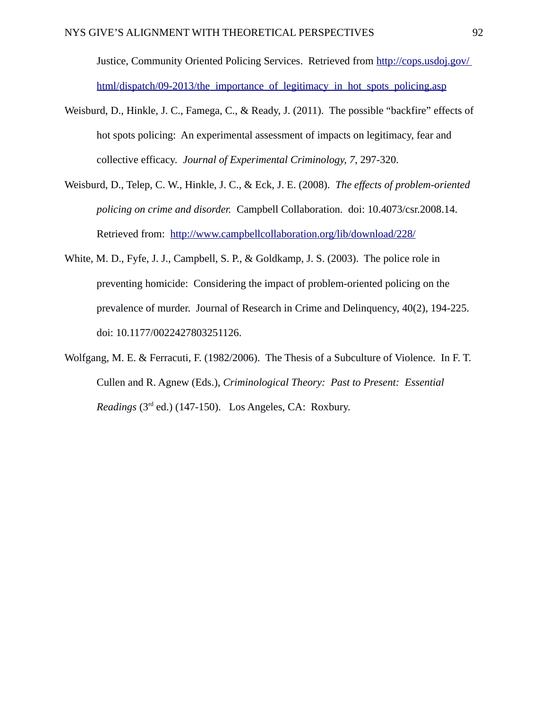Justice, Community Oriented Policing Services. Retrieved from<http://cops.usdoj.gov/> html/dispatch/09-2013/the importance of legitimacy in hot spots policing.asp

- Weisburd, D., Hinkle, J. C., Famega, C., & Ready, J. (2011). The possible "backfire" effects of hot spots policing: An experimental assessment of impacts on legitimacy, fear and collective efficacy. *Journal of Experimental Criminology, 7*, 297-320.
- Weisburd, D., Telep, C. W., Hinkle, J. C., & Eck, J. E. (2008). *The effects of problem-oriented policing on crime and disorder.* Campbell Collaboration. doi: 10.4073/csr.2008.14. Retrieved from: <http://www.campbellcollaboration.org/lib/download/228/>
- White, M. D., Fyfe, J. J., Campbell, S. P., & Goldkamp, J. S. (2003). The police role in preventing homicide: Considering the impact of problem-oriented policing on the prevalence of murder. Journal of Research in Crime and Delinquency, 40(2), 194-225. doi: 10.1177/0022427803251126.
- Wolfgang, M. E. & Ferracuti, F. (1982/2006). The Thesis of a Subculture of Violence. In F. T. Cullen and R. Agnew (Eds.), *Criminological Theory: Past to Present: Essential Readings* (3rd ed.) (147-150). Los Angeles, CA: Roxbury.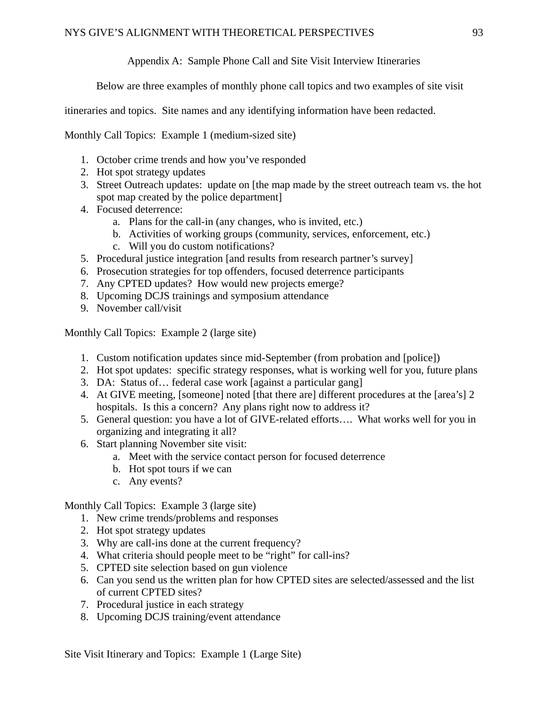# Appendix A: Sample Phone Call and Site Visit Interview Itineraries

Below are three examples of monthly phone call topics and two examples of site visit

itineraries and topics. Site names and any identifying information have been redacted.

Monthly Call Topics: Example 1 (medium-sized site)

- 1. October crime trends and how you've responded
- 2. Hot spot strategy updates
- 3. Street Outreach updates: update on [the map made by the street outreach team vs. the hot spot map created by the police department]
- 4. Focused deterrence:
	- a. Plans for the call-in (any changes, who is invited, etc.)
	- b. Activities of working groups (community, services, enforcement, etc.)
	- c. Will you do custom notifications?
- 5. Procedural justice integration [and results from research partner's survey]
- 6. Prosecution strategies for top offenders, focused deterrence participants
- 7. Any CPTED updates? How would new projects emerge?
- 8. Upcoming DCJS trainings and symposium attendance
- 9. November call/visit

Monthly Call Topics: Example 2 (large site)

- 1. Custom notification updates since mid-September (from probation and [police])
- 2. Hot spot updates: specific strategy responses, what is working well for you, future plans
- 3. DA: Status of… federal case work [against a particular gang]
- 4. At GIVE meeting, [someone] noted [that there are] different procedures at the [area's] 2 hospitals. Is this a concern? Any plans right now to address it?
- 5. General question: you have a lot of GIVE-related efforts…. What works well for you in organizing and integrating it all?
- 6. Start planning November site visit:
	- a. Meet with the service contact person for focused deterrence
	- b. Hot spot tours if we can
	- c. Any events?

Monthly Call Topics: Example 3 (large site)

- 1. New crime trends/problems and responses
- 2. Hot spot strategy updates
- 3. Why are call-ins done at the current frequency?
- 4. What criteria should people meet to be "right" for call-ins?
- 5. CPTED site selection based on gun violence
- 6. Can you send us the written plan for how CPTED sites are selected/assessed and the list of current CPTED sites?
- 7. Procedural justice in each strategy
- 8. Upcoming DCJS training/event attendance

Site Visit Itinerary and Topics: Example 1 (Large Site)